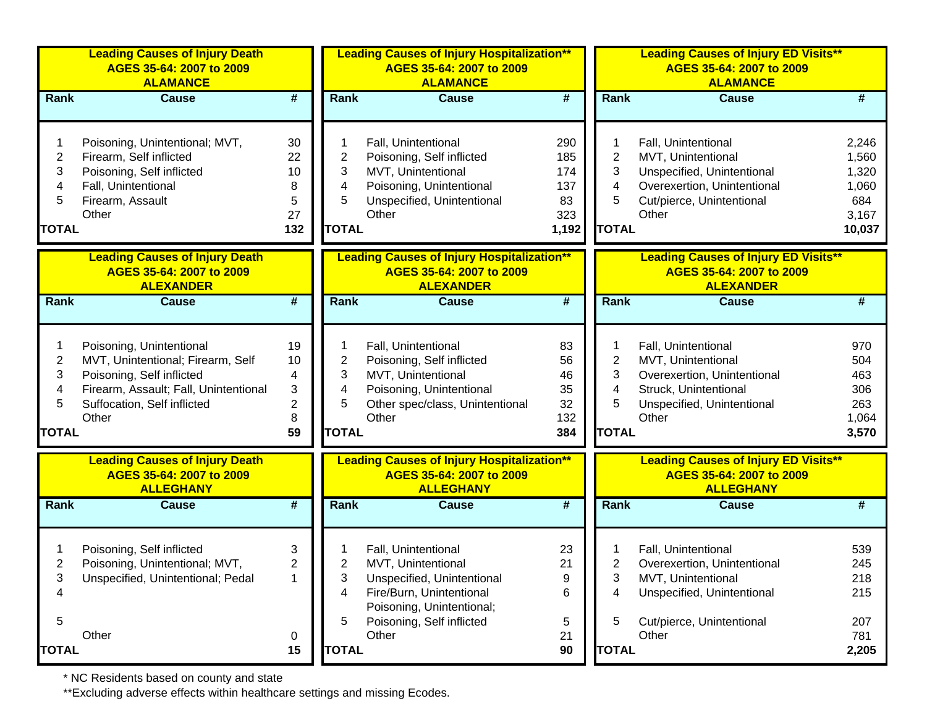|                                               | <b>Leading Causes of Injury Death</b><br>AGES 35-64: 2007 to 2009<br><b>ALAMANCE</b>                                                                                        |                                                                         |                                  | <b>Leading Causes of Injury Hospitalization**</b><br>AGES 35-64: 2007 to 2009<br><b>ALAMANCE</b>                                                                       |                                                |                                  | <b>Leading Causes of Injury ED Visits**</b><br>AGES 35-64: 2007 to 2009<br><b>ALAMANCE</b>                                                   |                                                            |
|-----------------------------------------------|-----------------------------------------------------------------------------------------------------------------------------------------------------------------------------|-------------------------------------------------------------------------|----------------------------------|------------------------------------------------------------------------------------------------------------------------------------------------------------------------|------------------------------------------------|----------------------------------|----------------------------------------------------------------------------------------------------------------------------------------------|------------------------------------------------------------|
| Rank                                          | <b>Cause</b>                                                                                                                                                                | $\overline{\boldsymbol{t}}$                                             | <b>Rank</b>                      | <b>Cause</b>                                                                                                                                                           | $\overline{\boldsymbol{H}}$                    | Rank                             | <b>Cause</b>                                                                                                                                 | #                                                          |
| $\overline{c}$<br>3<br>4<br>5<br><b>TOTAL</b> | Poisoning, Unintentional; MVT,<br>Firearm, Self inflicted<br>Poisoning, Self inflicted<br>Fall, Unintentional<br>Firearm, Assault<br>Other                                  | 30<br>22<br>10<br>8<br>5<br>27<br>132                                   | 2<br>3<br>4<br>5<br><b>TOTAL</b> | Fall, Unintentional<br>Poisoning, Self inflicted<br>MVT, Unintentional<br>Poisoning, Unintentional<br>Unspecified, Unintentional<br>Other                              | 290<br>185<br>174<br>137<br>83<br>323<br>1,192 | 2<br>3<br>4<br>5<br><b>TOTAL</b> | Fall, Unintentional<br>MVT, Unintentional<br>Unspecified, Unintentional<br>Overexertion, Unintentional<br>Cut/pierce, Unintentional<br>Other | 2,246<br>1,560<br>1,320<br>1,060<br>684<br>3,167<br>10,037 |
|                                               | <b>Leading Causes of Injury Death</b><br>AGES 35-64: 2007 to 2009<br><b>ALEXANDER</b>                                                                                       |                                                                         |                                  | <b>Leading Causes of Injury Hospitalization**</b><br>AGES 35-64: 2007 to 2009<br><b>ALEXANDER</b>                                                                      |                                                |                                  | <b>Leading Causes of Injury ED Visits**</b><br>AGES 35-64: 2007 to 2009<br><b>ALEXANDER</b>                                                  |                                                            |
| Rank                                          | <b>Cause</b>                                                                                                                                                                | $\overline{\boldsymbol{t}}$                                             | <b>Rank</b>                      | <b>Cause</b>                                                                                                                                                           | $\overline{\boldsymbol{t}}$                    | Rank                             | <b>Cause</b>                                                                                                                                 | #                                                          |
| $\overline{c}$<br>3<br>4<br>5<br><b>TOTAL</b> | Poisoning, Unintentional<br>MVT, Unintentional; Firearm, Self<br>Poisoning, Self inflicted<br>Firearm, Assault; Fall, Unintentional<br>Suffocation, Self inflicted<br>Other | 19<br>10<br>4<br>$\ensuremath{\mathsf{3}}$<br>$\overline{c}$<br>8<br>59 | 2<br>3<br>4<br>5<br><b>TOTAL</b> | Fall, Unintentional<br>Poisoning, Self inflicted<br>MVT, Unintentional<br>Poisoning, Unintentional<br>Other spec/class, Unintentional<br>Other                         | 83<br>56<br>46<br>35<br>32<br>132<br>384       | 2<br>3<br>4<br>5<br><b>TOTAL</b> | Fall, Unintentional<br>MVT, Unintentional<br>Overexertion, Unintentional<br>Struck, Unintentional<br>Unspecified, Unintentional<br>Other     | 970<br>504<br>463<br>306<br>263<br>1,064<br>3,570          |
|                                               | <b>Leading Causes of Injury Death</b><br>AGES 35-64: 2007 to 2009<br><b>ALLEGHANY</b>                                                                                       |                                                                         |                                  | <b>Leading Causes of Injury Hospitalization**</b><br>AGES 35-64: 2007 to 2009<br><b>ALLEGHANY</b>                                                                      |                                                |                                  | <b>Leading Causes of Injury ED Visits**</b><br>AGES 35-64: 2007 to 2009<br><b>ALLEGHANY</b>                                                  |                                                            |
| Rank                                          | <b>Cause</b>                                                                                                                                                                | $\overline{\boldsymbol{t}}$                                             | <b>Rank</b>                      | <b>Cause</b>                                                                                                                                                           | $\overline{\boldsymbol{H}}$                    | Rank                             | <b>Cause</b>                                                                                                                                 | #                                                          |
| 2<br>3<br>4<br>5<br><b>TOTAL</b>              | Poisoning, Self inflicted<br>Poisoning, Unintentional; MVT,<br>Unspecified, Unintentional; Pedal<br>Other                                                                   | 3<br>$\overline{2}$<br>1<br>0<br>15                                     | 2<br>3<br>4<br>5<br><b>TOTAL</b> | Fall, Unintentional<br>MVT, Unintentional<br>Unspecified, Unintentional<br>Fire/Burn, Unintentional<br>Poisoning, Unintentional;<br>Poisoning, Self inflicted<br>Other | 23<br>21<br>9<br>6<br>5<br>21<br>90            | 2<br>3<br>4<br>5<br><b>TOTAL</b> | Fall, Unintentional<br>Overexertion, Unintentional<br>MVT, Unintentional<br>Unspecified, Unintentional<br>Cut/pierce, Unintentional<br>Other | 539<br>245<br>218<br>215<br>207<br>781<br>2,205            |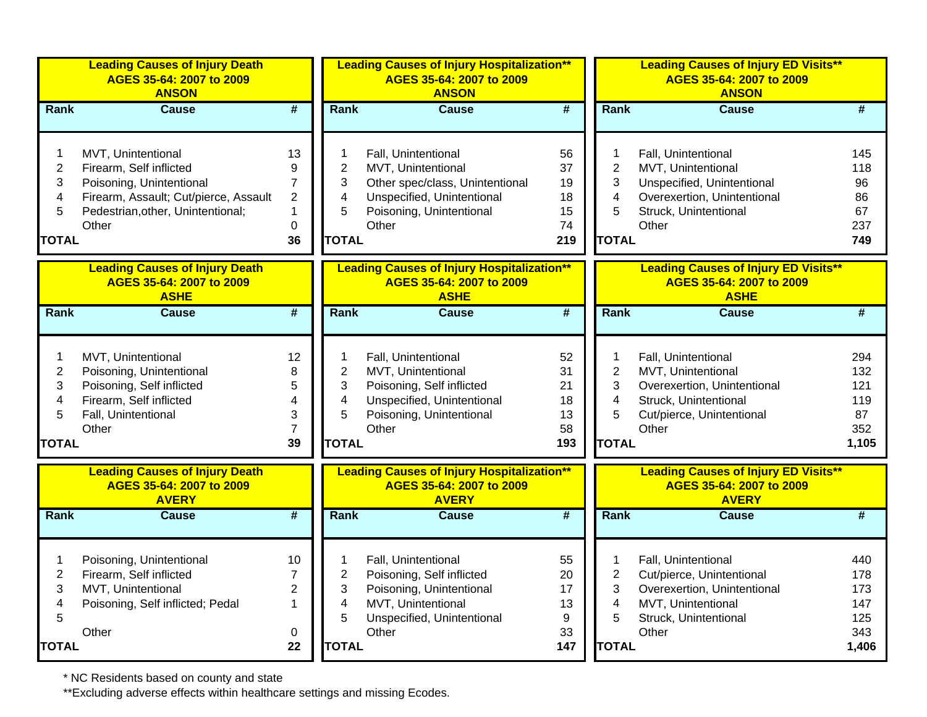|                                                    | <b>Leading Causes of Injury Death</b><br>AGES 35-64: 2007 to 2009<br><b>ANSON</b>                                                                                |                                                                     |                                                    | <b>Leading Causes of Injury Hospitalization**</b><br>AGES 35-64: 2007 to 2009<br><b>ANSON</b>                                                   |                                         |                                                                          | <b>Leading Causes of Injury ED Visits**</b><br>AGES 35-64: 2007 to 2009<br><b>ANSON</b>                                                  |                                                 |
|----------------------------------------------------|------------------------------------------------------------------------------------------------------------------------------------------------------------------|---------------------------------------------------------------------|----------------------------------------------------|-------------------------------------------------------------------------------------------------------------------------------------------------|-----------------------------------------|--------------------------------------------------------------------------|------------------------------------------------------------------------------------------------------------------------------------------|-------------------------------------------------|
| Rank                                               | <b>Cause</b>                                                                                                                                                     | $\overline{\boldsymbol{t}}$                                         | Rank                                               | <b>Cause</b>                                                                                                                                    | $\overline{\boldsymbol{H}}$             | Rank                                                                     | <b>Cause</b>                                                                                                                             | #                                               |
| 1<br>$\overline{2}$<br>3<br>4<br>5<br><b>TOTAL</b> | MVT, Unintentional<br>Firearm, Self inflicted<br>Poisoning, Unintentional<br>Firearm, Assault; Cut/pierce, Assault<br>Pedestrian, other, Unintentional;<br>Other | 13<br>9<br>$\overline{7}$<br>$\overline{2}$<br>1<br>$\pmb{0}$<br>36 | 1<br>$\overline{2}$<br>3<br>4<br>5<br><b>TOTAL</b> | Fall, Unintentional<br>MVT, Unintentional<br>Other spec/class, Unintentional<br>Unspecified, Unintentional<br>Poisoning, Unintentional<br>Other | 56<br>37<br>19<br>18<br>15<br>74<br>219 | 1<br>$\overline{2}$<br>3<br>4<br>5<br><b>TOTAL</b>                       | Fall, Unintentional<br>MVT, Unintentional<br>Unspecified, Unintentional<br>Overexertion, Unintentional<br>Struck, Unintentional<br>Other | 145<br>118<br>96<br>86<br>67<br>237<br>749      |
|                                                    | <b>Leading Causes of Injury Death</b><br>AGES 35-64: 2007 to 2009<br><b>ASHE</b>                                                                                 |                                                                     |                                                    | <b>Leading Causes of Injury Hospitalization**</b><br>AGES 35-64: 2007 to 2009<br><b>ASHE</b>                                                    |                                         |                                                                          | <b>Leading Causes of Injury ED Visits**</b><br>AGES 35-64: 2007 to 2009<br><b>ASHE</b>                                                   |                                                 |
| Rank                                               | <b>Cause</b>                                                                                                                                                     | #                                                                   | Rank                                               | <b>Cause</b>                                                                                                                                    | $\overline{\boldsymbol{t}}$             | Rank                                                                     | <b>Cause</b>                                                                                                                             | #                                               |
| 1<br>$\overline{c}$<br>3<br>4<br>5<br><b>TOTAL</b> | MVT, Unintentional<br>Poisoning, Unintentional<br>Poisoning, Self inflicted<br>Firearm, Self inflicted<br>Fall, Unintentional<br>Other                           | 12<br>8<br>5<br>4<br>3<br>$\overline{7}$<br>39                      | 1<br>2<br>3<br>4<br>5<br><b>TOTAL</b>              | Fall, Unintentional<br>MVT, Unintentional<br>Poisoning, Self inflicted<br>Unspecified, Unintentional<br>Poisoning, Unintentional<br>Other       | 52<br>31<br>21<br>18<br>13<br>58<br>193 | 1<br>$\overline{\mathbf{c}}$<br>3<br>$\overline{4}$<br>5<br><b>TOTAL</b> | Fall, Unintentional<br>MVT, Unintentional<br>Overexertion, Unintentional<br>Struck, Unintentional<br>Cut/pierce, Unintentional<br>Other  | 294<br>132<br>121<br>119<br>87<br>352<br>1,105  |
|                                                    | <b>Leading Causes of Injury Death</b><br>AGES 35-64: 2007 to 2009<br><b>AVERY</b>                                                                                |                                                                     |                                                    | <b>Leading Causes of Injury Hospitalization**</b><br>AGES 35-64: 2007 to 2009<br><b>AVERY</b>                                                   |                                         |                                                                          | <b>Leading Causes of Injury ED Visits**</b><br>AGES 35-64: 2007 to 2009<br><b>AVERY</b>                                                  |                                                 |
| <b>Rank</b>                                        | <b>Cause</b>                                                                                                                                                     | #                                                                   | Rank                                               | <b>Cause</b>                                                                                                                                    | $\overline{\boldsymbol{t}}$             | Rank                                                                     | <b>Cause</b>                                                                                                                             | #                                               |
| 1<br>$\overline{c}$<br>3<br>4<br>5<br><b>TOTAL</b> | Poisoning, Unintentional<br>Firearm, Self inflicted<br>MVT, Unintentional<br>Poisoning, Self inflicted; Pedal<br>Other                                           | 10<br>7<br>$\overline{2}$<br>$\mathbf{1}$<br>0<br>22                | 1<br>$\overline{2}$<br>3<br>4<br>5<br><b>TOTAL</b> | Fall, Unintentional<br>Poisoning, Self inflicted<br>Poisoning, Unintentional<br>MVT, Unintentional<br>Unspecified, Unintentional<br>Other       | 55<br>20<br>17<br>13<br>9<br>33<br>147  | $\overline{2}$<br>3<br>4<br>5<br><b>TOTAL</b>                            | Fall, Unintentional<br>Cut/pierce, Unintentional<br>Overexertion, Unintentional<br>MVT, Unintentional<br>Struck, Unintentional<br>Other  | 440<br>178<br>173<br>147<br>125<br>343<br>1,406 |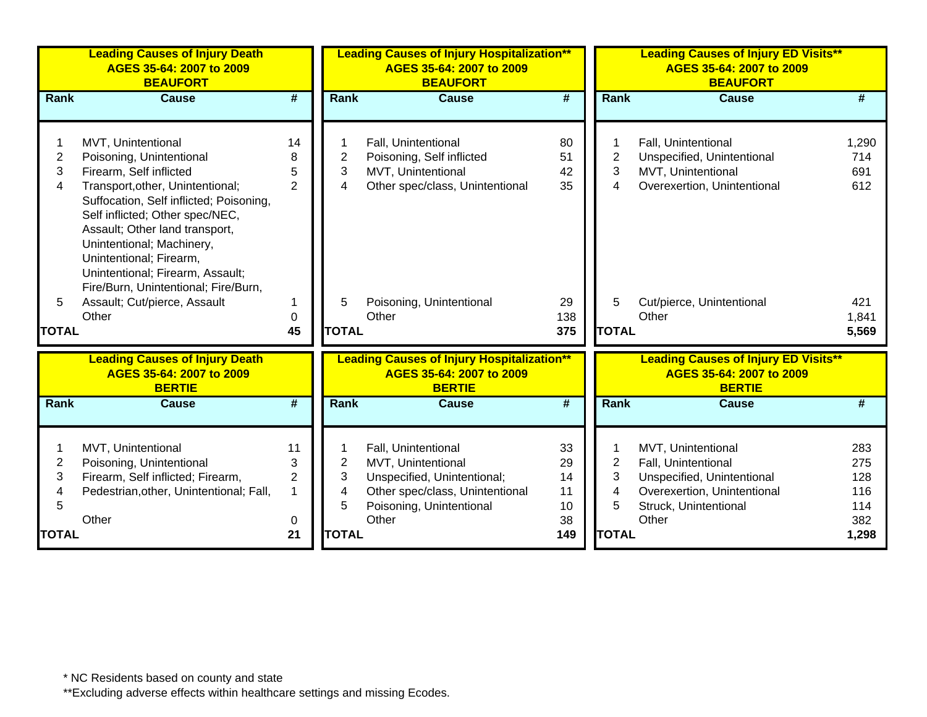|                   | <b>Leading Causes of Injury Death</b><br>AGES 35-64: 2007 to 2009<br><b>BEAUFORT</b>                                                                                                                                                                                                                                          |                     |                   | <b>Leading Causes of Injury Hospitalization**</b><br>AGES 35-64: 2007 to 2009<br><b>BEAUFORT</b> |                  |                     | <b>Leading Causes of Injury ED Visits**</b><br>AGES 35-64: 2007 to 2009<br><b>BEAUFORT</b> |                       |
|-------------------|-------------------------------------------------------------------------------------------------------------------------------------------------------------------------------------------------------------------------------------------------------------------------------------------------------------------------------|---------------------|-------------------|--------------------------------------------------------------------------------------------------|------------------|---------------------|--------------------------------------------------------------------------------------------|-----------------------|
| Rank              | <b>Cause</b>                                                                                                                                                                                                                                                                                                                  | #                   | Rank              | <b>Cause</b>                                                                                     | #                | <b>Rank</b>         | <b>Cause</b>                                                                               | #                     |
|                   |                                                                                                                                                                                                                                                                                                                               |                     |                   |                                                                                                  |                  |                     |                                                                                            |                       |
|                   | MVT, Unintentional                                                                                                                                                                                                                                                                                                            | 14                  | 1                 | Fall, Unintentional                                                                              | 80               |                     | Fall, Unintentional                                                                        | 1,290                 |
| $\overline{2}$    | Poisoning, Unintentional                                                                                                                                                                                                                                                                                                      | 8                   | $\overline{2}$    | Poisoning, Self inflicted                                                                        | 51               | $\overline{2}$      | Unspecified, Unintentional                                                                 | 714                   |
| 3<br>4            | Firearm, Self inflicted                                                                                                                                                                                                                                                                                                       | 5<br>$\overline{2}$ | 3<br>4            | MVT, Unintentional<br>Other spec/class, Unintentional                                            | 42<br>35         | 3<br>$\overline{4}$ | MVT, Unintentional<br>Overexertion, Unintentional                                          | 691<br>612            |
| 5<br><b>TOTAL</b> | Transport, other, Unintentional;<br>Suffocation, Self inflicted; Poisoning,<br>Self inflicted; Other spec/NEC,<br>Assault; Other land transport,<br>Unintentional; Machinery,<br>Unintentional; Firearm,<br>Unintentional; Firearm, Assault;<br>Fire/Burn, Unintentional; Fire/Burn,<br>Assault; Cut/pierce, Assault<br>Other | $\mathbf 0$<br>45   | 5<br><b>TOTAL</b> | Poisoning, Unintentional<br>Other                                                                | 29<br>138<br>375 | 5<br><b>TOTAL</b>   | Cut/pierce, Unintentional<br>Other                                                         | 421<br>1,841<br>5,569 |
|                   | <b>Leading Causes of Injury Death</b>                                                                                                                                                                                                                                                                                         |                     |                   |                                                                                                  |                  |                     | <b>Leading Causes of Injury ED Visits**</b>                                                |                       |
|                   | AGES 35-64: 2007 to 2009<br><b>BERTIE</b>                                                                                                                                                                                                                                                                                     |                     |                   | <b>Leading Causes of Injury Hospitalization**</b><br>AGES 35-64: 2007 to 2009<br><b>BERTIE</b>   |                  |                     | AGES 35-64: 2007 to 2009<br><b>BERTIE</b>                                                  |                       |
| Rank              | <b>Cause</b>                                                                                                                                                                                                                                                                                                                  | #                   | Rank              | <b>Cause</b>                                                                                     | #                | Rank                | <b>Cause</b>                                                                               | #                     |
|                   | MVT, Unintentional                                                                                                                                                                                                                                                                                                            | 11                  |                   | Fall, Unintentional                                                                              | 33               |                     | MVT, Unintentional                                                                         | 283                   |
| $\overline{2}$    | Poisoning, Unintentional                                                                                                                                                                                                                                                                                                      | 3                   | $\overline{2}$    | MVT, Unintentional                                                                               | 29               | $\overline{2}$      | Fall, Unintentional                                                                        | 275                   |
| 3                 | Firearm, Self inflicted; Firearm,                                                                                                                                                                                                                                                                                             | 2                   | 3                 | Unspecified, Unintentional;                                                                      | 14               | 3                   | Unspecified, Unintentional                                                                 | 128                   |
| 4                 | Pedestrian, other, Unintentional; Fall,                                                                                                                                                                                                                                                                                       | $\mathbf{1}$        | 4                 | Other spec/class, Unintentional                                                                  | 11               | 4                   | Overexertion, Unintentional                                                                | 116                   |
| 5                 |                                                                                                                                                                                                                                                                                                                               |                     | 5                 | Poisoning, Unintentional                                                                         | 10               | 5                   | Struck, Unintentional                                                                      | 114                   |
| <b>TOTAL</b>      | Other                                                                                                                                                                                                                                                                                                                         | 0<br>21             | <b>TOTAL</b>      | Other                                                                                            | 38<br>149        | <b>TOTAL</b>        | Other                                                                                      | 382<br>1,298          |
|                   |                                                                                                                                                                                                                                                                                                                               |                     |                   |                                                                                                  |                  |                     |                                                                                            |                       |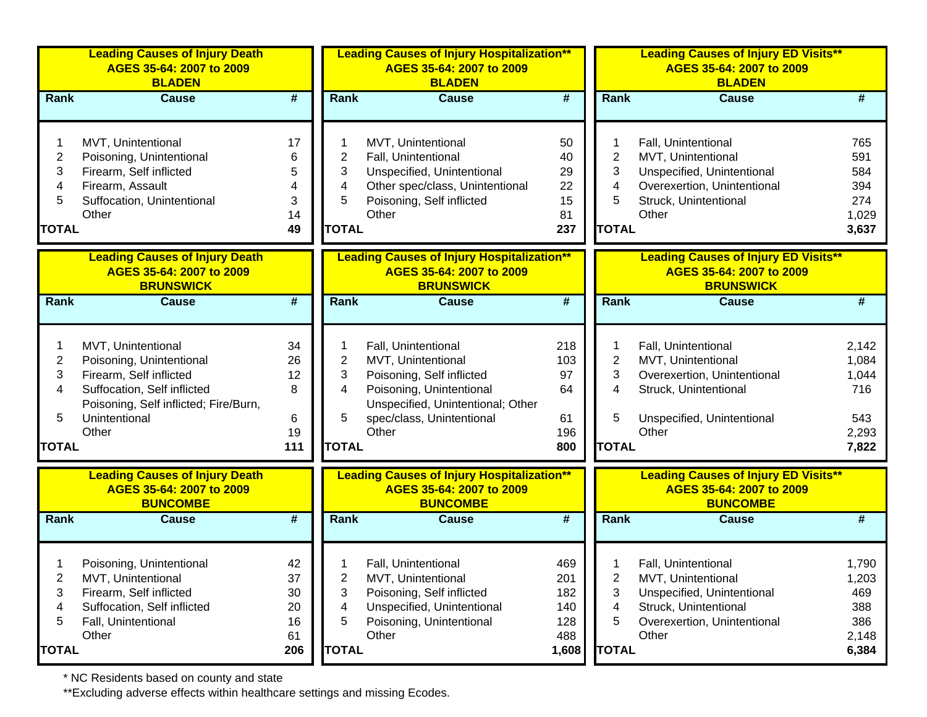|                                               | <b>Leading Causes of Injury Death</b><br>AGES 35-64: 2007 to 2009<br><b>BLADEN</b>                                                                                          |                                       |                                  | <b>Leading Causes of Injury Hospitalization**</b><br>AGES 35-64: 2007 to 2009<br><b>BLADEN</b>                                                                                |                                            |                                  | <b>Leading Causes of Injury ED Visits**</b><br>AGES 35-64: 2007 to 2009<br><b>BLADEN</b>                                                 |                                                         |
|-----------------------------------------------|-----------------------------------------------------------------------------------------------------------------------------------------------------------------------------|---------------------------------------|----------------------------------|-------------------------------------------------------------------------------------------------------------------------------------------------------------------------------|--------------------------------------------|----------------------------------|------------------------------------------------------------------------------------------------------------------------------------------|---------------------------------------------------------|
| Rank                                          | <b>Cause</b>                                                                                                                                                                | $\overline{\boldsymbol{t}}$           | Rank                             | <b>Cause</b>                                                                                                                                                                  | $\overline{\boldsymbol{H}}$                | Rank                             | <b>Cause</b>                                                                                                                             | #                                                       |
| $\overline{c}$<br>3<br>4<br>5<br><b>TOTAL</b> | MVT, Unintentional<br>Poisoning, Unintentional<br>Firearm, Self inflicted<br>Firearm, Assault<br>Suffocation, Unintentional<br>Other                                        | 17<br>6<br>5<br>4<br>3<br>14<br>49    | 2<br>3<br>4<br>5<br><b>TOTAL</b> | MVT, Unintentional<br>Fall, Unintentional<br>Unspecified, Unintentional<br>Other spec/class, Unintentional<br>Poisoning, Self inflicted<br>Other                              | 50<br>40<br>29<br>22<br>15<br>81<br>237    | 2<br>3<br>4<br>5<br><b>TOTAL</b> | Fall, Unintentional<br>MVT, Unintentional<br>Unspecified, Unintentional<br>Overexertion, Unintentional<br>Struck, Unintentional<br>Other | 765<br>591<br>584<br>394<br>274<br>1,029<br>3,637       |
|                                               | <b>Leading Causes of Injury Death</b><br>AGES 35-64: 2007 to 2009<br><b>BRUNSWICK</b>                                                                                       |                                       |                                  | <b>Leading Causes of Injury Hospitalization**</b><br>AGES 35-64: 2007 to 2009<br><b>BRUNSWICK</b>                                                                             |                                            |                                  | <b>Leading Causes of Injury ED Visits**</b><br>AGES 35-64: 2007 to 2009<br><b>BRUNSWICK</b>                                              |                                                         |
| Rank                                          | <b>Cause</b>                                                                                                                                                                | $\overline{\boldsymbol{t}}$           | Rank                             | <b>Cause</b>                                                                                                                                                                  | $\overline{\boldsymbol{t}}$                | Rank                             | <b>Cause</b>                                                                                                                             | #                                                       |
| 2<br>3<br>4<br>5<br><b>TOTAL</b>              | MVT, Unintentional<br>Poisoning, Unintentional<br>Firearm, Self inflicted<br>Suffocation, Self inflicted<br>Poisoning, Self inflicted; Fire/Burn,<br>Unintentional<br>Other | 34<br>26<br>12<br>8<br>6<br>19<br>111 | 2<br>3<br>4<br>5<br><b>TOTAL</b> | Fall, Unintentional<br>MVT, Unintentional<br>Poisoning, Self inflicted<br>Poisoning, Unintentional<br>Unspecified, Unintentional; Other<br>spec/class, Unintentional<br>Other | 218<br>103<br>97<br>64<br>61<br>196<br>800 | 2<br>3<br>4<br>5<br><b>TOTAL</b> | Fall, Unintentional<br>MVT, Unintentional<br>Overexertion, Unintentional<br>Struck, Unintentional<br>Unspecified, Unintentional<br>Other | 2,142<br>1,084<br>1,044<br>716<br>543<br>2,293<br>7,822 |
|                                               | <b>Leading Causes of Injury Death</b><br>AGES 35-64: 2007 to 2009                                                                                                           |                                       |                                  | <b>Leading Causes of Injury Hospitalization**</b><br>AGES 35-64: 2007 to 2009                                                                                                 |                                            |                                  | <b>Leading Causes of Injury ED Visits**</b><br>AGES 35-64: 2007 to 2009                                                                  |                                                         |
| Rank                                          | <b>BUNCOMBE</b><br><b>Cause</b>                                                                                                                                             | $\overline{\boldsymbol{t}}$           | Rank                             | <b>BUNCOMBE</b><br><b>Cause</b>                                                                                                                                               | #                                          | Rank                             | <b>BUNCOMBE</b><br><b>Cause</b>                                                                                                          | #                                                       |
| 2<br>3<br>4<br>5                              | Poisoning, Unintentional<br>MVT, Unintentional<br>Firearm, Self inflicted<br>Suffocation, Self inflicted<br>Fall, Unintentional<br>Other                                    | 42<br>37<br>30<br>20<br>16<br>61      | 2<br>3<br>4<br>5                 | Fall, Unintentional<br>MVT, Unintentional<br>Poisoning, Self inflicted<br>Unspecified, Unintentional<br>Poisoning, Unintentional<br>Other                                     | 469<br>201<br>182<br>140<br>128<br>488     | 2<br>3<br>4<br>5                 | Fall, Unintentional<br>MVT, Unintentional<br>Unspecified, Unintentional<br>Struck, Unintentional<br>Overexertion, Unintentional<br>Other | 1,790<br>1,203<br>469<br>388<br>386<br>2,148            |
| <b>TOTAL</b>                                  |                                                                                                                                                                             | 206                                   | <b>TOTAL</b>                     |                                                                                                                                                                               | 1,608                                      | <b>TOTAL</b>                     |                                                                                                                                          | 6,384                                                   |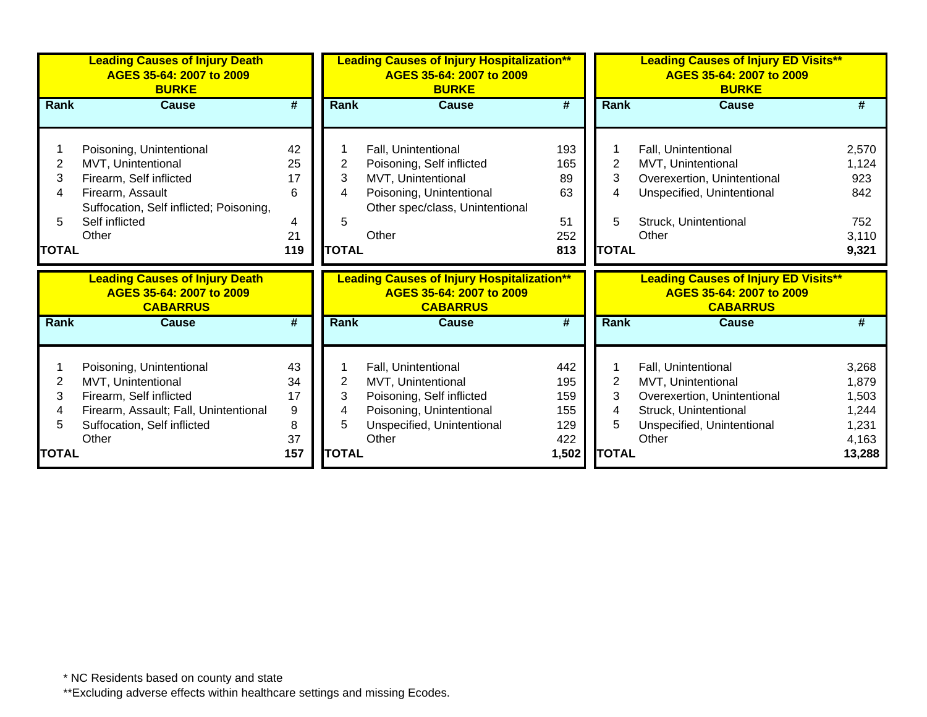|              | <b>Leading Causes of Injury Death</b><br>AGES 35-64: 2007 to 2009<br><b>BURKE</b> |                        |              | <b>Leading Causes of Injury Hospitalization**</b><br>AGES 35-64: 2007 to 2009<br><b>BURKE</b> |            |              | <b>Leading Causes of Injury ED Visits**</b><br>AGES 35-64: 2007 to 2009<br><b>BURKE</b> |                |
|--------------|-----------------------------------------------------------------------------------|------------------------|--------------|-----------------------------------------------------------------------------------------------|------------|--------------|-----------------------------------------------------------------------------------------|----------------|
| <b>Rank</b>  | <b>Cause</b>                                                                      | #                      | <b>Rank</b>  | <b>Cause</b>                                                                                  | #          | <b>Rank</b>  | <b>Cause</b>                                                                            | #              |
|              |                                                                                   |                        |              |                                                                                               |            |              |                                                                                         |                |
|              | Poisoning, Unintentional                                                          | 42                     |              | Fall, Unintentional                                                                           | 193        |              | Fall, Unintentional                                                                     | 2,570          |
| 2            | MVT, Unintentional                                                                | 25                     | 2            | Poisoning, Self inflicted                                                                     | 165        | 2            | MVT, Unintentional                                                                      | 1,124          |
| 3            | Firearm, Self inflicted                                                           | 17                     | 3            | MVT, Unintentional                                                                            | 89         | 3            | Overexertion, Unintentional                                                             | 923            |
| 4            | Firearm, Assault                                                                  | 6                      | 4            | Poisoning, Unintentional                                                                      | 63         | 4            | Unspecified, Unintentional                                                              | 842            |
|              | Suffocation, Self inflicted; Poisoning,                                           |                        |              | Other spec/class, Unintentional                                                               |            |              |                                                                                         |                |
| 5.           | Self inflicted                                                                    | 4                      | 5            |                                                                                               | 51         | 5            | Struck, Unintentional                                                                   | 752            |
|              | Other                                                                             | 21                     |              | Other                                                                                         | 252        |              | Other                                                                                   | 3,110          |
| <b>TOTAL</b> |                                                                                   | 119                    | <b>TOTAL</b> |                                                                                               | 813        | <b>TOTAL</b> |                                                                                         | 9,321          |
|              | <b>Leading Causes of Injury Death</b><br>AGES 35-64: 2007 to 2009                 |                        |              | <b>Leading Causes of Injury Hospitalization**</b>                                             |            |              | <b>Leading Causes of Injury ED Visits**</b>                                             |                |
|              | <b>CABARRUS</b>                                                                   |                        |              | AGES 35-64: 2007 to 2009<br><b>CABARRUS</b>                                                   |            |              | AGES 35-64: 2007 to 2009<br><b>CABARRUS</b>                                             |                |
| Rank         | <b>Cause</b>                                                                      | #                      | Rank         | <b>Cause</b>                                                                                  | #          | Rank         | <b>Cause</b>                                                                            | #              |
|              |                                                                                   |                        |              |                                                                                               |            |              |                                                                                         |                |
|              | Poisoning, Unintentional                                                          | 43                     |              | Fall, Unintentional                                                                           | 442        |              | Fall, Unintentional                                                                     | 3,268          |
| 2            | MVT, Unintentional                                                                | 34                     | 2            | MVT, Unintentional                                                                            | 195        | 2<br>3       | MVT, Unintentional                                                                      | 1,879          |
| 3            | Firearm, Self inflicted                                                           | 17<br>$\boldsymbol{9}$ | 3<br>4       | Poisoning, Self inflicted                                                                     | 159<br>155 | 4            | Overexertion, Unintentional                                                             | 1,503<br>1,244 |
|              | Firearm, Assault; Fall, Unintentional<br>Suffocation, Self inflicted              | 8                      | 5            | Poisoning, Unintentional<br>Unspecified, Unintentional                                        | 129        | 5            | Struck, Unintentional<br>Unspecified, Unintentional                                     | 1,231          |
|              | Other                                                                             | 37                     |              | Other                                                                                         | 422        |              | Other                                                                                   | 4,163          |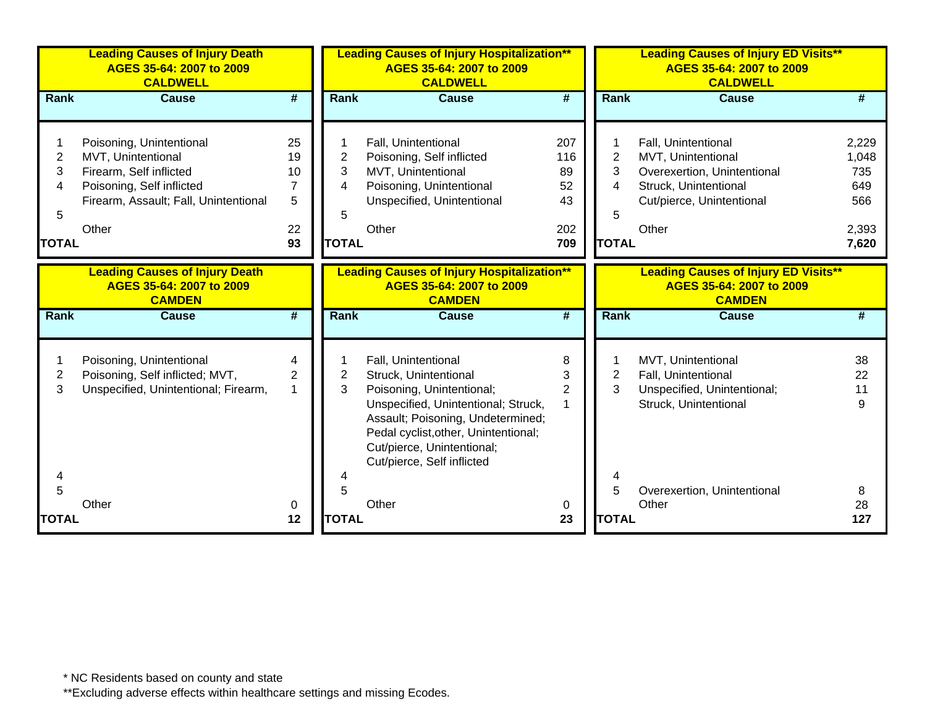|                                               | <b>Leading Causes of Injury Death</b><br>AGES 35-64: 2007 to 2009<br><b>CALDWELL</b>                                                                     |                                       |                                               | <b>Leading Causes of Injury Hospitalization**</b><br>AGES 35-64: 2007 to 2009<br><b>CALDWELL</b>                                                                                                                                                          |                                            |                                               | <b>Leading Causes of Injury ED Visits**</b><br>AGES 35-64: 2007 to 2009<br><b>CALDWELL</b>                                              |                                                       |
|-----------------------------------------------|----------------------------------------------------------------------------------------------------------------------------------------------------------|---------------------------------------|-----------------------------------------------|-----------------------------------------------------------------------------------------------------------------------------------------------------------------------------------------------------------------------------------------------------------|--------------------------------------------|-----------------------------------------------|-----------------------------------------------------------------------------------------------------------------------------------------|-------------------------------------------------------|
| Rank                                          | <b>Cause</b>                                                                                                                                             | #                                     | <b>Rank</b>                                   | <b>Cause</b>                                                                                                                                                                                                                                              | $\overline{\boldsymbol{t}}$                | <b>Rank</b>                                   | <b>Cause</b>                                                                                                                            | #                                                     |
| $\overline{2}$<br>3<br>4<br>5<br><b>TOTAL</b> | Poisoning, Unintentional<br>MVT, Unintentional<br>Firearm, Self inflicted<br>Poisoning, Self inflicted<br>Firearm, Assault; Fall, Unintentional<br>Other | 25<br>19<br>10<br>7<br>5<br>22<br>93  | $\overline{2}$<br>3<br>4<br>5<br><b>TOTAL</b> | Fall, Unintentional<br>Poisoning, Self inflicted<br>MVT, Unintentional<br>Poisoning, Unintentional<br>Unspecified, Unintentional<br>Other                                                                                                                 | 207<br>116<br>89<br>52<br>43<br>202<br>709 | $\overline{2}$<br>3<br>4<br>5<br><b>TOTAL</b> | Fall, Unintentional<br>MVT, Unintentional<br>Overexertion, Unintentional<br>Struck, Unintentional<br>Cut/pierce, Unintentional<br>Other | 2,229<br>1,048<br>735<br>649<br>566<br>2,393<br>7,620 |
|                                               | <b>Leading Causes of Injury Death</b><br>AGES 35-64: 2007 to 2009<br><b>CAMDEN</b>                                                                       |                                       |                                               | <b>Leading Causes of Injury Hospitalization**</b><br>AGES 35-64: 2007 to 2009<br><b>CAMDEN</b>                                                                                                                                                            |                                            |                                               | <b>Leading Causes of Injury ED Visits**</b><br>AGES 35-64: 2007 to 2009<br><b>CAMDEN</b>                                                |                                                       |
| Rank                                          | <b>Cause</b>                                                                                                                                             | $\overline{\boldsymbol{r}}$           | <b>Rank</b>                                   | <b>Cause</b>                                                                                                                                                                                                                                              | $\overline{\boldsymbol{t}}$                | <b>Rank</b>                                   | <b>Cause</b>                                                                                                                            |                                                       |
| $\overline{2}$<br>3<br>4                      | Poisoning, Unintentional<br>Poisoning, Self inflicted; MVT,<br>Unspecified, Unintentional; Firearm,                                                      | 4<br>$\overline{2}$<br>$\overline{1}$ | $\overline{c}$<br>3                           | Fall, Unintentional<br>Struck, Unintentional<br>Poisoning, Unintentional;<br>Unspecified, Unintentional; Struck,<br>Assault; Poisoning, Undetermined;<br>Pedal cyclist, other, Unintentional;<br>Cut/pierce, Unintentional;<br>Cut/pierce, Self inflicted | 8<br>3<br>$\overline{2}$                   | $\overline{2}$<br>3                           | MVT, Unintentional<br>Fall, Unintentional<br>Unspecified, Unintentional;<br>Struck, Unintentional                                       | 38<br>22<br>11<br>9                                   |
| 5<br><b>TOTAL</b>                             | Other                                                                                                                                                    | 0<br>12                               | 5<br><b>TOTAL</b>                             | Other                                                                                                                                                                                                                                                     | 0<br>23                                    | 5<br><b>TOTAL</b>                             | Overexertion, Unintentional<br>Other                                                                                                    | 8<br>28<br>127                                        |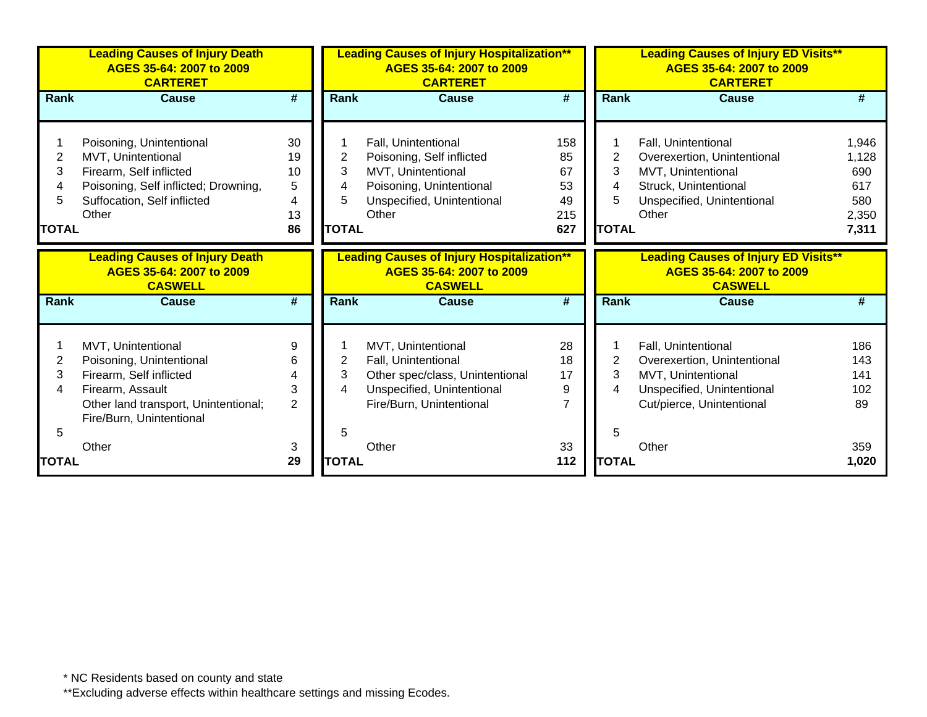|                                  | <b>Leading Causes of Injury Death</b><br>AGES 35-64: 2007 to 2009<br><b>CARTERET</b>                                                                              |                                      |                                  | <b>Leading Causes of Injury Hospitalization**</b><br>AGES 35-64: 2007 to 2009<br><b>CARTERET</b>                                          |                                           |                                  | <b>Leading Causes of Injury ED Visits**</b><br>AGES 35-64: 2007 to 2009<br><b>CARTERET</b>                                               |                                                       |
|----------------------------------|-------------------------------------------------------------------------------------------------------------------------------------------------------------------|--------------------------------------|----------------------------------|-------------------------------------------------------------------------------------------------------------------------------------------|-------------------------------------------|----------------------------------|------------------------------------------------------------------------------------------------------------------------------------------|-------------------------------------------------------|
| <b>Rank</b>                      | <b>Cause</b>                                                                                                                                                      | #                                    | <b>Rank</b>                      | <b>Cause</b>                                                                                                                              | #                                         | Rank                             | <b>Cause</b>                                                                                                                             | #                                                     |
| 2<br>3<br>4<br>5<br><b>TOTAL</b> | Poisoning, Unintentional<br>MVT, Unintentional<br>Firearm, Self inflicted<br>Poisoning, Self inflicted; Drowning,<br>Suffocation, Self inflicted<br>Other         | 30<br>19<br>10<br>5<br>4<br>13<br>86 | 2<br>3<br>4<br>5<br><b>TOTAL</b> | Fall, Unintentional<br>Poisoning, Self inflicted<br>MVT, Unintentional<br>Poisoning, Unintentional<br>Unspecified, Unintentional<br>Other | 158<br>85<br>67<br>53<br>49<br>215<br>627 | 2<br>3<br>4<br>5<br><b>TOTAL</b> | Fall, Unintentional<br>Overexertion, Unintentional<br>MVT, Unintentional<br>Struck, Unintentional<br>Unspecified, Unintentional<br>Other | 1,946<br>1,128<br>690<br>617<br>580<br>2,350<br>7,311 |
|                                  | <b>Leading Causes of Injury Death</b><br>AGES 35-64: 2007 to 2009<br><b>CASWELL</b>                                                                               |                                      |                                  | <b>Leading Causes of Injury Hospitalization**</b><br>AGES 35-64: 2007 to 2009<br><b>CASWELL</b>                                           |                                           |                                  | <b>Leading Causes of Injury ED Visits**</b><br>AGES 35-64: 2007 to 2009<br><b>CASWELL</b>                                                |                                                       |
| <b>Rank</b>                      | <b>Cause</b>                                                                                                                                                      | #                                    | <b>Rank</b>                      | <b>Cause</b>                                                                                                                              | #                                         | Rank                             | <b>Cause</b>                                                                                                                             | #                                                     |
| 2<br>3<br>4<br>5                 | MVT, Unintentional<br>Poisoning, Unintentional<br>Firearm, Self inflicted<br>Firearm, Assault<br>Other land transport, Unintentional;<br>Fire/Burn, Unintentional | 9<br>6<br>4<br>3<br>$\overline{2}$   | 2<br>3<br>4<br>5                 | MVT, Unintentional<br>Fall, Unintentional<br>Other spec/class, Unintentional<br>Unspecified, Unintentional<br>Fire/Burn, Unintentional    | 28<br>18<br>17<br>9<br>$\overline{7}$     | $\overline{2}$<br>3<br>4<br>5    | Fall, Unintentional<br>Overexertion, Unintentional<br>MVT, Unintentional<br>Unspecified, Unintentional<br>Cut/pierce, Unintentional      | 186<br>143<br>141<br>102<br>89                        |
| TOTAL                            | Other                                                                                                                                                             | 3<br>29                              | <b>TOTAL</b>                     | Other                                                                                                                                     | 33<br>112                                 | <b>TOTAL</b>                     | Other                                                                                                                                    | 359<br>1,020                                          |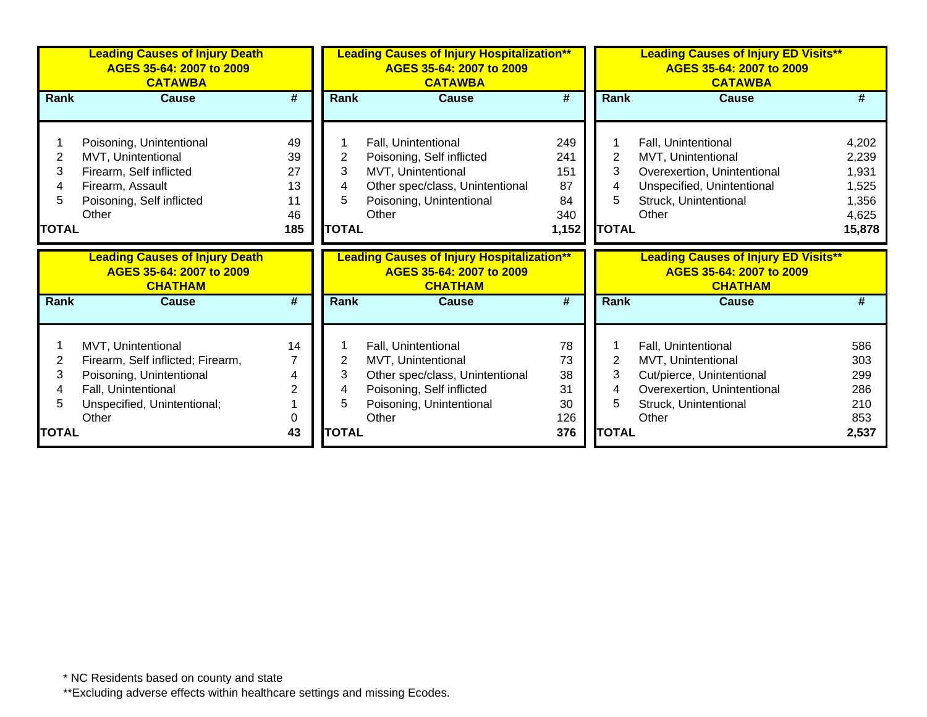|              | <b>Leading Causes of Injury Death</b><br>AGES 35-64: 2007 to 2009<br><b>CATAWBA</b> |                             |                | <b>Leading Causes of Injury Hospitalization**</b><br>AGES 35-64: 2007 to 2009<br><b>CATAWBA</b> |            |                | <b>Leading Causes of Injury ED Visits**</b><br>AGES 35-64: 2007 to 2009<br><b>CATAWBA</b> |              |
|--------------|-------------------------------------------------------------------------------------|-----------------------------|----------------|-------------------------------------------------------------------------------------------------|------------|----------------|-------------------------------------------------------------------------------------------|--------------|
| Rank         | <b>Cause</b>                                                                        | #                           | Rank           | <b>Cause</b>                                                                                    | #          | Rank           | <b>Cause</b>                                                                              | #            |
|              |                                                                                     |                             |                |                                                                                                 |            |                |                                                                                           |              |
|              | Poisoning, Unintentional                                                            | 49                          |                | Fall, Unintentional                                                                             | 249        |                | Fall, Unintentional                                                                       | 4,202        |
| 2            | MVT, Unintentional                                                                  | 39                          | 2              | Poisoning, Self inflicted                                                                       | 241        | $\overline{2}$ | MVT, Unintentional                                                                        | 2,239        |
| 3            | Firearm, Self inflicted                                                             | 27                          | 3              | MVT, Unintentional                                                                              | 151        | 3              | Overexertion, Unintentional                                                               | 1,931        |
| 4            | Firearm, Assault                                                                    | 13                          | 4              | Other spec/class, Unintentional                                                                 | 87         | 4              | Unspecified, Unintentional                                                                | 1,525        |
| 5.           | Poisoning, Self inflicted                                                           | 11                          | 5              | Poisoning, Unintentional                                                                        | 84         | 5              | Struck, Unintentional                                                                     | 1,356        |
|              | Other                                                                               | 46                          |                | Other                                                                                           | 340        |                | Other                                                                                     | 4,625        |
| <b>TOTAL</b> |                                                                                     | 185                         | <b>TOTAL</b>   |                                                                                                 | 1,152      | <b>TOTAL</b>   |                                                                                           | 15,878       |
|              |                                                                                     |                             |                |                                                                                                 |            |                |                                                                                           |              |
|              | <b>Leading Causes of Injury Death</b><br>AGES 35-64: 2007 to 2009<br><b>CHATHAM</b> |                             |                | <b>Leading Causes of Injury Hospitalization**</b><br>AGES 35-64: 2007 to 2009<br><b>CHATHAM</b> |            |                | <b>Leading Causes of Injury ED Visits**</b><br>AGES 35-64: 2007 to 2009<br><b>CHATHAM</b> |              |
| Rank         | <b>Cause</b>                                                                        | $\overline{\boldsymbol{t}}$ | <b>Rank</b>    | <b>Cause</b>                                                                                    | #          | Rank           | <b>Cause</b>                                                                              | #            |
|              |                                                                                     |                             |                |                                                                                                 |            |                |                                                                                           |              |
|              | MVT, Unintentional                                                                  | 14                          |                | Fall, Unintentional                                                                             | 78         |                | Fall, Unintentional                                                                       | 586          |
| 2            | Firearm, Self inflicted; Firearm,                                                   |                             | $\overline{2}$ | MVT, Unintentional                                                                              | 73         | $\overline{2}$ | MVT, Unintentional                                                                        | 303          |
| 3            | Poisoning, Unintentional                                                            | 4                           | 3              | Other spec/class, Unintentional                                                                 | 38         | 3              | Cut/pierce, Unintentional                                                                 | 299          |
| 4            | Fall, Unintentional                                                                 | 2                           | 4              | Poisoning, Self inflicted                                                                       | 31         | 4              | Overexertion, Unintentional                                                               | 286          |
| 5            | Unspecified, Unintentional;                                                         |                             | 5              | Poisoning, Unintentional                                                                        | 30         | 5              | Struck, Unintentional                                                                     | 210          |
| <b>TOTAL</b> | Other                                                                               | 0<br>43                     | <b>TOTAL</b>   | Other                                                                                           | 126<br>376 | <b>TOTAL</b>   | Other                                                                                     | 853<br>2,537 |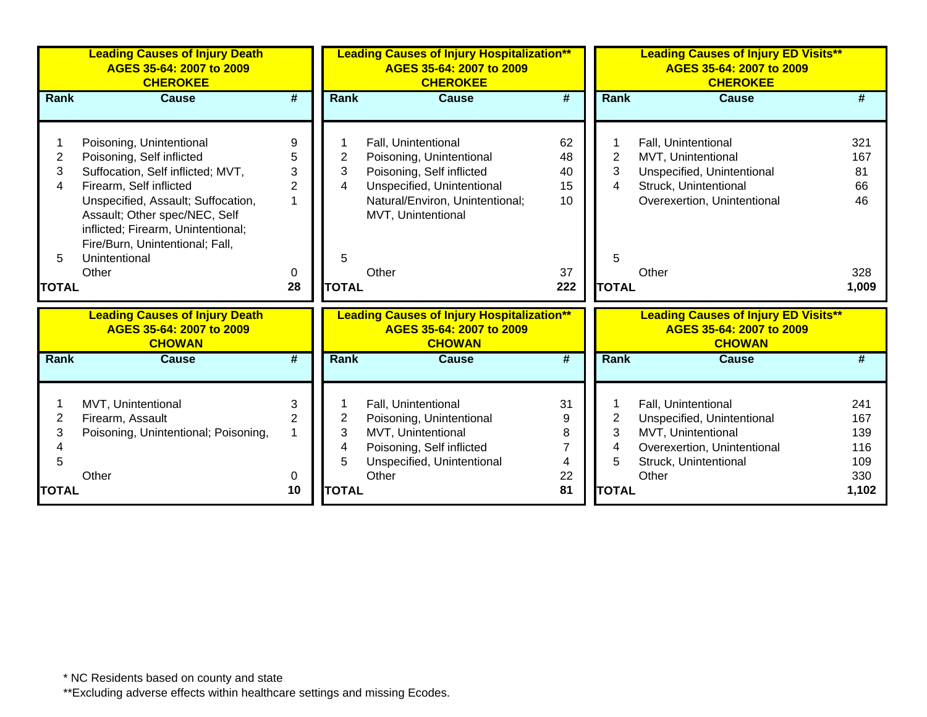|                | <b>Leading Causes of Injury Death</b><br>AGES 35-64: 2007 to 2009<br><b>CHEROKEE</b>                                                         |                             |              | <b>Leading Causes of Injury Hospitalization**</b><br>AGES 35-64: 2007 to 2009<br><b>CHEROKEE</b> |                             |                | <b>Leading Causes of Injury ED Visits**</b><br>AGES 35-64: 2007 to 2009<br><b>CHEROKEE</b> |       |
|----------------|----------------------------------------------------------------------------------------------------------------------------------------------|-----------------------------|--------------|--------------------------------------------------------------------------------------------------|-----------------------------|----------------|--------------------------------------------------------------------------------------------|-------|
| <b>Rank</b>    | <b>Cause</b>                                                                                                                                 | #                           | Rank         | <b>Cause</b>                                                                                     | #                           | Rank           | <b>Cause</b>                                                                               | #     |
|                |                                                                                                                                              |                             |              |                                                                                                  |                             |                |                                                                                            |       |
|                | Poisoning, Unintentional                                                                                                                     | 9                           |              | Fall, Unintentional                                                                              | 62                          |                | Fall, Unintentional                                                                        | 321   |
| $\overline{2}$ | Poisoning, Self inflicted                                                                                                                    | 5                           | 2            | Poisoning, Unintentional                                                                         | 48                          | $\overline{2}$ | MVT, Unintentional                                                                         | 167   |
| 3              | Suffocation, Self inflicted; MVT,                                                                                                            | 3                           | 3            | Poisoning, Self inflicted                                                                        | 40                          | 3              | Unspecified, Unintentional                                                                 | 81    |
| 4              | Firearm, Self inflicted                                                                                                                      | $\overline{2}$              | 4            | Unspecified, Unintentional                                                                       | 15                          | 4              | Struck, Unintentional                                                                      | 66    |
|                | Unspecified, Assault; Suffocation,<br>Assault; Other spec/NEC, Self<br>inflicted; Firearm, Unintentional;<br>Fire/Burn, Unintentional; Fall, |                             |              | Natural/Environ, Unintentional;<br>MVT, Unintentional                                            | 10                          |                | Overexertion, Unintentional                                                                | 46    |
| 5              | Unintentional                                                                                                                                |                             | 5            |                                                                                                  |                             | 5              |                                                                                            |       |
|                | Other                                                                                                                                        | 0                           |              | Other                                                                                            | 37                          |                | Other                                                                                      | 328   |
| <b>TOTAL</b>   |                                                                                                                                              | 28                          | <b>TOTAL</b> |                                                                                                  | 222                         | <b>TOTAL</b>   |                                                                                            | 1,009 |
|                | <b>Leading Causes of Injury Death</b><br>AGES 35-64: 2007 to 2009<br><b>CHOWAN</b>                                                           |                             |              | <b>Leading Causes of Injury Hospitalization**</b><br>AGES 35-64: 2007 to 2009<br><b>CHOWAN</b>   |                             |                | <b>Leading Causes of Injury ED Visits**</b><br>AGES 35-64: 2007 to 2009<br><b>CHOWAN</b>   |       |
| <b>Rank</b>    | <b>Cause</b>                                                                                                                                 | $\overline{\boldsymbol{t}}$ | <b>Rank</b>  | <b>Cause</b>                                                                                     | $\overline{\boldsymbol{t}}$ | <b>Rank</b>    | <b>Cause</b>                                                                               | #     |
|                | MVT, Unintentional                                                                                                                           | 3                           |              | Fall, Unintentional                                                                              | 31                          |                | Fall, Unintentional                                                                        | 241   |
| 2              | Firearm, Assault                                                                                                                             | $\overline{2}$              | 2            | Poisoning, Unintentional                                                                         | 9                           | 2              | Unspecified, Unintentional                                                                 | 167   |
| 3              | Poisoning, Unintentional; Poisoning,                                                                                                         |                             | 3            | MVT, Unintentional                                                                               | 8                           | 3              | MVT, Unintentional                                                                         | 139   |
| 4              |                                                                                                                                              |                             | 4            | Poisoning, Self inflicted                                                                        |                             | 4              | Overexertion, Unintentional                                                                | 116   |
| 5              |                                                                                                                                              |                             | 5            | Unspecified, Unintentional                                                                       | 4                           | 5              | Struck, Unintentional                                                                      | 109   |
|                | Other                                                                                                                                        | 0                           |              | Other                                                                                            | 22                          |                | Other                                                                                      | 330   |
| <b>TOTAL</b>   |                                                                                                                                              | 10                          | <b>TOTAL</b> |                                                                                                  | 81                          | <b>TOTAL</b>   |                                                                                            | 1,102 |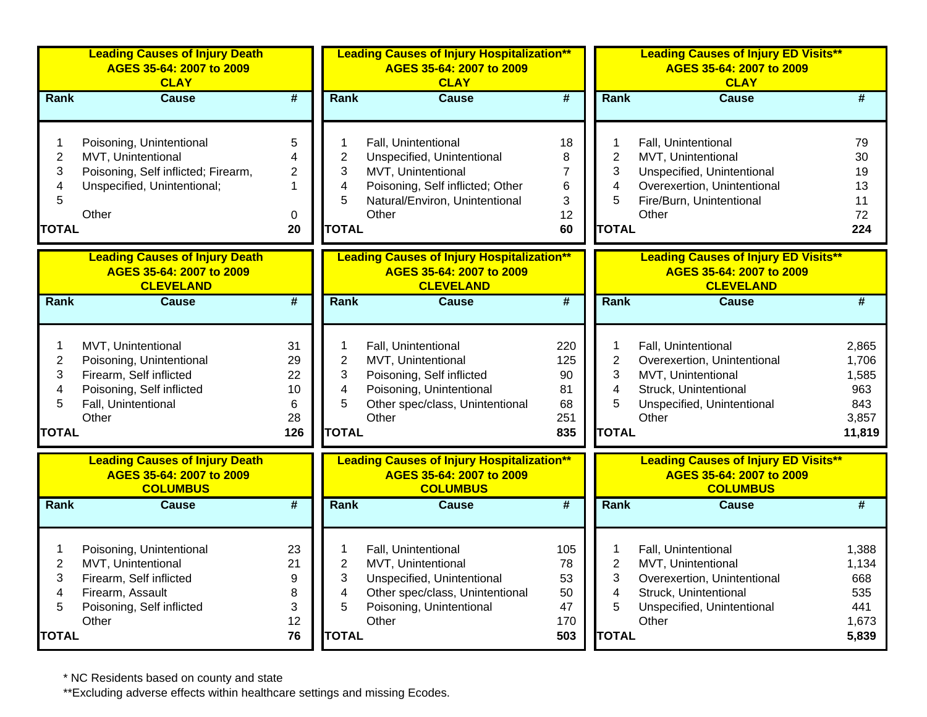|                                                             | <b>Leading Causes of Injury Death</b><br>AGES 35-64: 2007 to 2009<br><b>CLAY</b>                                                       |                                                    |                                                                          | <b>Leading Causes of Injury Hospitalization**</b><br>AGES 35-64: 2007 to 2009<br><b>CLAY</b>                                                           |                                                 |                                                                 | <b>Leading Causes of Injury ED Visits**</b><br>AGES 35-64: 2007 to 2009<br><b>CLAY</b>                                                      |                                                          |
|-------------------------------------------------------------|----------------------------------------------------------------------------------------------------------------------------------------|----------------------------------------------------|--------------------------------------------------------------------------|--------------------------------------------------------------------------------------------------------------------------------------------------------|-------------------------------------------------|-----------------------------------------------------------------|---------------------------------------------------------------------------------------------------------------------------------------------|----------------------------------------------------------|
| <b>Rank</b>                                                 | <b>Cause</b>                                                                                                                           | #                                                  | Rank                                                                     | <b>Cause</b>                                                                                                                                           | $\overline{\#}$                                 | Rank                                                            | <b>Cause</b>                                                                                                                                | #                                                        |
| 1<br>$\overline{\mathbf{c}}$<br>3<br>4<br>5<br><b>TOTAL</b> | Poisoning, Unintentional<br>MVT, Unintentional<br>Poisoning, Self inflicted; Firearm,<br>Unspecified, Unintentional;<br>Other          | 5<br>4<br>$\overline{2}$<br>$\mathbf 1$<br>0<br>20 | 1<br>2<br>3<br>4<br>5<br><b>TOTAL</b>                                    | Fall, Unintentional<br>Unspecified, Unintentional<br>MVT, Unintentional<br>Poisoning, Self inflicted; Other<br>Natural/Environ, Unintentional<br>Other | 18<br>8<br>$\overline{7}$<br>6<br>3<br>12<br>60 | 1<br>$\mathbf 2$<br>3<br>4<br>5<br><b>TOTAL</b>                 | Fall, Unintentional<br>MVT, Unintentional<br>Unspecified, Unintentional<br>Overexertion, Unintentional<br>Fire/Burn, Unintentional<br>Other | 79<br>30<br>19<br>13<br>11<br>72<br>224                  |
|                                                             | <b>Leading Causes of Injury Death</b><br>AGES 35-64: 2007 to 2009<br><b>CLEVELAND</b>                                                  |                                                    |                                                                          | <b>Leading Causes of Injury Hospitalization**</b><br>AGES 35-64: 2007 to 2009<br><b>CLEVELAND</b>                                                      |                                                 |                                                                 | <b>Leading Causes of Injury ED Visits**</b><br>AGES 35-64: 2007 to 2009<br><b>CLEVELAND</b>                                                 |                                                          |
| Rank                                                        | Cause                                                                                                                                  | $\overline{\#}$                                    | Rank                                                                     | <b>Cause</b>                                                                                                                                           | $\overline{\boldsymbol{t}}$                     | Rank                                                            | Cause                                                                                                                                       | $\overline{\#}$                                          |
| 1<br>$\boldsymbol{2}$<br>3<br>4<br>5<br><b>TOTAL</b>        | MVT, Unintentional<br>Poisoning, Unintentional<br>Firearm, Self inflicted<br>Poisoning, Self inflicted<br>Fall, Unintentional<br>Other | 31<br>29<br>22<br>10<br>6<br>28<br>126             | 1<br>$\overline{2}$<br>3<br>4<br>5<br><b>TOTAL</b>                       | Fall, Unintentional<br>MVT, Unintentional<br>Poisoning, Self inflicted<br>Poisoning, Unintentional<br>Other spec/class, Unintentional<br>Other         | 220<br>125<br>90<br>81<br>68<br>251<br>835      | 1<br>$\overline{2}$<br>3<br>4<br>5<br><b>TOTAL</b>              | Fall, Unintentional<br>Overexertion, Unintentional<br>MVT, Unintentional<br>Struck, Unintentional<br>Unspecified, Unintentional<br>Other    | 2,865<br>1,706<br>1,585<br>963<br>843<br>3,857<br>11,819 |
|                                                             | <b>Leading Causes of Injury Death</b><br>AGES 35-64: 2007 to 2009<br><b>COLUMBUS</b>                                                   |                                                    |                                                                          | <b>Leading Causes of Injury Hospitalization**</b><br>AGES 35-64: 2007 to 2009<br><b>COLUMBUS</b>                                                       |                                                 |                                                                 | <b>Leading Causes of Injury ED Visits**</b><br>AGES 35-64: 2007 to 2009<br><b>COLUMBUS</b>                                                  |                                                          |
| <b>Rank</b>                                                 | <b>Cause</b>                                                                                                                           | #                                                  | Rank                                                                     | <b>Cause</b>                                                                                                                                           | #                                               | Rank                                                            | <b>Cause</b>                                                                                                                                | #                                                        |
| 1<br>$\overline{2}$<br>3<br>4<br>5<br><b>TOTAL</b>          | Poisoning, Unintentional<br>MVT, Unintentional<br>Firearm, Self inflicted<br>Firearm, Assault<br>Poisoning, Self inflicted<br>Other    | 23<br>21<br>9<br>8<br>3<br>12<br>76                | 1<br>$\overline{2}$<br>3<br>$\overline{\mathbf{4}}$<br>5<br><b>TOTAL</b> | Fall, Unintentional<br>MVT, Unintentional<br>Unspecified, Unintentional<br>Other spec/class, Unintentional<br>Poisoning, Unintentional<br>Other        | 105<br>78<br>53<br>50<br>47<br>170<br>503       | 1<br>$\overline{2}$<br>3<br>$\overline{4}$<br>5<br><b>TOTAL</b> | Fall, Unintentional<br>MVT, Unintentional<br>Overexertion, Unintentional<br>Struck, Unintentional<br>Unspecified, Unintentional<br>Other    | 1,388<br>1,134<br>668<br>535<br>441<br>1,673<br>5,839    |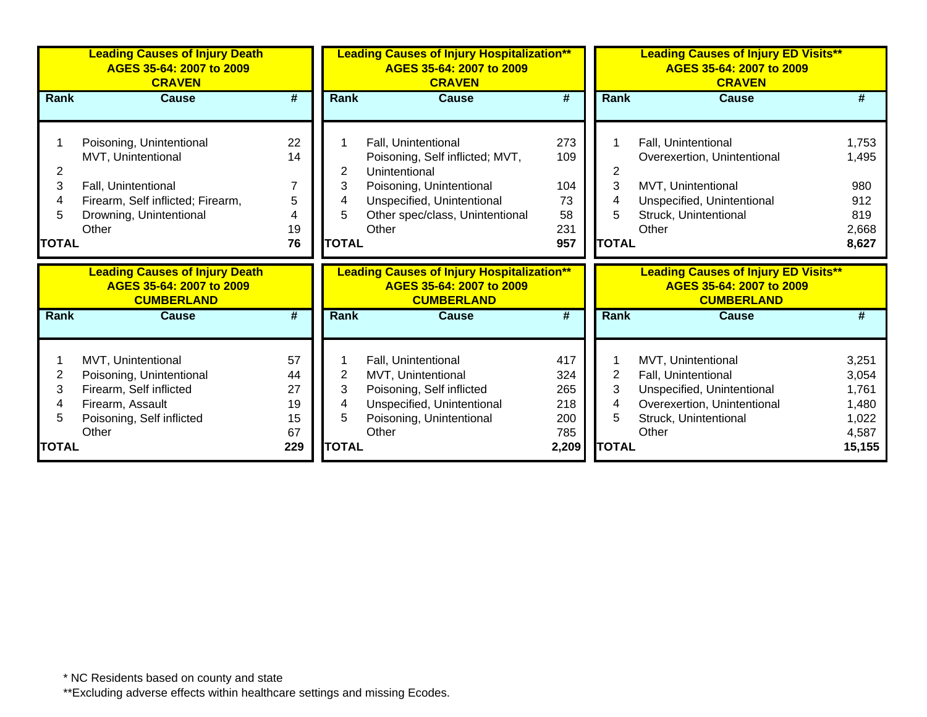|              | <b>Leading Causes of Injury Death</b><br>AGES 35-64: 2007 to 2009<br><b>CRAVEN</b>     |                 |              | <b>Leading Causes of Injury Hospitalization**</b><br>AGES 35-64: 2007 to 2009<br><b>CRAVEN</b>     |                             |              | <b>Leading Causes of Injury ED Visits**</b><br>AGES 35-64: 2007 to 2009<br><b>CRAVEN</b>     |                |
|--------------|----------------------------------------------------------------------------------------|-----------------|--------------|----------------------------------------------------------------------------------------------------|-----------------------------|--------------|----------------------------------------------------------------------------------------------|----------------|
| Rank         | <b>Cause</b>                                                                           | $\overline{\#}$ | <b>Rank</b>  | <b>Cause</b>                                                                                       | $\overline{\boldsymbol{t}}$ | <b>Rank</b>  | <b>Cause</b>                                                                                 | #              |
|              |                                                                                        |                 |              |                                                                                                    |                             |              |                                                                                              |                |
|              | Poisoning, Unintentional                                                               | 22              |              | Fall, Unintentional                                                                                | 273                         |              | Fall, Unintentional                                                                          | 1,753          |
|              | MVT, Unintentional                                                                     | 14              |              | Poisoning, Self inflicted; MVT,                                                                    | 109                         |              | Overexertion, Unintentional                                                                  | 1,495          |
| 2            |                                                                                        |                 | 2            | Unintentional                                                                                      |                             | 2            |                                                                                              |                |
| 3            | Fall, Unintentional                                                                    |                 | 3            | Poisoning, Unintentional                                                                           | 104                         | 3            | MVT, Unintentional                                                                           | 980            |
| 4            | Firearm, Self inflicted; Firearm,                                                      | 5               | 4            | Unspecified, Unintentional                                                                         | 73                          | 4            | Unspecified, Unintentional                                                                   | 912            |
| 5            | Drowning, Unintentional                                                                | 4               | 5            | Other spec/class, Unintentional                                                                    | 58                          | 5            | Struck, Unintentional                                                                        | 819            |
|              | Other                                                                                  | 19              |              | Other                                                                                              | 231                         |              | Other                                                                                        | 2,668          |
| <b>TOTAL</b> |                                                                                        | 76              | <b>TOTAL</b> |                                                                                                    | 957                         | <b>TOTAL</b> |                                                                                              | 8,627          |
|              |                                                                                        |                 |              |                                                                                                    |                             |              |                                                                                              |                |
|              | <b>Leading Causes of Injury Death</b><br>AGES 35-64: 2007 to 2009<br><b>CUMBERLAND</b> |                 |              | <b>Leading Causes of Injury Hospitalization**</b><br>AGES 35-64: 2007 to 2009<br><b>CUMBERLAND</b> |                             |              | <b>Leading Causes of Injury ED Visits**</b><br>AGES 35-64: 2007 to 2009<br><b>CUMBERLAND</b> |                |
| Rank         | <b>Cause</b>                                                                           | #               | Rank         | <b>Cause</b>                                                                                       | #                           | <b>Rank</b>  | <b>Cause</b>                                                                                 | #              |
|              |                                                                                        |                 |              |                                                                                                    |                             |              |                                                                                              |                |
|              | MVT, Unintentional                                                                     | 57              |              | Fall, Unintentional                                                                                | 417                         |              | MVT, Unintentional                                                                           | 3,251          |
| 2            | Poisoning, Unintentional                                                               | 44              | 2            | MVT, Unintentional                                                                                 | 324                         | 2            | Fall, Unintentional                                                                          | 3,054          |
| 3<br>4       | Firearm, Self inflicted                                                                | 27<br>19        | 3<br>4       | Poisoning, Self inflicted                                                                          | 265<br>218                  | 3<br>4       | Unspecified, Unintentional                                                                   | 1,761          |
| 5            | Firearm, Assault                                                                       | 15              | 5            | Unspecified, Unintentional                                                                         | 200                         | 5            | Overexertion, Unintentional                                                                  | 1,480          |
|              | Poisoning, Self inflicted<br>Other                                                     | 67              |              | Poisoning, Unintentional<br>Other                                                                  | 785                         |              | Struck, Unintentional<br>Other                                                               | 1,022<br>4,587 |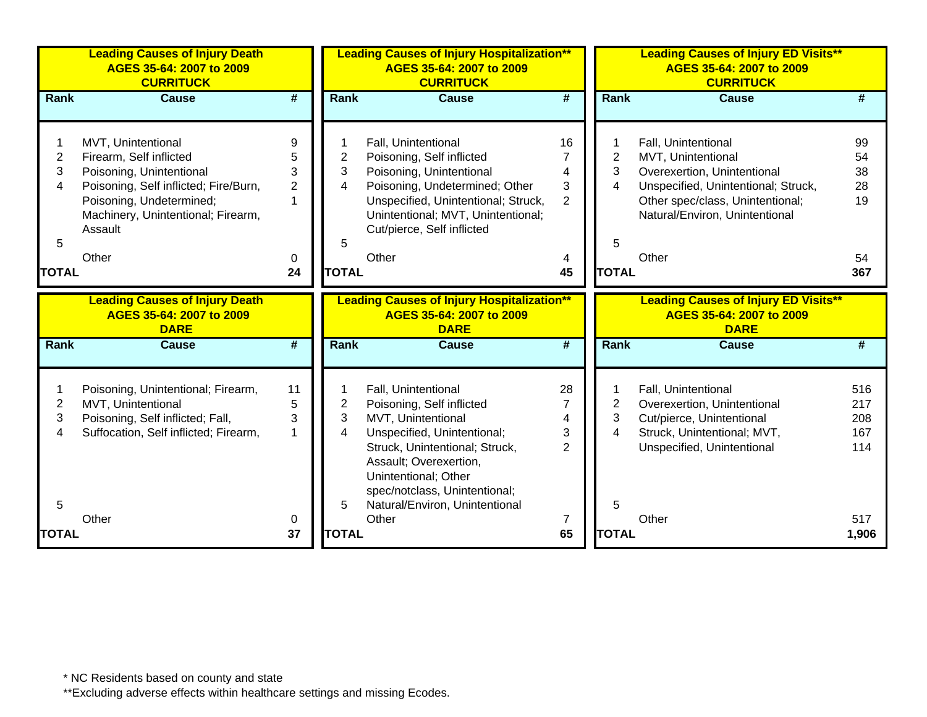|                               | <b>Leading Causes of Injury Death</b><br>AGES 35-64: 2007 to 2009<br><b>CURRITUCK</b>                                                                                                                    |                                                      |                                    | <b>Leading Causes of Injury Hospitalization**</b><br>AGES 35-64: 2007 to 2009<br><b>CURRITUCK</b>                                                                                                                                  |                                                  |                       | <b>Leading Causes of Injury ED Visits**</b><br>AGES 35-64: 2007 to 2009<br><b>CURRITUCK</b>                                                                                                    |                                  |
|-------------------------------|----------------------------------------------------------------------------------------------------------------------------------------------------------------------------------------------------------|------------------------------------------------------|------------------------------------|------------------------------------------------------------------------------------------------------------------------------------------------------------------------------------------------------------------------------------|--------------------------------------------------|-----------------------|------------------------------------------------------------------------------------------------------------------------------------------------------------------------------------------------|----------------------------------|
| Rank                          | <b>Cause</b>                                                                                                                                                                                             | #                                                    | <b>Rank</b>                        | <b>Cause</b>                                                                                                                                                                                                                       | #                                                | <b>Rank</b>           | <b>Cause</b>                                                                                                                                                                                   | #                                |
| $\overline{2}$<br>3<br>4<br>5 | MVT, Unintentional<br>Firearm, Self inflicted<br>Poisoning, Unintentional<br>Poisoning, Self inflicted; Fire/Burn,<br>Poisoning, Undetermined;<br>Machinery, Unintentional; Firearm,<br>Assault<br>Other | 9<br>5<br>3<br>$\overline{2}$<br>$\overline{1}$<br>0 | 1<br>$\overline{2}$<br>3<br>4<br>5 | Fall, Unintentional<br>Poisoning, Self inflicted<br>Poisoning, Unintentional<br>Poisoning, Undetermined; Other<br>Unspecified, Unintentional; Struck,<br>Unintentional; MVT, Unintentional;<br>Cut/pierce, Self inflicted<br>Other | 16<br>4<br>3<br>$\overline{2}$<br>4              | 1<br>2<br>3<br>4<br>5 | Fall, Unintentional<br>MVT, Unintentional<br>Overexertion, Unintentional<br>Unspecified, Unintentional; Struck,<br>Other spec/class, Unintentional;<br>Natural/Environ, Unintentional<br>Other | 99<br>54<br>38<br>28<br>19<br>54 |
| <b>TOTAL</b>                  |                                                                                                                                                                                                          | 24                                                   | <b>TOTAL</b>                       |                                                                                                                                                                                                                                    | 45                                               | <b>TOTAL</b>          |                                                                                                                                                                                                | 367                              |
|                               | <b>Leading Causes of Injury Death</b><br>AGES 35-64: 2007 to 2009<br><b>DARE</b>                                                                                                                         |                                                      |                                    | <b>Leading Causes of Injury Hospitalization**</b><br>AGES 35-64: 2007 to 2009<br><b>DARE</b>                                                                                                                                       |                                                  |                       | <b>Leading Causes of Injury ED Visits**</b><br>AGES 35-64: 2007 to 2009<br><b>DARE</b>                                                                                                         |                                  |
| <b>Rank</b>                   | <b>Cause</b>                                                                                                                                                                                             | #                                                    | <b>Rank</b>                        | <b>Cause</b>                                                                                                                                                                                                                       | #                                                | <b>Rank</b>           | Cause                                                                                                                                                                                          | #                                |
| 2<br>3<br>4<br>5              | Poisoning, Unintentional; Firearm,<br>MVT, Unintentional<br>Poisoning, Self inflicted; Fall,<br>Suffocation, Self inflicted; Firearm,                                                                    | 11<br>5<br>3<br>$\overline{1}$                       | 2<br>3<br>4<br>5                   | Fall, Unintentional<br>Poisoning, Self inflicted<br>MVT, Unintentional<br>Unspecified, Unintentional;<br>Struck, Unintentional; Struck,<br>Assault; Overexertion,<br>Unintentional; Other<br>spec/notclass, Unintentional;         | 28<br>$\overline{7}$<br>4<br>3<br>$\overline{2}$ | 2<br>3<br>4<br>5      | Fall, Unintentional<br>Overexertion, Unintentional<br>Cut/pierce, Unintentional<br>Struck, Unintentional; MVT,<br>Unspecified, Unintentional                                                   | 516<br>217<br>208<br>167<br>114  |
| <b>TOTAL</b>                  | Other                                                                                                                                                                                                    | 0<br>37                                              | <b>TOTAL</b>                       | Natural/Environ, Unintentional<br>Other                                                                                                                                                                                            | 7<br>65                                          | <b>TOTAL</b>          | Other                                                                                                                                                                                          | 517<br>1,906                     |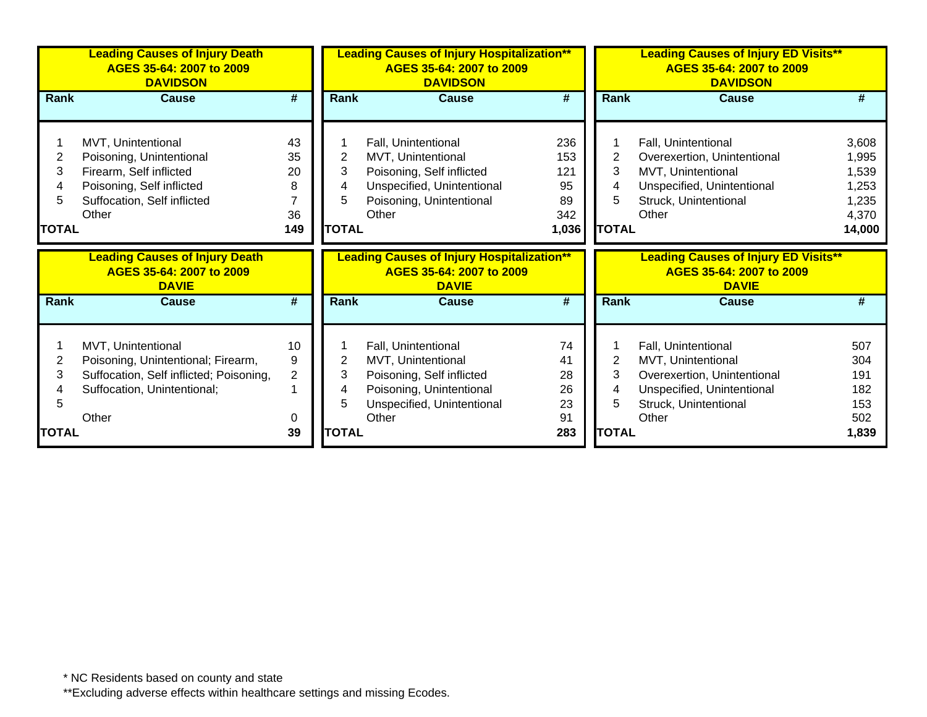|              | <b>Leading Causes of Injury Death</b><br>AGES 35-64: 2007 to 2009<br><b>DAVIDSON</b> |                |                | <b>Leading Causes of Injury Hospitalization**</b><br>AGES 35-64: 2007 to 2009<br><b>DAVIDSON</b> |                             |                | <b>Leading Causes of Injury ED Visits**</b><br>AGES 35-64: 2007 to 2009<br><b>DAVIDSON</b> |              |  |
|--------------|--------------------------------------------------------------------------------------|----------------|----------------|--------------------------------------------------------------------------------------------------|-----------------------------|----------------|--------------------------------------------------------------------------------------------|--------------|--|
| Rank         | <b>Cause</b>                                                                         | #              | Rank           | <b>Cause</b>                                                                                     | #                           | Rank           | <b>Cause</b>                                                                               | #            |  |
|              |                                                                                      |                |                |                                                                                                  |                             |                |                                                                                            |              |  |
|              | MVT, Unintentional                                                                   | 43             |                | Fall, Unintentional                                                                              | 236                         |                | Fall, Unintentional                                                                        | 3,608        |  |
| 2            | Poisoning, Unintentional                                                             | 35             | $\overline{2}$ | MVT, Unintentional                                                                               | 153                         | $\overline{2}$ | Overexertion, Unintentional                                                                | 1,995        |  |
| 3            | Firearm, Self inflicted                                                              | 20             | 3              | Poisoning, Self inflicted                                                                        | 121                         | 3              | MVT, Unintentional                                                                         | 1,539        |  |
| 4            | Poisoning, Self inflicted                                                            | 8              | 4              | Unspecified, Unintentional                                                                       | 95                          | 4              | Unspecified, Unintentional                                                                 | 1,253        |  |
| 5            | Suffocation, Self inflicted                                                          |                | 5              | Poisoning, Unintentional                                                                         | 89                          | 5              | Struck, Unintentional                                                                      | 1,235        |  |
|              | Other                                                                                | 36             |                | Other                                                                                            | 342                         |                | Other                                                                                      | 4,370        |  |
| <b>TOTAL</b> |                                                                                      | 149            | <b>TOTAL</b>   |                                                                                                  | 1,036                       | <b>TOTAL</b>   |                                                                                            | 14,000       |  |
|              |                                                                                      |                |                |                                                                                                  |                             |                |                                                                                            |              |  |
|              | <b>Leading Causes of Injury Death</b><br>AGES 35-64: 2007 to 2009<br><b>DAVIE</b>    |                |                | <b>Leading Causes of Injury Hospitalization**</b><br>AGES 35-64: 2007 to 2009<br><b>DAVIE</b>    |                             |                | <b>Leading Causes of Injury ED Visits**</b><br>AGES 35-64: 2007 to 2009<br><b>DAVIE</b>    |              |  |
| Rank         | <b>Cause</b>                                                                         | #              | <b>Rank</b>    | <b>Cause</b>                                                                                     | $\overline{\boldsymbol{H}}$ | Rank           | <b>Cause</b>                                                                               | #            |  |
|              |                                                                                      |                |                |                                                                                                  |                             |                |                                                                                            |              |  |
|              | MVT, Unintentional                                                                   | 10             |                | Fall, Unintentional                                                                              | 74                          |                | Fall, Unintentional                                                                        | 507          |  |
| 2            | Poisoning, Unintentional; Firearm,                                                   | 9              | $\overline{2}$ | MVT, Unintentional                                                                               | 41                          | $\overline{2}$ | MVT, Unintentional                                                                         | 304          |  |
| 3            | Suffocation, Self inflicted; Poisoning,                                              | $\overline{2}$ | 3              | Poisoning, Self inflicted                                                                        | 28                          | 3              | Overexertion, Unintentional                                                                | 191          |  |
|              | Suffocation, Unintentional;                                                          |                | 4              | Poisoning, Unintentional                                                                         | 26                          | 4              | Unspecified, Unintentional                                                                 | 182          |  |
| 5            |                                                                                      |                | 5              | Unspecified, Unintentional                                                                       | 23                          | 5              | Struck, Unintentional                                                                      | 153          |  |
| <b>TOTAL</b> | Other                                                                                | 0<br>39        | <b>TOTAL</b>   | Other                                                                                            | 91<br>283                   | <b>TOTAL</b>   | Other                                                                                      | 502<br>1,839 |  |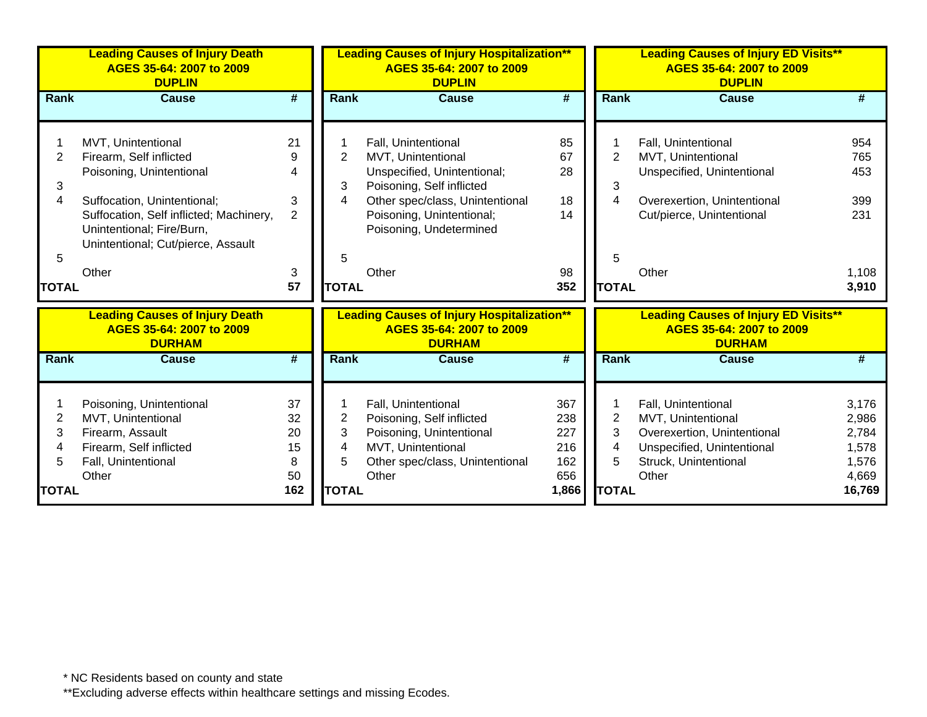|              | <b>Leading Causes of Injury Death</b><br>AGES 35-64: 2007 to 2009<br><b>DUPLIN</b> |                             | <b>Leading Causes of Injury Hospitalization**</b><br>AGES 35-64: 2007 to 2009<br><b>DUPLIN</b> |                                                                               |                             | <b>Leading Causes of Injury ED Visits**</b><br>AGES 35-64: 2007 to 2009<br><b>DUPLIN</b> |                                                                         |                |  |
|--------------|------------------------------------------------------------------------------------|-----------------------------|------------------------------------------------------------------------------------------------|-------------------------------------------------------------------------------|-----------------------------|------------------------------------------------------------------------------------------|-------------------------------------------------------------------------|----------------|--|
| <b>Rank</b>  | <b>Cause</b>                                                                       | $\overline{\boldsymbol{t}}$ | Rank                                                                                           | <b>Cause</b>                                                                  | $\overline{\boldsymbol{t}}$ | Rank                                                                                     | <b>Cause</b>                                                            |                |  |
|              |                                                                                    |                             |                                                                                                |                                                                               |                             |                                                                                          |                                                                         |                |  |
|              | MVT, Unintentional                                                                 | 21                          |                                                                                                | Fall, Unintentional                                                           | 85                          |                                                                                          | Fall, Unintentional                                                     | 954            |  |
| 2            | Firearm, Self inflicted                                                            | 9                           | $\overline{2}$                                                                                 | MVT, Unintentional                                                            | 67                          | 2                                                                                        | MVT, Unintentional                                                      | 765            |  |
|              | Poisoning, Unintentional                                                           | 4                           |                                                                                                | Unspecified, Unintentional;                                                   | 28                          |                                                                                          | Unspecified, Unintentional                                              | 453            |  |
| 3            |                                                                                    |                             | 3                                                                                              | Poisoning, Self inflicted                                                     |                             | 3                                                                                        |                                                                         |                |  |
| 4            | Suffocation, Unintentional;                                                        | 3                           | 4                                                                                              | Other spec/class, Unintentional                                               | 18                          | 4                                                                                        | Overexertion, Unintentional                                             | 399            |  |
|              | Suffocation, Self inflicted; Machinery,                                            | $\overline{2}$              |                                                                                                | Poisoning, Unintentional;                                                     | 14                          |                                                                                          | Cut/pierce, Unintentional                                               | 231            |  |
|              | Unintentional; Fire/Burn,                                                          |                             |                                                                                                | Poisoning, Undetermined                                                       |                             |                                                                                          |                                                                         |                |  |
|              | Unintentional; Cut/pierce, Assault                                                 |                             |                                                                                                |                                                                               |                             |                                                                                          |                                                                         |                |  |
| 5            |                                                                                    |                             | 5                                                                                              |                                                                               |                             | 5                                                                                        |                                                                         |                |  |
|              | Other                                                                              | 3                           |                                                                                                | Other                                                                         | 98                          |                                                                                          | Other                                                                   | 1,108          |  |
| <b>TOTAL</b> |                                                                                    | 57                          | <b>TOTAL</b>                                                                                   |                                                                               | 352                         | <b>TOTAL</b>                                                                             |                                                                         | 3,910          |  |
|              | <b>Leading Causes of Injury Death</b><br>AGES 35-64: 2007 to 2009                  |                             |                                                                                                | <b>Leading Causes of Injury Hospitalization**</b><br>AGES 35-64: 2007 to 2009 |                             |                                                                                          | <b>Leading Causes of Injury ED Visits**</b><br>AGES 35-64: 2007 to 2009 |                |  |
|              | <b>DURHAM</b>                                                                      |                             |                                                                                                | <b>DURHAM</b>                                                                 |                             |                                                                                          | <b>DURHAM</b>                                                           |                |  |
| Rank         | <b>Cause</b>                                                                       | $\overline{\boldsymbol{r}}$ | Rank                                                                                           | <b>Cause</b>                                                                  | $\overline{\boldsymbol{r}}$ | Rank                                                                                     | <b>Cause</b>                                                            |                |  |
|              |                                                                                    |                             |                                                                                                |                                                                               |                             |                                                                                          |                                                                         |                |  |
|              | Poisoning, Unintentional                                                           | 37                          |                                                                                                | Fall, Unintentional                                                           | 367                         |                                                                                          | Fall, Unintentional                                                     | 3,176          |  |
| 2            | MVT, Unintentional                                                                 | 32                          | 2                                                                                              | Poisoning, Self inflicted                                                     | 238                         | 2                                                                                        | MVT, Unintentional                                                      | 2,986          |  |
| 3            | Firearm, Assault                                                                   | 20<br>15                    | 3                                                                                              | Poisoning, Unintentional<br>MVT, Unintentional                                | 227<br>216                  | 3                                                                                        | Overexertion, Unintentional                                             | 2,784          |  |
| 4<br>5       | Firearm, Self inflicted<br>Fall, Unintentional                                     | 8                           | 4<br>5                                                                                         | Other spec/class, Unintentional                                               | 162                         | 4<br>5                                                                                   | Unspecified, Unintentional<br>Struck, Unintentional                     | 1,578<br>1,576 |  |
|              | Other                                                                              | 50                          |                                                                                                | Other                                                                         | 656                         |                                                                                          | Other                                                                   | 4,669          |  |
| <b>TOTAL</b> |                                                                                    | 162                         | <b>TOTAL</b>                                                                                   |                                                                               | 1,866                       | <b>TOTAL</b>                                                                             |                                                                         | 16,769         |  |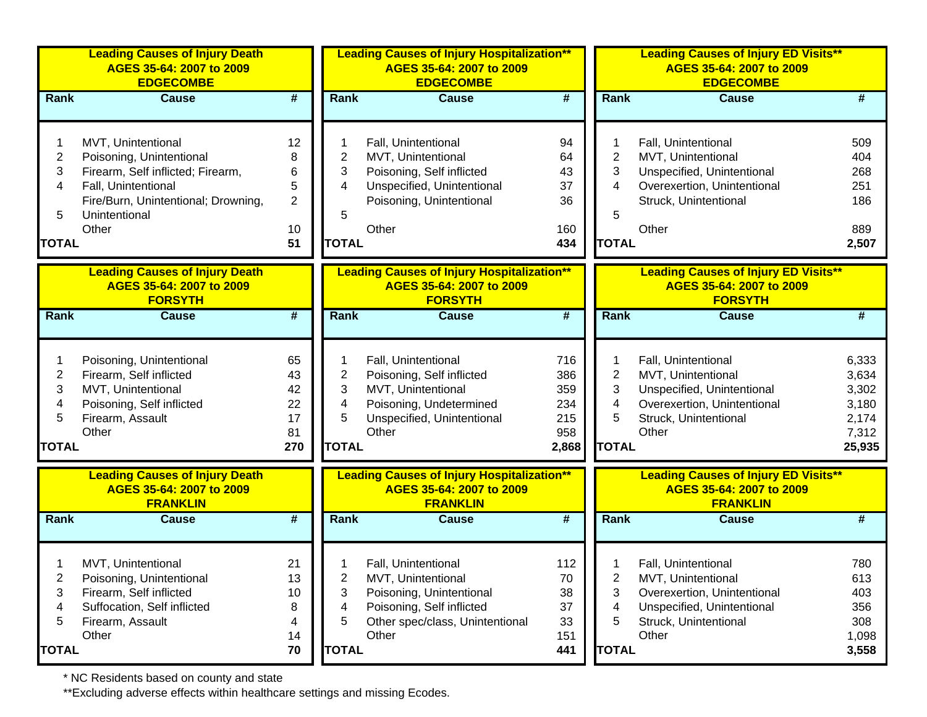|                | <b>Leading Causes of Injury Death</b><br>AGES 35-64: 2007 to 2009<br><b>EDGECOMBE</b> |                             |              | <b>Leading Causes of Injury Hospitalization**</b><br>AGES 35-64: 2007 to 2009<br><b>EDGECOMBE</b> |                             |                | <b>Leading Causes of Injury ED Visits**</b><br>AGES 35-64: 2007 to 2009<br><b>EDGECOMBE</b> |                |
|----------------|---------------------------------------------------------------------------------------|-----------------------------|--------------|---------------------------------------------------------------------------------------------------|-----------------------------|----------------|---------------------------------------------------------------------------------------------|----------------|
| <b>Rank</b>    | <b>Cause</b>                                                                          | #                           | <b>Rank</b>  | <b>Cause</b>                                                                                      | $\overline{\boldsymbol{H}}$ | <b>Rank</b>    | <b>Cause</b>                                                                                | #              |
|                | MVT, Unintentional                                                                    | 12                          |              | Fall, Unintentional                                                                               | 94                          |                | Fall, Unintentional                                                                         | 509            |
| $\overline{c}$ | Poisoning, Unintentional                                                              | 8                           | 2            | MVT, Unintentional                                                                                | 64                          | 2              | MVT, Unintentional                                                                          | 404            |
| 3              | Firearm, Self inflicted; Firearm,                                                     | 6                           | 3            | Poisoning, Self inflicted                                                                         | 43                          | 3              | Unspecified, Unintentional                                                                  | 268            |
| 4              | Fall, Unintentional                                                                   | 5                           | 4            | Unspecified, Unintentional                                                                        | 37                          | 4              | Overexertion, Unintentional                                                                 | 251            |
|                | Fire/Burn, Unintentional; Drowning,                                                   | $\overline{2}$              |              | Poisoning, Unintentional                                                                          | 36                          |                | Struck, Unintentional                                                                       | 186            |
| 5              | Unintentional                                                                         |                             | 5            |                                                                                                   |                             | 5              |                                                                                             |                |
|                | Other                                                                                 | 10                          |              | Other                                                                                             | 160                         |                | Other                                                                                       | 889            |
| <b>TOTAL</b>   |                                                                                       | 51                          | <b>TOTAL</b> |                                                                                                   | 434                         | <b>TOTAL</b>   |                                                                                             | 2,507          |
|                | <b>Leading Causes of Injury Death</b><br>AGES 35-64: 2007 to 2009<br><b>FORSYTH</b>   |                             |              | <b>Leading Causes of Injury Hospitalization**</b><br>AGES 35-64: 2007 to 2009<br><b>FORSYTH</b>   |                             |                | <b>Leading Causes of Injury ED Visits**</b><br>AGES 35-64: 2007 to 2009<br><b>FORSYTH</b>   |                |
| <b>Rank</b>    | <b>Cause</b>                                                                          | $\overline{\boldsymbol{t}}$ | <b>Rank</b>  | <b>Cause</b>                                                                                      | #                           | <b>Rank</b>    | <b>Cause</b>                                                                                | #              |
|                |                                                                                       |                             |              |                                                                                                   |                             |                |                                                                                             |                |
|                | Poisoning, Unintentional                                                              | 65                          |              | Fall, Unintentional                                                                               | 716                         |                | Fall, Unintentional                                                                         | 6,333          |
| $\overline{c}$ | Firearm, Self inflicted                                                               | 43                          | 2            | Poisoning, Self inflicted                                                                         | 386                         | $\overline{2}$ | MVT, Unintentional                                                                          | 3,634          |
| 3              | MVT, Unintentional                                                                    | 42                          | 3            | MVT, Unintentional                                                                                | 359                         | 3              | Unspecified, Unintentional                                                                  | 3,302          |
| 4              | Poisoning, Self inflicted                                                             | 22                          | 4            | Poisoning, Undetermined                                                                           | 234                         | 4              | Overexertion, Unintentional                                                                 | 3,180          |
| 5              | Firearm, Assault                                                                      | 17                          | 5            | Unspecified, Unintentional                                                                        | 215                         | 5              | Struck, Unintentional                                                                       | 2,174          |
|                | Other                                                                                 | 81                          |              | Other                                                                                             | 958                         |                | Other                                                                                       | 7,312          |
| <b>TOTAL</b>   |                                                                                       | 270                         | <b>TOTAL</b> |                                                                                                   | 2,868                       | <b>TOTAL</b>   |                                                                                             | 25,935         |
|                | <b>Leading Causes of Injury Death</b><br>AGES 35-64: 2007 to 2009<br><b>FRANKLIN</b>  |                             |              | <b>Leading Causes of Injury Hospitalization**</b><br>AGES 35-64: 2007 to 2009<br><b>FRANKLIN</b>  |                             |                | <b>Leading Causes of Injury ED Visits**</b><br>AGES 35-64: 2007 to 2009<br><b>FRANKLIN</b>  |                |
| Rank           | <b>Cause</b>                                                                          | #                           | <b>Rank</b>  | <b>Cause</b>                                                                                      | $\overline{\boldsymbol{H}}$ | <b>Rank</b>    | <b>Cause</b>                                                                                | #              |
|                |                                                                                       |                             |              |                                                                                                   |                             |                |                                                                                             |                |
|                | MVT, Unintentional                                                                    | 21                          |              | Fall, Unintentional                                                                               | 112                         |                | Fall, Unintentional                                                                         | 780            |
| 2              | Poisoning, Unintentional                                                              | 13                          | 2            | MVT, Unintentional                                                                                | 70                          | 2              | MVT, Unintentional                                                                          | 613            |
| 3              | Firearm, Self inflicted                                                               | 10                          | 3            | Poisoning, Unintentional                                                                          | 38                          | 3              | Overexertion, Unintentional                                                                 | 403            |
| 4              | Suffocation, Self inflicted                                                           | 8                           | 4            | Poisoning, Self inflicted                                                                         | 37                          | 4              | Unspecified, Unintentional                                                                  | 356            |
| 5              | Firearm, Assault<br>Other                                                             | 4                           | 5            | Other spec/class, Unintentional<br>Other                                                          | 33                          | 5              | Struck, Unintentional<br>Other                                                              | 308            |
|                |                                                                                       | 14<br>70                    | <b>TOTAL</b> |                                                                                                   | 151<br>441                  | <b>TOTAL</b>   |                                                                                             | 1,098<br>3,558 |
| <b>TOTAL</b>   |                                                                                       |                             |              |                                                                                                   |                             |                |                                                                                             |                |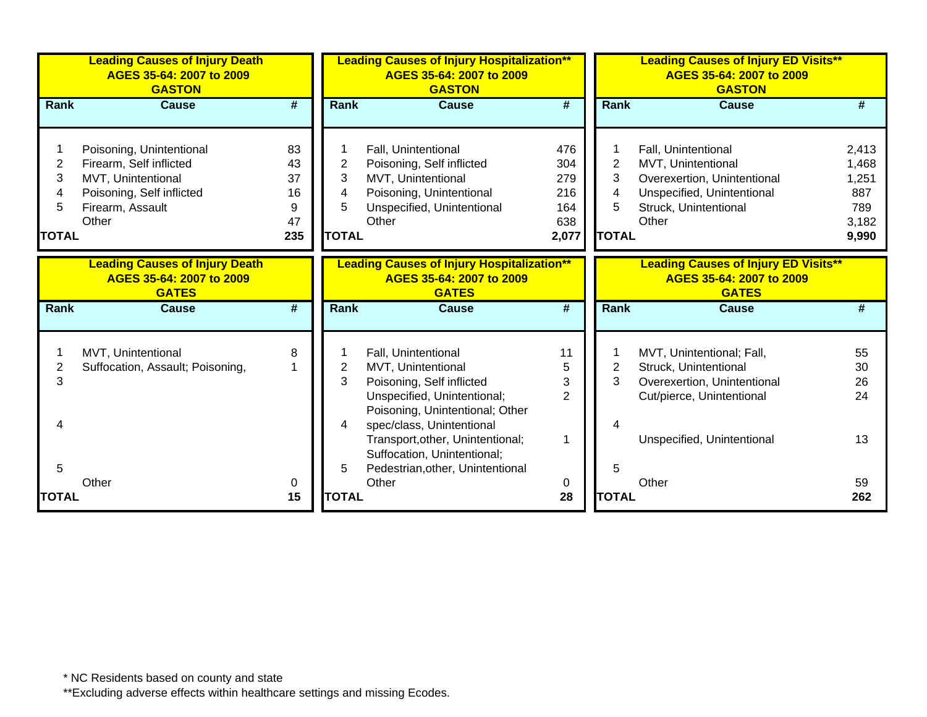|                | <b>Leading Causes of Injury Death</b><br>AGES 35-64: 2007 to 2009<br><b>GASTON</b> |                             | <b>Leading Causes of Injury Hospitalization**</b><br>AGES 35-64: 2007 to 2009<br><b>GASTON</b> |                                                                                               |                             |                | <b>Leading Causes of Injury ED Visits**</b><br>AGES 35-64: 2007 to 2009<br><b>GASTON</b> |                |  |
|----------------|------------------------------------------------------------------------------------|-----------------------------|------------------------------------------------------------------------------------------------|-----------------------------------------------------------------------------------------------|-----------------------------|----------------|------------------------------------------------------------------------------------------|----------------|--|
| Rank           | <b>Cause</b>                                                                       | $\overline{\boldsymbol{t}}$ | Rank                                                                                           | <b>Cause</b>                                                                                  | $\overline{\boldsymbol{t}}$ | Rank           | <b>Cause</b>                                                                             | #              |  |
|                |                                                                                    |                             |                                                                                                |                                                                                               |                             |                |                                                                                          |                |  |
| $\overline{c}$ | Poisoning, Unintentional<br>Firearm, Self inflicted                                | 83<br>43                    | $\overline{2}$                                                                                 | Fall, Unintentional                                                                           | 476<br>304                  | $\overline{2}$ | Fall, Unintentional                                                                      | 2,413          |  |
| 3              | MVT, Unintentional                                                                 | 37                          | 3                                                                                              | Poisoning, Self inflicted<br>MVT, Unintentional                                               | 279                         | 3              | MVT, Unintentional<br>Overexertion, Unintentional                                        | 1,468<br>1,251 |  |
|                | Poisoning, Self inflicted                                                          | 16                          | 4                                                                                              | Poisoning, Unintentional                                                                      | 216                         | 4              | Unspecified, Unintentional                                                               | 887            |  |
| 5              | Firearm, Assault                                                                   | 9                           | 5                                                                                              | Unspecified, Unintentional                                                                    | 164                         | 5              | Struck, Unintentional                                                                    | 789            |  |
|                | Other                                                                              | 47                          |                                                                                                | Other                                                                                         | 638                         |                | Other                                                                                    | 3,182          |  |
| <b>TOTAL</b>   |                                                                                    | 235                         | <b>TOTAL</b>                                                                                   |                                                                                               | 2,077                       | <b>TOTAL</b>   |                                                                                          | 9,990          |  |
|                |                                                                                    |                             |                                                                                                |                                                                                               |                             |                |                                                                                          |                |  |
|                | <b>Leading Causes of Injury Death</b><br>AGES 35-64: 2007 to 2009<br><b>GATES</b>  |                             |                                                                                                | <b>Leading Causes of Injury Hospitalization**</b><br>AGES 35-64: 2007 to 2009<br><b>GATES</b> |                             |                | <b>Leading Causes of Injury ED Visits**</b><br>AGES 35-64: 2007 to 2009<br><b>GATES</b>  |                |  |
| Rank           | <b>Cause</b>                                                                       | $\overline{\boldsymbol{t}}$ | <b>Rank</b>                                                                                    | <b>Cause</b>                                                                                  | $\overline{\boldsymbol{H}}$ | Rank           | <b>Cause</b>                                                                             | #              |  |
|                | MVT, Unintentional                                                                 | 8                           |                                                                                                | Fall, Unintentional                                                                           | 11                          |                | MVT, Unintentional; Fall,                                                                | 55             |  |
| 2              | Suffocation, Assault; Poisoning,                                                   |                             | 2                                                                                              | MVT, Unintentional                                                                            | 5                           | 2              | Struck, Unintentional                                                                    | 30             |  |
| 3              |                                                                                    |                             | 3                                                                                              | Poisoning, Self inflicted                                                                     | 3                           | 3              | Overexertion, Unintentional                                                              | 26             |  |
|                |                                                                                    |                             |                                                                                                | Unspecified, Unintentional;                                                                   | $\overline{2}$              |                | Cut/pierce, Unintentional                                                                | 24             |  |
|                |                                                                                    |                             |                                                                                                | Poisoning, Unintentional; Other                                                               |                             |                |                                                                                          |                |  |
|                |                                                                                    |                             | 4                                                                                              | spec/class, Unintentional                                                                     |                             |                |                                                                                          |                |  |
|                |                                                                                    |                             |                                                                                                | Transport, other, Unintentional;                                                              | 1                           |                | Unspecified, Unintentional                                                               | 13             |  |
|                |                                                                                    |                             |                                                                                                | Suffocation, Unintentional;                                                                   |                             |                |                                                                                          |                |  |
| 5              |                                                                                    |                             | 5                                                                                              | Pedestrian, other, Unintentional                                                              |                             | 5              |                                                                                          |                |  |
|                | Other                                                                              | 0                           |                                                                                                | Other                                                                                         | 0                           |                | Other                                                                                    | 59             |  |
| <b>TOTAL</b>   |                                                                                    | 15                          | <b>TOTAL</b>                                                                                   |                                                                                               | 28                          | <b>TOTAL</b>   |                                                                                          | 262            |  |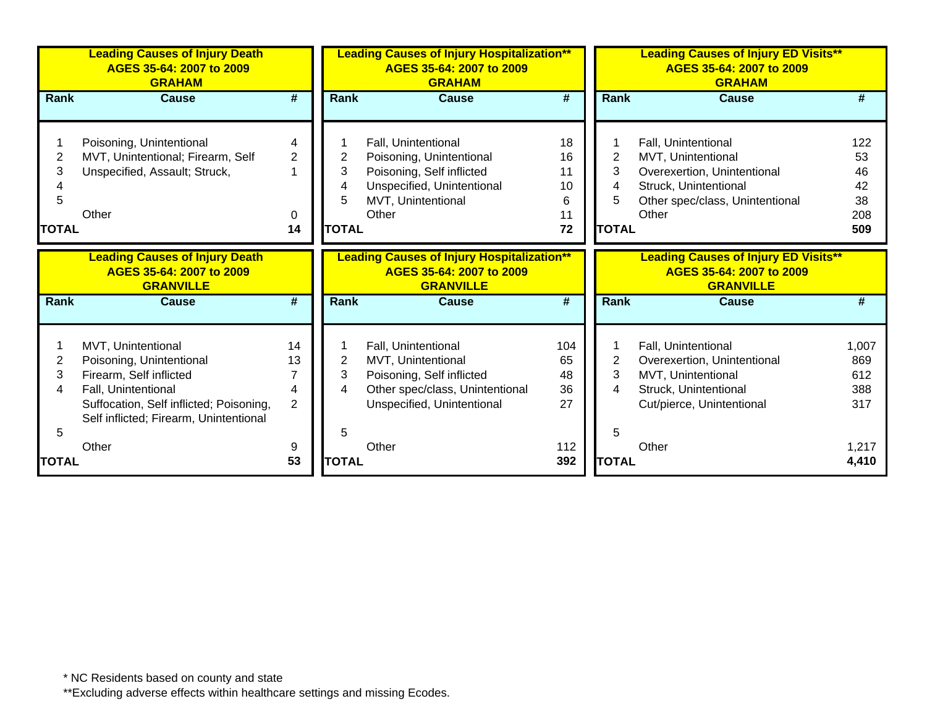|                             | <b>Leading Causes of Injury Death</b><br>AGES 35-64: 2007 to 2009<br><b>GRAHAM</b>                                                                                                    |                                                   | <b>Leading Causes of Injury Hospitalization**</b><br>AGES 35-64: 2007 to 2009<br><b>GRAHAM</b> |                                                                                                                                           |                                       | <b>Leading Causes of Injury ED Visits**</b><br>AGES 35-64: 2007 to 2009<br><b>GRAHAM</b> |                                                                                                                                               |                                           |
|-----------------------------|---------------------------------------------------------------------------------------------------------------------------------------------------------------------------------------|---------------------------------------------------|------------------------------------------------------------------------------------------------|-------------------------------------------------------------------------------------------------------------------------------------------|---------------------------------------|------------------------------------------------------------------------------------------|-----------------------------------------------------------------------------------------------------------------------------------------------|-------------------------------------------|
| <b>Rank</b>                 | <b>Cause</b>                                                                                                                                                                          | #                                                 | <b>Rank</b>                                                                                    | <b>Cause</b>                                                                                                                              | #                                     | <b>Rank</b>                                                                              | <b>Cause</b>                                                                                                                                  | #                                         |
| 2<br>3<br>5<br><b>TOTAL</b> | Poisoning, Unintentional<br>MVT, Unintentional; Firearm, Self<br>Unspecified, Assault; Struck,<br>Other                                                                               | 4<br>$\overline{2}$<br>0<br>14                    | 2<br>3<br>4<br>5<br><b>TOTAL</b>                                                               | Fall, Unintentional<br>Poisoning, Unintentional<br>Poisoning, Self inflicted<br>Unspecified, Unintentional<br>MVT, Unintentional<br>Other | 18<br>16<br>11<br>10<br>6<br>11<br>72 | $\overline{2}$<br>3<br>4<br>5<br><b>TOTAL</b>                                            | Fall, Unintentional<br>MVT, Unintentional<br>Overexertion, Unintentional<br>Struck, Unintentional<br>Other spec/class, Unintentional<br>Other | 122<br>53<br>46<br>42<br>38<br>208<br>509 |
|                             | <b>Leading Causes of Injury Death</b><br>AGES 35-64: 2007 to 2009<br><b>GRANVILLE</b>                                                                                                 |                                                   |                                                                                                | <b>Leading Causes of Injury Hospitalization**</b><br>AGES 35-64: 2007 to 2009<br><b>GRANVILLE</b>                                         |                                       |                                                                                          | <b>Leading Causes of Injury ED Visits**</b><br>AGES 35-64: 2007 to 2009<br><b>GRANVILLE</b>                                                   |                                           |
| <b>Rank</b>                 | <b>Cause</b>                                                                                                                                                                          | #                                                 | <b>Rank</b>                                                                                    | <b>Cause</b>                                                                                                                              | #                                     | <b>Rank</b>                                                                              | <b>Cause</b>                                                                                                                                  | #                                         |
| 2<br>3<br>4<br>5            | MVT, Unintentional<br>Poisoning, Unintentional<br>Firearm, Self inflicted<br>Fall, Unintentional<br>Suffocation, Self inflicted; Poisoning,<br>Self inflicted; Firearm, Unintentional | 14<br>13<br>$\overline{7}$<br>4<br>$\overline{2}$ | 2<br>3<br>4<br>5                                                                               | Fall, Unintentional<br>MVT, Unintentional<br>Poisoning, Self inflicted<br>Other spec/class, Unintentional<br>Unspecified, Unintentional   | 104<br>65<br>48<br>36<br>27           | 2<br>3<br>4<br>5                                                                         | Fall, Unintentional<br>Overexertion, Unintentional<br>MVT, Unintentional<br>Struck, Unintentional<br>Cut/pierce, Unintentional                | 1,007<br>869<br>612<br>388<br>317         |
| TOTAL                       | Other                                                                                                                                                                                 | 9<br>53                                           | <b>TOTAL</b>                                                                                   | Other                                                                                                                                     | 112<br>392                            | <b>TOTAL</b>                                                                             | Other                                                                                                                                         | 1,217<br>4,410                            |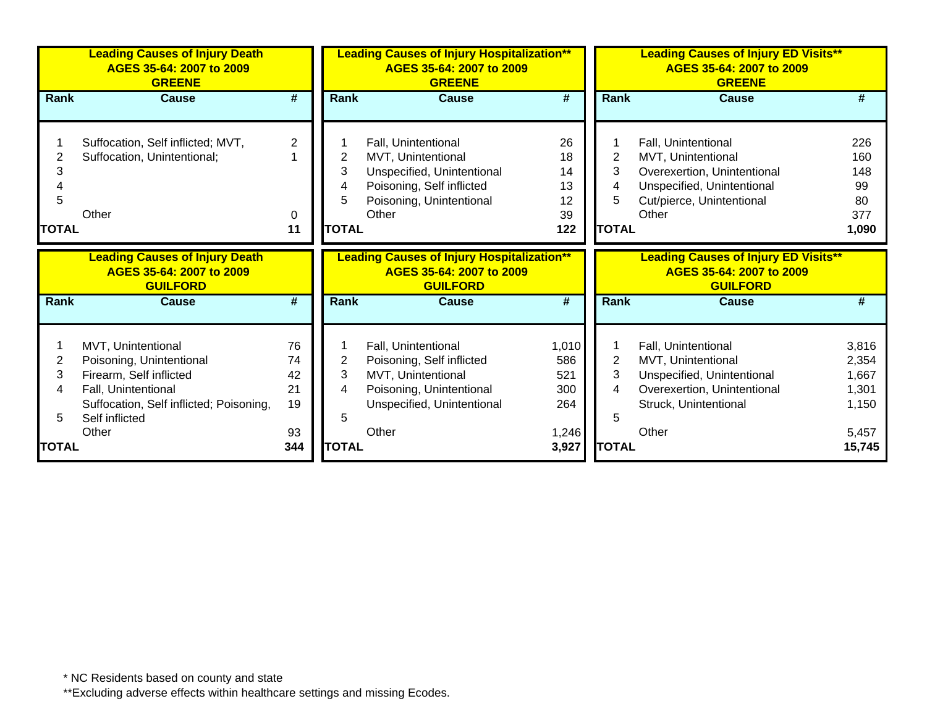|              | <b>Leading Causes of Injury Death</b><br>AGES 35-64: 2007 to 2009<br><b>GREENE</b>   |                             |                | <b>Leading Causes of Injury Hospitalization**</b><br>AGES 35-64: 2007 to 2009<br><b>GREENE</b>   |              |                | <b>Leading Causes of Injury ED Visits**</b><br>AGES 35-64: 2007 to 2009<br><b>GREENE</b>   |                |  |
|--------------|--------------------------------------------------------------------------------------|-----------------------------|----------------|--------------------------------------------------------------------------------------------------|--------------|----------------|--------------------------------------------------------------------------------------------|----------------|--|
| <b>Rank</b>  | <b>Cause</b>                                                                         | $\overline{\boldsymbol{r}}$ | <b>Rank</b>    | <b>Cause</b>                                                                                     | #            | <b>Rank</b>    | <b>Cause</b>                                                                               | #              |  |
|              |                                                                                      |                             |                |                                                                                                  |              |                |                                                                                            |                |  |
|              | Suffocation, Self inflicted; MVT,                                                    | $\overline{2}$              |                | Fall, Unintentional                                                                              | 26           |                | Fall, Unintentional                                                                        | 226            |  |
|              | Suffocation, Unintentional;                                                          |                             | 2              | MVT, Unintentional                                                                               | 18           | 2              | MVT, Unintentional                                                                         | 160            |  |
| 3            |                                                                                      |                             | 3              | Unspecified, Unintentional                                                                       | 14           | 3              | Overexertion, Unintentional                                                                | 148            |  |
|              |                                                                                      |                             | 4              | Poisoning, Self inflicted                                                                        | 13           | 4              | Unspecified, Unintentional                                                                 | 99             |  |
| 5            |                                                                                      |                             | 5              | Poisoning, Unintentional                                                                         | 12           | 5              | Cut/pierce, Unintentional                                                                  | 80             |  |
|              | Other                                                                                | 0                           |                | Other                                                                                            | 39           |                | Other                                                                                      | 377            |  |
| <b>TOTAL</b> |                                                                                      | 11                          | <b>TOTAL</b>   |                                                                                                  | 122          | <b>TOTAL</b>   |                                                                                            | 1,090          |  |
|              | <b>Leading Causes of Injury Death</b><br>AGES 35-64: 2007 to 2009<br><b>GUILFORD</b> |                             |                | <b>Leading Causes of Injury Hospitalization**</b><br>AGES 35-64: 2007 to 2009<br><b>GUILFORD</b> |              |                | <b>Leading Causes of Injury ED Visits**</b><br>AGES 35-64: 2007 to 2009<br><b>GUILFORD</b> |                |  |
| <b>Rank</b>  | <b>Cause</b>                                                                         | $\overline{\#}$             | <b>Rank</b>    | <b>Cause</b>                                                                                     | #            | <b>Rank</b>    | <b>Cause</b>                                                                               | #              |  |
|              |                                                                                      |                             |                |                                                                                                  |              |                |                                                                                            |                |  |
| 2            | MVT, Unintentional                                                                   | 76<br>74                    | $\overline{2}$ | Fall, Unintentional                                                                              | 1,010<br>586 | $\overline{2}$ | Fall, Unintentional<br>MVT, Unintentional                                                  | 3,816          |  |
| 3            | Poisoning, Unintentional<br>Firearm, Self inflicted                                  | 42                          | 3              | Poisoning, Self inflicted<br>MVT, Unintentional                                                  | 521          | 3              | Unspecified, Unintentional                                                                 | 2,354<br>1,667 |  |
|              | Fall, Unintentional                                                                  | 21                          | 4              | Poisoning, Unintentional                                                                         | 300          | 4              | Overexertion, Unintentional                                                                | 1,301          |  |
|              | Suffocation, Self inflicted; Poisoning,                                              | 19                          |                | Unspecified, Unintentional                                                                       | 264          |                | Struck, Unintentional                                                                      | 1,150          |  |
| 5            | Self inflicted                                                                       |                             | 5              |                                                                                                  |              | 5              |                                                                                            |                |  |
|              | Other                                                                                | 93                          |                | Other                                                                                            | 1,246        |                | Other                                                                                      | 5,457          |  |
|              |                                                                                      |                             |                |                                                                                                  |              |                |                                                                                            |                |  |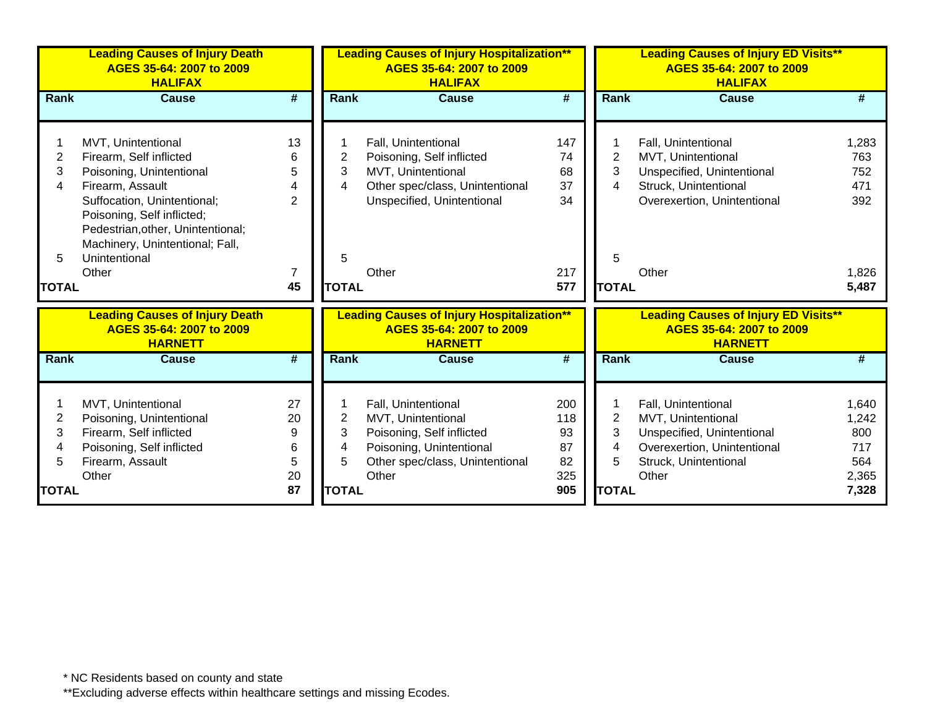|                | <b>Leading Causes of Injury Death</b><br>AGES 35-64: 2007 to 2009<br><b>HALIFAX</b>                                               |                             |              | <b>Leading Causes of Injury Hospitalization**</b>                                               | <b>Leading Causes of Injury ED Visits**</b><br>AGES 35-64: 2007 to 2009<br><b>HALIFAX</b> |                |                                                                                           |       |
|----------------|-----------------------------------------------------------------------------------------------------------------------------------|-----------------------------|--------------|-------------------------------------------------------------------------------------------------|-------------------------------------------------------------------------------------------|----------------|-------------------------------------------------------------------------------------------|-------|
| Rank           | <b>Cause</b>                                                                                                                      | $\overline{\boldsymbol{r}}$ | Rank         | <b>Cause</b>                                                                                    | $\overline{\boldsymbol{r}}$                                                               | Rank           | <b>Cause</b>                                                                              | #     |
|                |                                                                                                                                   |                             |              |                                                                                                 |                                                                                           |                |                                                                                           |       |
|                | MVT, Unintentional                                                                                                                | 13                          |              | Fall, Unintentional                                                                             | 147                                                                                       |                | Fall, Unintentional                                                                       | 1,283 |
| $\overline{2}$ | Firearm, Self inflicted                                                                                                           | 6                           | 2            | Poisoning, Self inflicted                                                                       | 74                                                                                        | 2              | MVT, Unintentional                                                                        | 763   |
| 3              | Poisoning, Unintentional                                                                                                          | 5                           | 3            | MVT, Unintentional                                                                              | 68                                                                                        | 3              | Unspecified, Unintentional                                                                | 752   |
| 4              | Firearm, Assault                                                                                                                  | 4                           | 4            | Other spec/class, Unintentional                                                                 | 37                                                                                        | 4              | Struck, Unintentional                                                                     | 471   |
|                | Suffocation, Unintentional;<br>Poisoning, Self inflicted;<br>Pedestrian, other, Unintentional;<br>Machinery, Unintentional; Fall, | $\mathbf{2}$                |              | Unspecified, Unintentional                                                                      | 34                                                                                        |                | Overexertion, Unintentional                                                               | 392   |
| 5              | Unintentional                                                                                                                     |                             | 5            |                                                                                                 |                                                                                           | 5              |                                                                                           |       |
|                | Other                                                                                                                             | $\overline{7}$              |              | Other                                                                                           | 217                                                                                       |                | Other                                                                                     | 1,826 |
| <b>TOTAL</b>   |                                                                                                                                   | 45                          | <b>TOTAL</b> |                                                                                                 | 577                                                                                       | <b>TOTAL</b>   |                                                                                           | 5,487 |
|                | <b>Leading Causes of Injury Death</b><br>AGES 35-64: 2007 to 2009<br><b>HARNETT</b>                                               |                             |              | <b>Leading Causes of Injury Hospitalization**</b><br>AGES 35-64: 2007 to 2009<br><b>HARNETT</b> |                                                                                           |                | <b>Leading Causes of Injury ED Visits**</b><br>AGES 35-64: 2007 to 2009<br><b>HARNETT</b> |       |
| Rank           | <b>Cause</b>                                                                                                                      | $\overline{\boldsymbol{r}}$ | Rank         | <b>Cause</b>                                                                                    | $\overline{\boldsymbol{r}}$                                                               | Rank           | <b>Cause</b>                                                                              |       |
|                | MVT, Unintentional                                                                                                                | 27                          |              | Fall, Unintentional                                                                             | 200                                                                                       |                | Fall, Unintentional                                                                       | 1,640 |
| 2              | Poisoning, Unintentional                                                                                                          | 20                          | 2            | MVT, Unintentional                                                                              | 118                                                                                       | $\overline{2}$ | MVT, Unintentional                                                                        | 1,242 |
| 3              | Firearm, Self inflicted                                                                                                           | 9                           | 3            | Poisoning, Self inflicted                                                                       | 93                                                                                        | 3              | Unspecified, Unintentional                                                                | 800   |
| 4              | Poisoning, Self inflicted                                                                                                         | 6                           | 4            | Poisoning, Unintentional                                                                        | 87                                                                                        | 4              | Overexertion, Unintentional                                                               | 717   |
| 5              | Firearm, Assault                                                                                                                  | 5                           | 5            | Other spec/class, Unintentional                                                                 | 82                                                                                        | 5              | Struck, Unintentional                                                                     | 564   |
|                | Other                                                                                                                             | 20                          |              | Other                                                                                           | 325                                                                                       |                | Other                                                                                     | 2,365 |
| <b>TOTAL</b>   |                                                                                                                                   | 87                          | <b>TOTAL</b> |                                                                                                 | 905                                                                                       | <b>TOTAL</b>   |                                                                                           | 7,328 |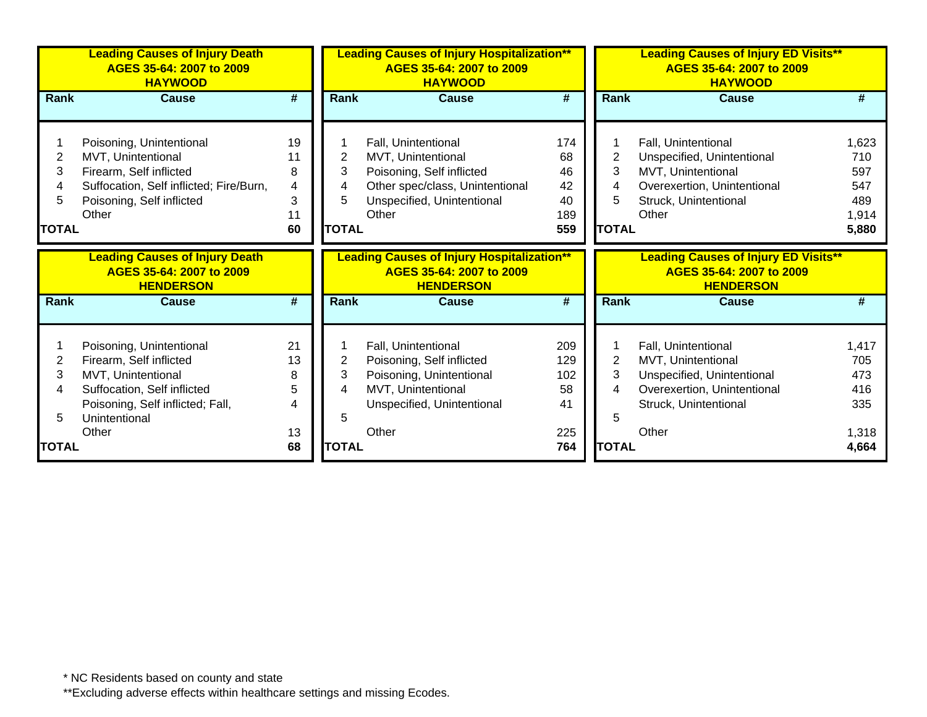|                                  | <b>Leading Causes of Injury Death</b><br>AGES 35-64: 2007 to 2009<br><b>HAYWOOD</b>                                                                           |                                     |                                               | <b>Leading Causes of Injury Hospitalization**</b><br>AGES 35-64: 2007 to 2009<br><b>HAYWOOD</b>                                                  |                                           |                                               | <b>Leading Causes of Injury ED Visits**</b><br>AGES 35-64: 2007 to 2009<br><b>HAYWOOD</b>                                                |                                                     |  |
|----------------------------------|---------------------------------------------------------------------------------------------------------------------------------------------------------------|-------------------------------------|-----------------------------------------------|--------------------------------------------------------------------------------------------------------------------------------------------------|-------------------------------------------|-----------------------------------------------|------------------------------------------------------------------------------------------------------------------------------------------|-----------------------------------------------------|--|
| <b>Rank</b>                      | <b>Cause</b>                                                                                                                                                  | #                                   | <b>Rank</b>                                   | <b>Cause</b>                                                                                                                                     | #                                         | Rank                                          | <b>Cause</b>                                                                                                                             | $\overline{\#}$                                     |  |
| 2<br>3<br>4<br>5<br><b>TOTAL</b> | Poisoning, Unintentional<br>MVT, Unintentional<br>Firearm, Self inflicted<br>Suffocation, Self inflicted; Fire/Burn,<br>Poisoning, Self inflicted<br>Other    | 19<br>11<br>8<br>4<br>3<br>11<br>60 | $\overline{c}$<br>3<br>4<br>5<br><b>TOTAL</b> | Fall, Unintentional<br>MVT, Unintentional<br>Poisoning, Self inflicted<br>Other spec/class, Unintentional<br>Unspecified, Unintentional<br>Other | 174<br>68<br>46<br>42<br>40<br>189<br>559 | $\overline{2}$<br>3<br>4<br>5<br><b>TOTAL</b> | Fall, Unintentional<br>Unspecified, Unintentional<br>MVT, Unintentional<br>Overexertion, Unintentional<br>Struck, Unintentional<br>Other | 1,623<br>710<br>597<br>547<br>489<br>1,914<br>5,880 |  |
|                                  | <b>Leading Causes of Injury Death</b><br>AGES 35-64: 2007 to 2009<br><b>HENDERSON</b>                                                                         |                                     |                                               | <b>Leading Causes of Injury Hospitalization**</b><br>AGES 35-64: 2007 to 2009<br><b>HENDERSON</b>                                                |                                           |                                               | <b>Leading Causes of Injury ED Visits**</b><br>AGES 35-64: 2007 to 2009<br><b>HENDERSON</b>                                              |                                                     |  |
| <b>Rank</b>                      | <b>Cause</b>                                                                                                                                                  | $\overline{\boldsymbol{r}}$         | <b>Rank</b>                                   | <b>Cause</b>                                                                                                                                     | #                                         | Rank                                          | <b>Cause</b>                                                                                                                             | #                                                   |  |
| 2<br>3<br>4<br>5                 | Poisoning, Unintentional<br>Firearm, Self inflicted<br>MVT, Unintentional<br>Suffocation, Self inflicted<br>Poisoning, Self inflicted; Fall,<br>Unintentional | 21<br>13<br>8<br>5<br>4             | $\overline{2}$<br>3<br>4<br>5                 | Fall, Unintentional<br>Poisoning, Self inflicted<br>Poisoning, Unintentional<br>MVT, Unintentional<br>Unspecified, Unintentional                 | 209<br>129<br>102<br>58<br>41             | $\overline{2}$<br>3<br>4<br>5                 | Fall, Unintentional<br>MVT, Unintentional<br>Unspecified, Unintentional<br>Overexertion, Unintentional<br>Struck, Unintentional          | 1,417<br>705<br>473<br>416<br>335                   |  |
| <b>TOTAL</b>                     | Other                                                                                                                                                         | 13<br>68                            | <b>TOTAL</b>                                  | Other                                                                                                                                            | 225<br>764                                | <b>TOTAL</b>                                  | Other                                                                                                                                    | 1,318<br>4,664                                      |  |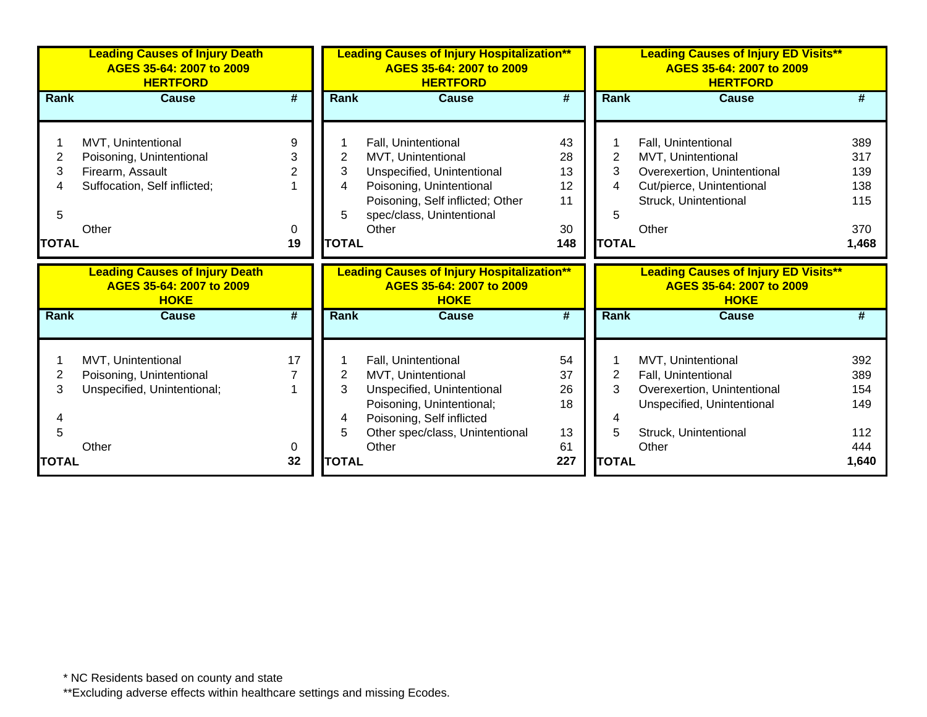|                                  | <b>Leading Causes of Injury Death</b><br>AGES 35-64: 2007 to 2009<br><b>HERTFORD</b>                        |                             |                                  | <b>Leading Causes of Injury Hospitalization**</b><br>AGES 35-64: 2007 to 2009<br><b>HERTFORD</b>                                                                              |                                         | <b>Leading Causes of Injury ED Visits**</b><br>AGES 35-64: 2007 to 2009<br><b>HERTFORD</b> |                                                                                                                                          |                                                 |  |
|----------------------------------|-------------------------------------------------------------------------------------------------------------|-----------------------------|----------------------------------|-------------------------------------------------------------------------------------------------------------------------------------------------------------------------------|-----------------------------------------|--------------------------------------------------------------------------------------------|------------------------------------------------------------------------------------------------------------------------------------------|-------------------------------------------------|--|
| <b>Rank</b>                      | <b>Cause</b>                                                                                                | $\overline{\boldsymbol{H}}$ | Rank                             | <b>Cause</b>                                                                                                                                                                  | #                                       | Rank                                                                                       | <b>Cause</b>                                                                                                                             |                                                 |  |
| 2<br>3<br>4<br>5<br><b>TOTAL</b> | MVT, Unintentional<br>Poisoning, Unintentional<br>Firearm, Assault<br>Suffocation, Self inflicted;<br>Other | 9<br>3<br>2<br>0<br>19      | 2<br>3<br>4<br>5<br><b>TOTAL</b> | Fall, Unintentional<br>MVT, Unintentional<br>Unspecified, Unintentional<br>Poisoning, Unintentional<br>Poisoning, Self inflicted; Other<br>spec/class, Unintentional<br>Other | 43<br>28<br>13<br>12<br>11<br>30<br>148 | $\overline{2}$<br>3<br>4<br>5<br><b>TOTAL</b>                                              | Fall, Unintentional<br>MVT, Unintentional<br>Overexertion, Unintentional<br>Cut/pierce, Unintentional<br>Struck, Unintentional<br>Other  | 389<br>317<br>139<br>138<br>115<br>370<br>1,468 |  |
|                                  |                                                                                                             |                             |                                  |                                                                                                                                                                               |                                         |                                                                                            |                                                                                                                                          |                                                 |  |
|                                  | <b>Leading Causes of Injury Death</b><br>AGES 35-64: 2007 to 2009<br><b>HOKE</b>                            |                             |                                  | <b>Leading Causes of Injury Hospitalization**</b><br>AGES 35-64: 2007 to 2009<br><b>HOKE</b>                                                                                  |                                         |                                                                                            | <b>Leading Causes of Injury ED Visits**</b><br>AGES 35-64: 2007 to 2009<br><b>HOKE</b>                                                   |                                                 |  |
| <b>Rank</b>                      | <b>Cause</b>                                                                                                | #                           | <b>Rank</b>                      | <b>Cause</b>                                                                                                                                                                  | $\overline{\boldsymbol{H}}$             | <b>Rank</b>                                                                                | <b>Cause</b>                                                                                                                             | #                                               |  |
| 2<br>3<br>4<br>5<br><b>TOTAL</b> | MVT, Unintentional<br>Poisoning, Unintentional<br>Unspecified, Unintentional;<br>Other                      | 17<br>O<br>32               | 2<br>3<br>4<br>5<br><b>TOTAL</b> | Fall, Unintentional<br>MVT, Unintentional<br>Unspecified, Unintentional<br>Poisoning, Unintentional;<br>Poisoning, Self inflicted<br>Other spec/class, Unintentional<br>Other | 54<br>37<br>26<br>18<br>13<br>61<br>227 | $\overline{2}$<br>3<br>5<br><b>TOTAL</b>                                                   | MVT, Unintentional<br>Fall, Unintentional<br>Overexertion, Unintentional<br>Unspecified, Unintentional<br>Struck, Unintentional<br>Other | 392<br>389<br>154<br>149<br>112<br>444<br>1,640 |  |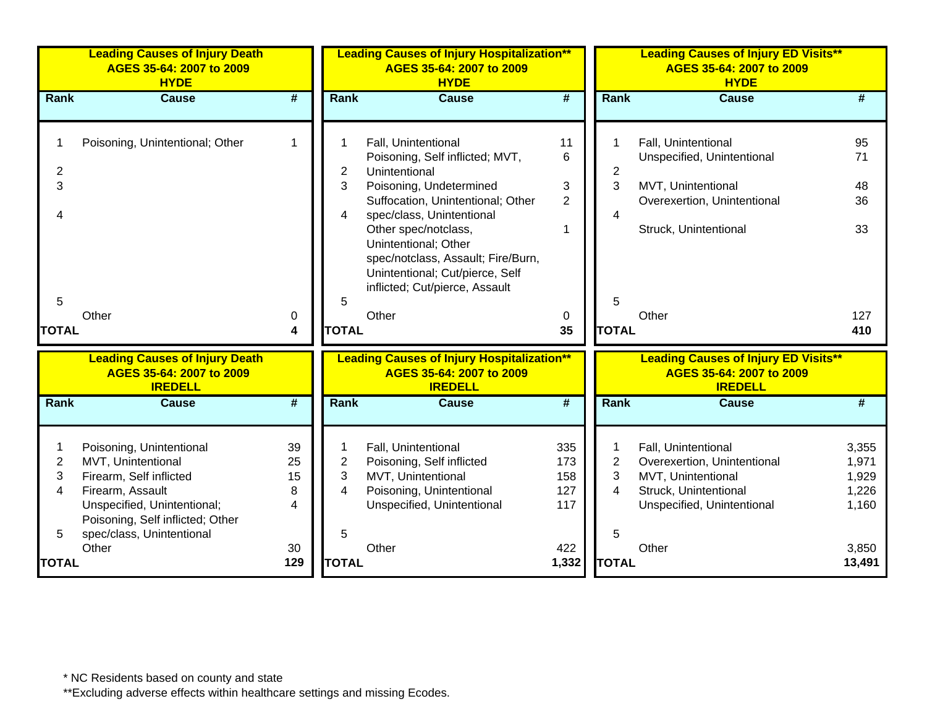|                                          | <b>Leading Causes of Injury Death</b><br>AGES 35-64: 2007 to 2009<br><b>HYDE</b>                                                                                                                       |                                |                                               | <b>Leading Causes of Injury Hospitalization**</b><br>AGES 35-64: 2007 to 2009<br><b>HYDE</b>                                                                                                                                                                                                                                             |                                                |                                                 | <b>Leading Causes of Injury ED Visits**</b><br>AGES 35-64: 2007 to 2009<br><b>HYDE</b>                                                   |                                                    |  |
|------------------------------------------|--------------------------------------------------------------------------------------------------------------------------------------------------------------------------------------------------------|--------------------------------|-----------------------------------------------|------------------------------------------------------------------------------------------------------------------------------------------------------------------------------------------------------------------------------------------------------------------------------------------------------------------------------------------|------------------------------------------------|-------------------------------------------------|------------------------------------------------------------------------------------------------------------------------------------------|----------------------------------------------------|--|
| Rank                                     | <b>Cause</b>                                                                                                                                                                                           | #                              | <b>Rank</b>                                   | <b>Cause</b>                                                                                                                                                                                                                                                                                                                             | #                                              | Rank                                            | <b>Cause</b>                                                                                                                             | #                                                  |  |
| $\overline{c}$<br>3<br>5<br><b>TOTAL</b> | Poisoning, Unintentional; Other<br>Other                                                                                                                                                               | $\mathbf 1$<br>0<br>4          | $\overline{2}$<br>3<br>4<br>5<br><b>TOTAL</b> | Fall, Unintentional<br>Poisoning, Self inflicted; MVT,<br>Unintentional<br>Poisoning, Undetermined<br>Suffocation, Unintentional; Other<br>spec/class, Unintentional<br>Other spec/notclass,<br>Unintentional; Other<br>spec/notclass, Assault; Fire/Burn,<br>Unintentional; Cut/pierce, Self<br>inflicted; Cut/pierce, Assault<br>Other | 11<br>6<br>3<br>$\overline{2}$<br>1<br>0<br>35 | $\overline{c}$<br>3<br>4<br>5<br><b>TOTAL</b>   | Fall, Unintentional<br>Unspecified, Unintentional<br>MVT, Unintentional<br>Overexertion, Unintentional<br>Struck, Unintentional<br>Other | 95<br>71<br>48<br>36<br>33<br>127<br>410           |  |
|                                          | <b>Leading Causes of Injury Death</b><br>AGES 35-64: 2007 to 2009<br><b>IREDELL</b>                                                                                                                    |                                |                                               | <b>Leading Causes of Injury Hospitalization**</b><br>AGES 35-64: 2007 to 2009<br><b>IREDELL</b>                                                                                                                                                                                                                                          |                                                |                                                 | <b>Leading Causes of Injury ED Visits**</b><br>AGES 35-64: 2007 to 2009<br><b>IREDELL</b>                                                |                                                    |  |
| Rank                                     | <b>Cause</b>                                                                                                                                                                                           | #                              | Rank                                          | <b>Cause</b>                                                                                                                                                                                                                                                                                                                             | $\overline{\mathbf{H}}$                        | <b>Rank</b>                                     | <b>Cause</b>                                                                                                                             | #                                                  |  |
| $\overline{c}$<br>3<br>4                 | Poisoning, Unintentional<br>MVT, Unintentional<br>Firearm, Self inflicted<br>Firearm, Assault<br>Unspecified, Unintentional;<br>Poisoning, Self inflicted; Other<br>spec/class, Unintentional<br>Other | 39<br>25<br>15<br>8<br>4<br>30 | 1<br>$\overline{2}$<br>3<br>4<br>5            | Fall, Unintentional<br>Poisoning, Self inflicted<br>MVT, Unintentional<br>Poisoning, Unintentional<br>Unspecified, Unintentional<br>Other                                                                                                                                                                                                | 335<br>173<br>158<br>127<br>117<br>422         | 1<br>$\overline{2}$<br>3<br>$\overline{4}$<br>5 | Fall, Unintentional<br>Overexertion, Unintentional<br>MVT, Unintentional<br>Struck, Unintentional<br>Unspecified, Unintentional<br>Other | 3,355<br>1,971<br>1,929<br>1,226<br>1,160<br>3,850 |  |
| <b>TOTAL</b>                             |                                                                                                                                                                                                        | 129                            | <b>TOTAL</b>                                  |                                                                                                                                                                                                                                                                                                                                          | 1,332                                          | <b>TOTAL</b>                                    |                                                                                                                                          | 13,491                                             |  |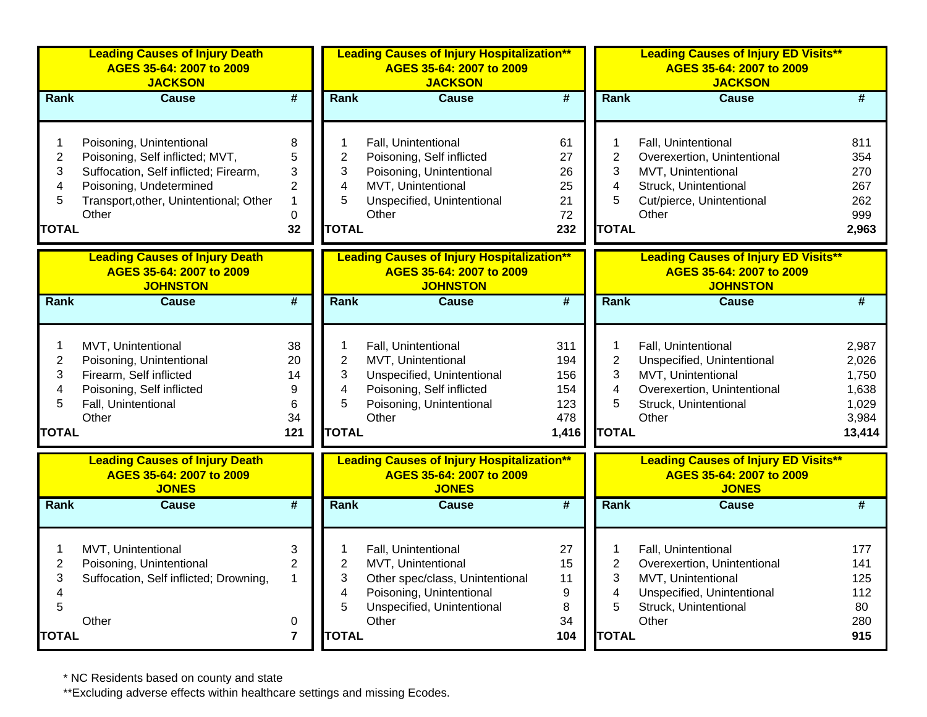|                                                    | <b>Leading Causes of Injury Death</b><br>AGES 35-64: 2007 to 2009<br><b>JACKSON</b>                                                                                                |                                                                  |                                                                           | <b>Leading Causes of Injury Hospitalization**</b><br>AGES 35-64: 2007 to 2009<br><b>JACKSON</b>                                                 |                                                 |                                                                                    | <b>Leading Causes of Injury ED Visits**</b><br>AGES 35-64: 2007 to 2009<br><b>JACKSON</b>                                                |                                                              |  |
|----------------------------------------------------|------------------------------------------------------------------------------------------------------------------------------------------------------------------------------------|------------------------------------------------------------------|---------------------------------------------------------------------------|-------------------------------------------------------------------------------------------------------------------------------------------------|-------------------------------------------------|------------------------------------------------------------------------------------|------------------------------------------------------------------------------------------------------------------------------------------|--------------------------------------------------------------|--|
| <b>Rank</b>                                        | <b>Cause</b>                                                                                                                                                                       | $\overline{\#}$                                                  | <b>Rank</b>                                                               | <b>Cause</b>                                                                                                                                    | $\overline{\boldsymbol{H}}$                     | <b>Rank</b>                                                                        | <b>Cause</b>                                                                                                                             | #                                                            |  |
| 1<br>$\overline{c}$<br>3<br>4<br>5<br><b>TOTAL</b> | Poisoning, Unintentional<br>Poisoning, Self inflicted; MVT,<br>Suffocation, Self inflicted; Firearm,<br>Poisoning, Undetermined<br>Transport, other, Unintentional; Other<br>Other | 8<br>5<br>3<br>$\overline{c}$<br>$\mathbf{1}$<br>$\pmb{0}$<br>32 | -1<br>$\overline{2}$<br>3<br>4<br>5<br><b>TOTAL</b>                       | Fall, Unintentional<br>Poisoning, Self inflicted<br>Poisoning, Unintentional<br>MVT, Unintentional<br>Unspecified, Unintentional<br>Other       | 61<br>27<br>26<br>25<br>21<br>72<br>232         | $\mathbf 1$<br>$\overline{2}$<br>3<br>$\overline{\mathbf{4}}$<br>5<br><b>TOTAL</b> | Fall, Unintentional<br>Overexertion, Unintentional<br>MVT, Unintentional<br>Struck, Unintentional<br>Cut/pierce, Unintentional<br>Other  | 811<br>354<br>270<br>267<br>262<br>999<br>2,963              |  |
|                                                    | <b>Leading Causes of Injury Death</b><br>AGES 35-64: 2007 to 2009<br><b>JOHNSTON</b>                                                                                               |                                                                  |                                                                           | <b>Leading Causes of Injury Hospitalization**</b><br>AGES 35-64: 2007 to 2009<br><b>JOHNSTON</b>                                                |                                                 |                                                                                    | <b>Leading Causes of Injury ED Visits**</b><br>AGES 35-64: 2007 to 2009<br><b>JOHNSTON</b>                                               |                                                              |  |
| <b>Rank</b>                                        | <b>Cause</b>                                                                                                                                                                       | $\overline{\boldsymbol{t}}$                                      | Rank                                                                      | Cause                                                                                                                                           | #                                               | Rank                                                                               | <b>Cause</b>                                                                                                                             | $\overline{\boldsymbol{H}}$                                  |  |
| 1<br>$\overline{2}$<br>3<br>4<br>5<br><b>TOTAL</b> | MVT, Unintentional<br>Poisoning, Unintentional<br>Firearm, Self inflicted<br>Poisoning, Self inflicted<br>Fall, Unintentional<br>Other                                             | 38<br>20<br>14<br>9<br>6<br>34<br>121                            | 1<br>$\overline{2}$<br>3<br>4<br>5<br><b>TOTAL</b>                        | Fall, Unintentional<br>MVT, Unintentional<br>Unspecified, Unintentional<br>Poisoning, Self inflicted<br>Poisoning, Unintentional<br>Other       | 311<br>194<br>156<br>154<br>123<br>478<br>1,416 | $\mathbf 1$<br>$\overline{2}$<br>3<br>$\overline{\mathbf{4}}$<br>5<br><b>TOTAL</b> | Fall, Unintentional<br>Unspecified, Unintentional<br>MVT, Unintentional<br>Overexertion, Unintentional<br>Struck, Unintentional<br>Other | 2,987<br>2,026<br>1,750<br>1,638<br>1,029<br>3,984<br>13,414 |  |
|                                                    | <b>Leading Causes of Injury Death</b><br>AGES 35-64: 2007 to 2009<br><b>JONES</b>                                                                                                  |                                                                  |                                                                           | <b>Leading Causes of Injury Hospitalization**</b><br>AGES 35-64: 2007 to 2009<br><b>JONES</b>                                                   |                                                 |                                                                                    | <b>Leading Causes of Injury ED Visits**</b><br>AGES 35-64: 2007 to 2009<br><b>JONES</b>                                                  |                                                              |  |
| Rank                                               | <b>Cause</b>                                                                                                                                                                       | $\overline{\boldsymbol{t}}$                                      | Rank                                                                      | <b>Cause</b>                                                                                                                                    | #                                               | Rank                                                                               | <b>Cause</b>                                                                                                                             | #                                                            |  |
| $\overline{2}$<br>3<br>4<br>5<br><b>TOTAL</b>      | MVT, Unintentional<br>Poisoning, Unintentional<br>Suffocation, Self inflicted; Drowning,<br>Other                                                                                  | 3<br>$\overline{2}$<br>$\mathbf{1}$<br>0<br>$\overline{7}$       | $\mathbf 1$<br>$\overline{2}$<br>3<br>$\overline{4}$<br>5<br><b>TOTAL</b> | Fall, Unintentional<br>MVT, Unintentional<br>Other spec/class, Unintentional<br>Poisoning, Unintentional<br>Unspecified, Unintentional<br>Other | 27<br>15<br>11<br>9<br>8<br>34<br>104           | 1<br>$\overline{2}$<br>3<br>$\overline{\mathbf{4}}$<br>5<br><b>TOTAL</b>           | Fall, Unintentional<br>Overexertion, Unintentional<br>MVT, Unintentional<br>Unspecified, Unintentional<br>Struck, Unintentional<br>Other | 177<br>141<br>125<br>112<br>80<br>280<br>915                 |  |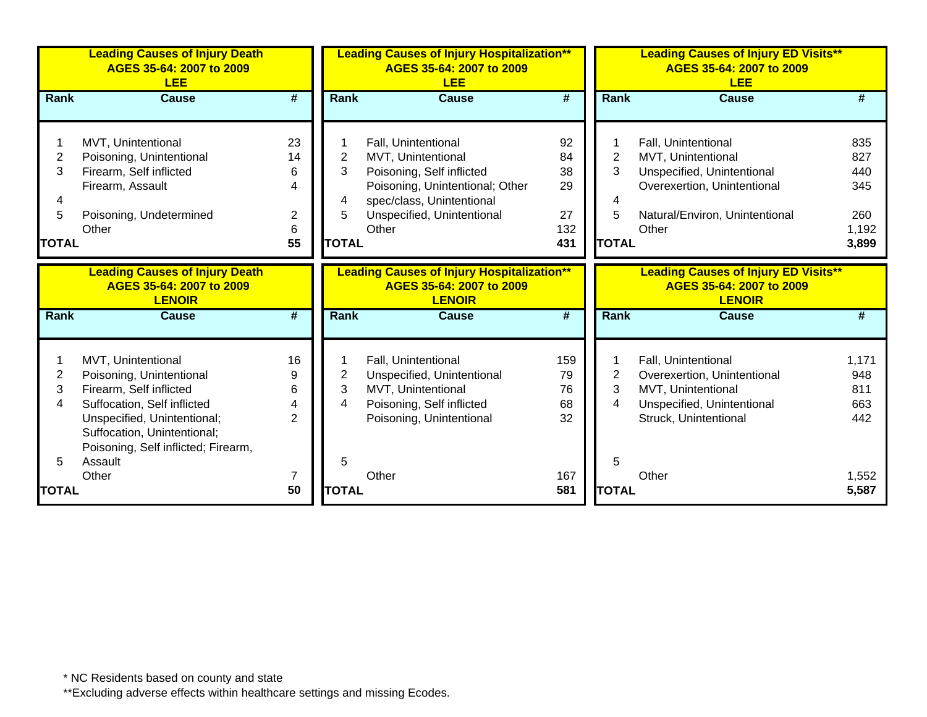|                | <b>Leading Causes of Injury Death</b><br>AGES 35-64: 2007 to 2009<br><b>LEE</b>    |                |                | <b>Leading Causes of Injury Hospitalization**</b><br>AGES 35-64: 2007 to 2009<br><b>LEE</b><br><b>LEE</b> |                             |                | <b>Leading Causes of Injury ED Visits**</b><br>AGES 35-64: 2007 to 2009                  |            |
|----------------|------------------------------------------------------------------------------------|----------------|----------------|-----------------------------------------------------------------------------------------------------------|-----------------------------|----------------|------------------------------------------------------------------------------------------|------------|
| <b>Rank</b>    | <b>Cause</b>                                                                       | #              | <b>Rank</b>    | <b>Cause</b>                                                                                              | #                           | Rank           | <b>Cause</b>                                                                             | #          |
|                |                                                                                    |                |                |                                                                                                           |                             |                |                                                                                          |            |
|                | MVT, Unintentional                                                                 | 23             |                | Fall, Unintentional                                                                                       | 92                          |                | Fall, Unintentional                                                                      | 835        |
| $\overline{2}$ | Poisoning, Unintentional                                                           | 14             | 2              | MVT, Unintentional                                                                                        | 84                          | $\overline{2}$ | MVT, Unintentional                                                                       | 827        |
| 3              | Firearm, Self inflicted                                                            | 6              | 3              | Poisoning, Self inflicted                                                                                 | 38                          | 3              | Unspecified, Unintentional                                                               | 440        |
|                | Firearm, Assault                                                                   | 4              |                | Poisoning, Unintentional; Other                                                                           | 29                          |                | Overexertion, Unintentional                                                              | 345        |
| 4              |                                                                                    |                | 4              | spec/class, Unintentional                                                                                 |                             | 4              |                                                                                          |            |
| 5              | Poisoning, Undetermined                                                            | $\overline{2}$ | 5              | Unspecified, Unintentional                                                                                | 27                          | 5              | Natural/Environ, Unintentional                                                           | 260        |
|                | Other                                                                              | 6              |                | Other                                                                                                     | 132                         |                | Other                                                                                    | 1,192      |
| <b>TOTAL</b>   |                                                                                    | 55             | <b>TOTAL</b>   |                                                                                                           | 431                         | <b>TOTAL</b>   |                                                                                          | 3,899      |
|                | <b>Leading Causes of Injury Death</b><br>AGES 35-64: 2007 to 2009<br><b>LENOIR</b> |                |                | <b>Leading Causes of Injury Hospitalization**</b><br>AGES 35-64: 2007 to 2009<br><b>LENOIR</b>            |                             |                | <b>Leading Causes of Injury ED Visits**</b><br>AGES 35-64: 2007 to 2009<br><b>LENOIR</b> |            |
| Rank           | <b>Cause</b>                                                                       | #              | <b>Rank</b>    | <b>Cause</b>                                                                                              | $\overline{\boldsymbol{t}}$ | <b>Rank</b>    | <b>Cause</b>                                                                             | #          |
|                |                                                                                    |                |                |                                                                                                           |                             |                |                                                                                          |            |
|                | MVT, Unintentional                                                                 | 16             |                | Fall, Unintentional                                                                                       | 159                         |                | Fall, Unintentional                                                                      | 1,171      |
| $\overline{2}$ | Poisoning, Unintentional                                                           | 9              | $\overline{2}$ | Unspecified, Unintentional                                                                                | 79                          | $\overline{2}$ | Overexertion, Unintentional                                                              | 948        |
| 3<br>4         | Firearm, Self inflicted<br>Suffocation, Self inflicted                             | 6<br>4         | 3<br>4         | MVT, Unintentional<br>Poisoning, Self inflicted                                                           | 76<br>68                    | 3<br>4         | MVT, Unintentional<br>Unspecified, Unintentional                                         | 811<br>663 |
|                | Unspecified, Unintentional;                                                        | 2              |                | Poisoning, Unintentional                                                                                  | 32                          |                | Struck, Unintentional                                                                    | 442        |
|                | Suffocation, Unintentional;                                                        |                |                |                                                                                                           |                             |                |                                                                                          |            |
|                | Poisoning, Self inflicted; Firearm,                                                |                |                |                                                                                                           |                             |                |                                                                                          |            |
| 5              | Assault                                                                            |                | 5              |                                                                                                           |                             | 5              |                                                                                          |            |
|                |                                                                                    |                |                |                                                                                                           |                             |                |                                                                                          |            |
|                | Other                                                                              | 7              |                | Other                                                                                                     | 167                         |                | Other                                                                                    | 1,552      |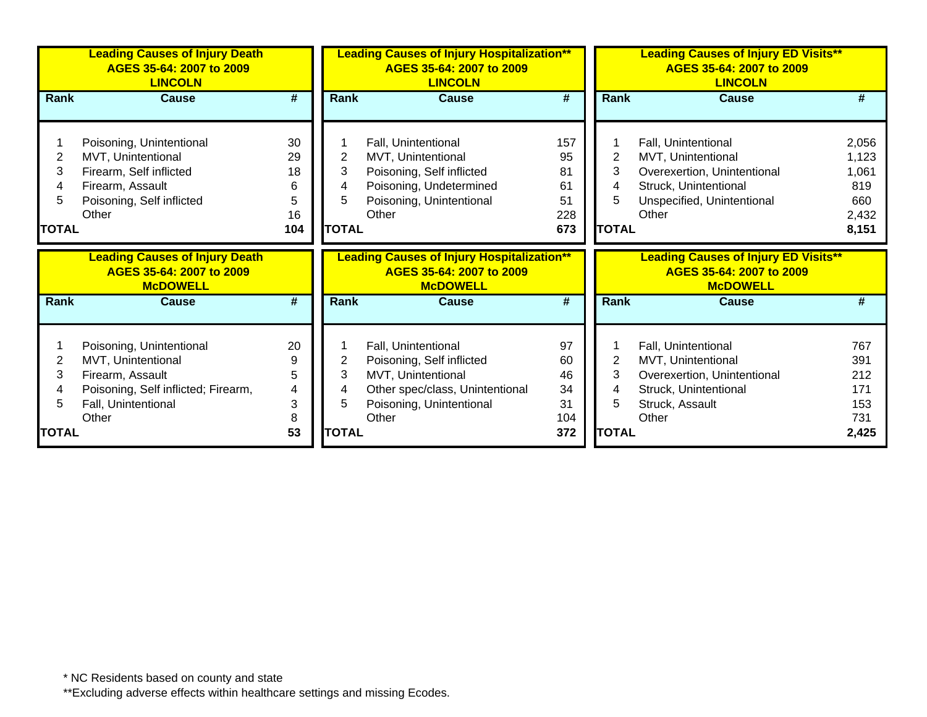|                             | <b>Leading Causes of Injury Death</b><br>AGES 35-64: 2007 to 2009<br><b>LINCOLN</b>                                                 |                                       | <b>Leading Causes of Injury ED Visits**</b><br><b>Leading Causes of Injury Hospitalization**</b><br>AGES 35-64: 2007 to 2009<br>AGES 35-64: 2007 to 2009<br><b>LINCOLN</b><br><b>LINCOLN</b> |                                                                                                                                        |                                           |                                  |                                                                                                                                          |                                                         |
|-----------------------------|-------------------------------------------------------------------------------------------------------------------------------------|---------------------------------------|----------------------------------------------------------------------------------------------------------------------------------------------------------------------------------------------|----------------------------------------------------------------------------------------------------------------------------------------|-------------------------------------------|----------------------------------|------------------------------------------------------------------------------------------------------------------------------------------|---------------------------------------------------------|
| Rank                        | Cause                                                                                                                               | #                                     | Rank                                                                                                                                                                                         | <b>Cause</b>                                                                                                                           | #                                         | Rank                             | Cause                                                                                                                                    | #                                                       |
| 2<br>3<br>5<br><b>TOTAL</b> | Poisoning, Unintentional<br>MVT, Unintentional<br>Firearm, Self inflicted<br>Firearm, Assault<br>Poisoning, Self inflicted<br>Other | 30<br>29<br>18<br>6<br>5<br>16<br>104 | 2<br>3<br>4<br>5<br><b>TOTAL</b>                                                                                                                                                             | Fall, Unintentional<br>MVT, Unintentional<br>Poisoning, Self inflicted<br>Poisoning, Undetermined<br>Poisoning, Unintentional<br>Other | 157<br>95<br>81<br>61<br>51<br>228<br>673 | 2<br>3<br>4<br>5<br><b>TOTAL</b> | Fall, Unintentional<br>MVT, Unintentional<br>Overexertion, Unintentional<br>Struck, Unintentional<br>Unspecified, Unintentional<br>Other | 2,056<br>1,123<br>1,061<br>819<br>660<br>2,432<br>8,151 |
|                             |                                                                                                                                     |                                       |                                                                                                                                                                                              |                                                                                                                                        |                                           |                                  |                                                                                                                                          |                                                         |
|                             | <b>Leading Causes of Injury Death</b><br>AGES 35-64: 2007 to 2009<br><b>McDOWELL</b>                                                |                                       |                                                                                                                                                                                              | <b>Leading Causes of Injury Hospitalization**</b><br>AGES 35-64: 2007 to 2009<br><b>McDOWELL</b>                                       |                                           |                                  | <b>Leading Causes of Injury ED Visits**</b><br>AGES 35-64: 2007 to 2009<br><b>McDOWELL</b>                                               |                                                         |
| Rank                        | <b>Cause</b>                                                                                                                        | $\overline{\boldsymbol{t}}$           | Rank                                                                                                                                                                                         | <b>Cause</b>                                                                                                                           | $\overline{\boldsymbol{t}}$               | Rank                             | <b>Cause</b>                                                                                                                             | #                                                       |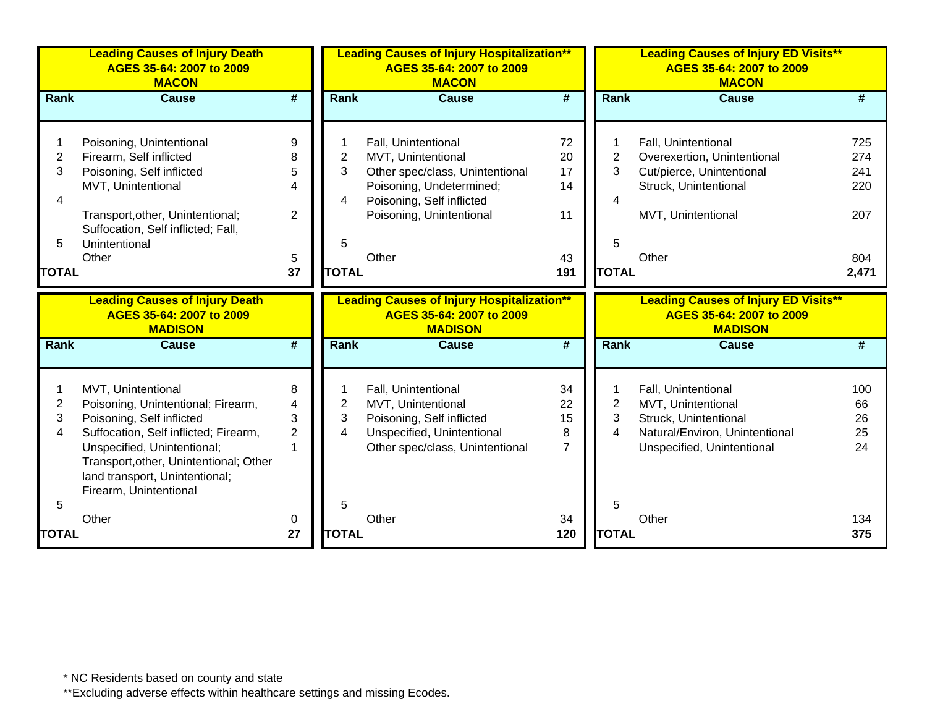|                                               | <b>Leading Causes of Injury Death</b><br>AGES 35-64: 2007 to 2009<br><b>MACON</b>                                                                                                                                                                                   |                                                            |                                               | <b>Leading Causes of Injury Hospitalization**</b><br>AGES 35-64: 2007 to 2009<br><b>MACON</b>                                                                              |                                         |                                               | <b>Leading Causes of Injury ED Visits**</b><br>AGES 35-64: 2007 to 2009<br><b>MACON</b>                                                 |                                                 |
|-----------------------------------------------|---------------------------------------------------------------------------------------------------------------------------------------------------------------------------------------------------------------------------------------------------------------------|------------------------------------------------------------|-----------------------------------------------|----------------------------------------------------------------------------------------------------------------------------------------------------------------------------|-----------------------------------------|-----------------------------------------------|-----------------------------------------------------------------------------------------------------------------------------------------|-------------------------------------------------|
| Rank                                          | <b>Cause</b>                                                                                                                                                                                                                                                        | $\overline{\boldsymbol{t}}$                                | <b>Rank</b>                                   | <b>Cause</b>                                                                                                                                                               | $\overline{\boldsymbol{t}}$             | Rank                                          | <b>Cause</b>                                                                                                                            | #                                               |
| $\overline{c}$<br>3<br>4<br>5<br><b>TOTAL</b> | Poisoning, Unintentional<br>Firearm, Self inflicted<br>Poisoning, Self inflicted<br>MVT, Unintentional<br>Transport, other, Unintentional;<br>Suffocation, Self inflicted; Fall,<br>Unintentional<br>Other                                                          | 9<br>8<br>5<br>$\overline{4}$<br>$\overline{2}$<br>5<br>37 | $\overline{2}$<br>3<br>4<br>5<br><b>TOTAL</b> | Fall, Unintentional<br>MVT, Unintentional<br>Other spec/class, Unintentional<br>Poisoning, Undetermined;<br>Poisoning, Self inflicted<br>Poisoning, Unintentional<br>Other | 72<br>20<br>17<br>14<br>11<br>43<br>191 | $\overline{2}$<br>3<br>4<br>5<br><b>TOTAL</b> | Fall, Unintentional<br>Overexertion, Unintentional<br>Cut/pierce, Unintentional<br>Struck, Unintentional<br>MVT, Unintentional<br>Other | 725<br>274<br>241<br>220<br>207<br>804<br>2,471 |
|                                               |                                                                                                                                                                                                                                                                     |                                                            |                                               |                                                                                                                                                                            |                                         |                                               |                                                                                                                                         |                                                 |
|                                               | <b>Leading Causes of Injury Death</b><br>AGES 35-64: 2007 to 2009                                                                                                                                                                                                   |                                                            |                                               | <b>Leading Causes of Injury Hospitalization**</b><br>AGES 35-64: 2007 to 2009                                                                                              |                                         |                                               | <b>Leading Causes of Injury ED Visits**</b><br>AGES 35-64: 2007 to 2009                                                                 |                                                 |
|                                               | <b>MADISON</b>                                                                                                                                                                                                                                                      |                                                            |                                               | <b>MADISON</b>                                                                                                                                                             |                                         |                                               | <b>MADISON</b>                                                                                                                          |                                                 |
| <b>Rank</b>                                   | <b>Cause</b>                                                                                                                                                                                                                                                        | #                                                          | <b>Rank</b>                                   | <b>Cause</b>                                                                                                                                                               | #                                       | Rank                                          | <b>Cause</b>                                                                                                                            | #                                               |
| 2<br>3<br>4                                   | MVT, Unintentional<br>Poisoning, Unintentional; Firearm,<br>Poisoning, Self inflicted<br>Suffocation, Self inflicted; Firearm,<br>Unspecified, Unintentional;<br>Transport, other, Unintentional; Other<br>land transport, Unintentional;<br>Firearm, Unintentional | 8<br>4<br>3<br>$\overline{2}$                              | $\overline{\mathbf{c}}$<br>3<br>4             | Fall, Unintentional<br>MVT, Unintentional<br>Poisoning, Self inflicted<br>Unspecified, Unintentional<br>Other spec/class, Unintentional                                    | 34<br>22<br>15<br>8<br>$\overline{7}$   | $\overline{c}$<br>3<br>4                      | Fall, Unintentional<br>MVT, Unintentional<br>Struck, Unintentional<br>Natural/Environ, Unintentional<br>Unspecified, Unintentional      | 100<br>66<br>26<br>25<br>24                     |
| 5<br><b>TOTAL</b>                             | Other                                                                                                                                                                                                                                                               | 0<br>27                                                    | 5<br><b>TOTAL</b>                             | Other                                                                                                                                                                      | 34<br>120                               | 5<br><b>TOTAL</b>                             | Other                                                                                                                                   | 134<br>375                                      |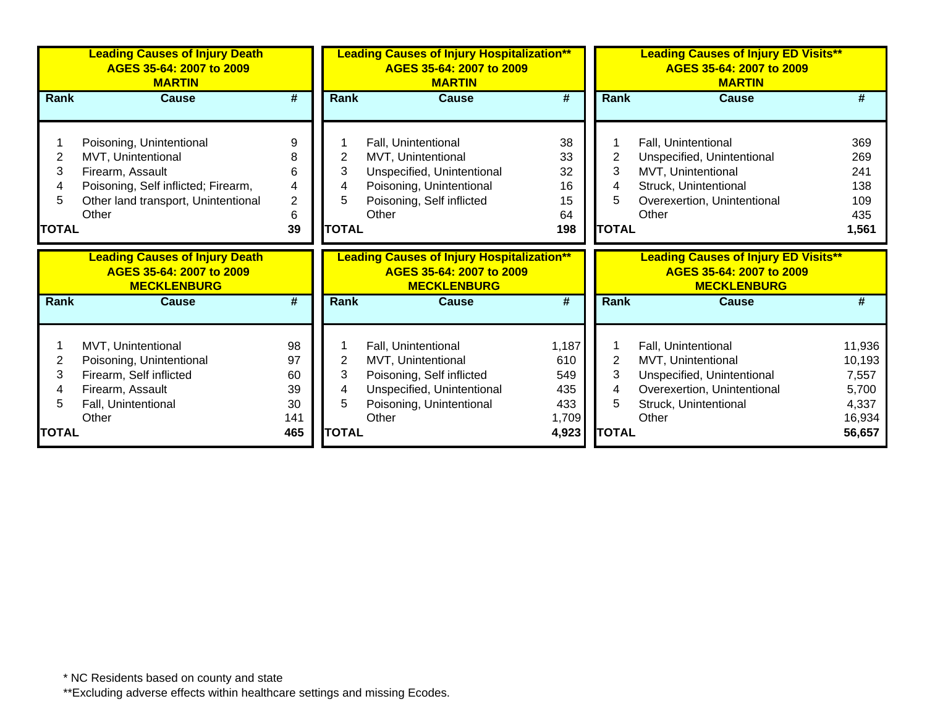|                                  | <b>Leading Causes of Injury Death</b><br>AGES 35-64: 2007 to 2009<br><b>MARTIN</b>                                                                        |                                  | <b>Leading Causes of Injury Hospitalization**</b><br>AGES 35-64: 2007 to 2009<br><b>MARTIN</b> |                                                                                                                                           |                                         | <b>Leading Causes of Injury ED Visits**</b><br>AGES 35-64: 2007 to 2009<br><b>MARTIN</b> |                                                                                                                                                 |                                                 |
|----------------------------------|-----------------------------------------------------------------------------------------------------------------------------------------------------------|----------------------------------|------------------------------------------------------------------------------------------------|-------------------------------------------------------------------------------------------------------------------------------------------|-----------------------------------------|------------------------------------------------------------------------------------------|-------------------------------------------------------------------------------------------------------------------------------------------------|-------------------------------------------------|
| Rank                             | Cause                                                                                                                                                     | #                                | Rank                                                                                           | Cause                                                                                                                                     | #                                       | Rank                                                                                     | Cause                                                                                                                                           | #                                               |
| 2<br>3<br>4<br>5<br><b>TOTAL</b> | Poisoning, Unintentional<br>MVT, Unintentional<br>Firearm, Assault<br>Poisoning, Self inflicted; Firearm,<br>Other land transport, Unintentional<br>Other | 9<br>8<br>6<br>4<br>2<br>6<br>39 | 2<br>3<br>4<br>5.<br><b>TOTAL</b>                                                              | Fall, Unintentional<br>MVT, Unintentional<br>Unspecified, Unintentional<br>Poisoning, Unintentional<br>Poisoning, Self inflicted<br>Other | 38<br>33<br>32<br>16<br>15<br>64<br>198 | 2<br>3<br><b>TOTAL</b>                                                                   | <b>Fall, Unintentional</b><br>Unspecified, Unintentional<br>MVT, Unintentional<br>Struck, Unintentional<br>Overexertion, Unintentional<br>Other | 369<br>269<br>241<br>138<br>109<br>435<br>1,561 |
|                                  |                                                                                                                                                           |                                  |                                                                                                |                                                                                                                                           |                                         |                                                                                          |                                                                                                                                                 |                                                 |
|                                  | <b>Leading Causes of Injury Death</b><br>AGES 35-64: 2007 to 2009<br><b>MECKLENBURG</b>                                                                   |                                  |                                                                                                | <b>Leading Causes of Injury Hospitalization**</b><br>AGES 35-64: 2007 to 2009<br><b>MECKLENBURG</b>                                       |                                         |                                                                                          | <b>Leading Causes of Injury ED Visits**</b><br>AGES 35-64: 2007 to 2009<br><b>MECKLENBURG</b>                                                   |                                                 |
| Rank                             | <b>Cause</b>                                                                                                                                              | $\overline{\boldsymbol{t}}$      | <b>Rank</b>                                                                                    | <b>Cause</b>                                                                                                                              | #                                       | Rank                                                                                     | <b>Cause</b>                                                                                                                                    | #                                               |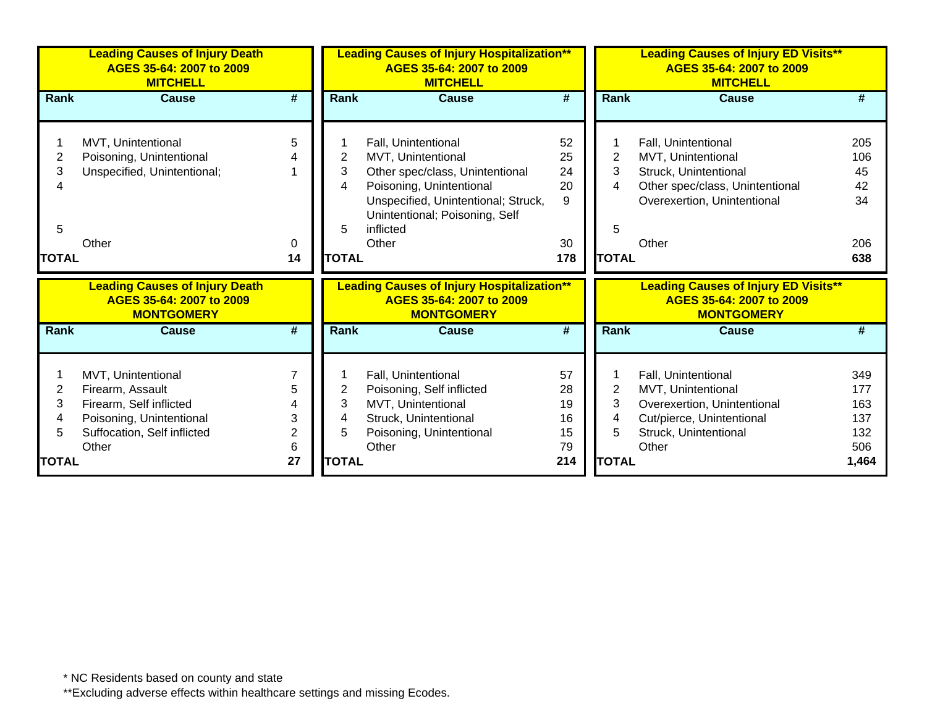|                | <b>Leading Causes of Injury Death</b><br>AGES 35-64: 2007 to 2009<br><b>MITCHELL</b> |                             | <b>Leading Causes of Injury Hospitalization**</b><br>AGES 35-64: 2007 to 2009<br><b>MITCHELL</b> |                                                   |                             | <b>Leading Causes of Injury ED Visits**</b><br>AGES 35-64: 2007 to 2009<br><b>MITCHELL</b> |                                               |       |
|----------------|--------------------------------------------------------------------------------------|-----------------------------|--------------------------------------------------------------------------------------------------|---------------------------------------------------|-----------------------------|--------------------------------------------------------------------------------------------|-----------------------------------------------|-------|
| Rank           | <b>Cause</b>                                                                         | #                           | <b>Rank</b>                                                                                      | <b>Cause</b>                                      | #                           | <b>Rank</b>                                                                                | <b>Cause</b>                                  |       |
|                |                                                                                      |                             |                                                                                                  |                                                   |                             |                                                                                            |                                               |       |
|                | MVT, Unintentional                                                                   | 5                           |                                                                                                  | Fall, Unintentional                               | 52                          |                                                                                            | Fall, Unintentional                           | 205   |
| $\overline{2}$ | Poisoning, Unintentional                                                             |                             | 2                                                                                                | MVT, Unintentional                                | 25                          | 2                                                                                          | MVT, Unintentional                            | 106   |
| 3              | Unspecified, Unintentional;                                                          |                             | 3                                                                                                | Other spec/class, Unintentional                   | 24                          | 3                                                                                          | Struck, Unintentional                         | 45    |
|                |                                                                                      |                             | 4                                                                                                | Poisoning, Unintentional                          | 20                          | 4                                                                                          | Other spec/class, Unintentional               | 42    |
|                |                                                                                      |                             |                                                                                                  | Unspecified, Unintentional; Struck,               | $\mathsf{Q}$                |                                                                                            | Overexertion, Unintentional                   | 34    |
|                |                                                                                      |                             |                                                                                                  | Unintentional; Poisoning, Self                    |                             |                                                                                            |                                               |       |
| 5              |                                                                                      |                             | 5                                                                                                | inflicted                                         |                             | 5                                                                                          |                                               |       |
|                | Other                                                                                | 0                           |                                                                                                  | Other                                             | 30                          |                                                                                            | Other                                         | 206   |
| <b>TOTAL</b>   |                                                                                      | 14                          | <b>TOTAL</b>                                                                                     |                                                   | 178                         | <b>TOTAL</b>                                                                               |                                               | 638   |
|                | <b>Leading Causes of Injury Death</b>                                                |                             |                                                                                                  | <b>Leading Causes of Injury Hospitalization**</b> |                             |                                                                                            | <b>Leading Causes of Injury ED Visits**</b>   |       |
|                | AGES 35-64: 2007 to 2009<br><b>MONTGOMERY</b>                                        |                             |                                                                                                  | AGES 35-64: 2007 to 2009<br><b>MONTGOMERY</b>     |                             |                                                                                            | AGES 35-64: 2007 to 2009<br><b>MONTGOMERY</b> |       |
| Rank           | <b>Cause</b>                                                                         | $\overline{\boldsymbol{t}}$ | <b>Rank</b>                                                                                      | <b>Cause</b>                                      | $\overline{\boldsymbol{t}}$ | <b>Rank</b>                                                                                | <b>Cause</b>                                  |       |
|                |                                                                                      |                             |                                                                                                  |                                                   |                             |                                                                                            |                                               |       |
|                | MVT, Unintentional                                                                   |                             |                                                                                                  | Fall, Unintentional                               | 57                          |                                                                                            | Fall, Unintentional                           | 349   |
| 2              | Firearm, Assault                                                                     | 5                           | 2                                                                                                | Poisoning, Self inflicted                         | 28                          | 2                                                                                          | MVT, Unintentional                            | 177   |
| 3              | Firearm, Self inflicted                                                              |                             | 3                                                                                                | MVT, Unintentional                                | 19                          | 3                                                                                          | Overexertion, Unintentional                   | 163   |
|                | Poisoning, Unintentional                                                             | 3                           | 4                                                                                                | Struck, Unintentional                             | 16                          | 4                                                                                          | Cut/pierce, Unintentional                     | 137   |
| 5              | Suffocation, Self inflicted                                                          | 2                           | 5                                                                                                | Poisoning, Unintentional                          | 15                          | 5                                                                                          | Struck, Unintentional                         | 132   |
|                | Other                                                                                | 6                           |                                                                                                  | Other                                             | 79                          |                                                                                            | Other                                         | 506   |
| <b>TOTAL</b>   |                                                                                      | 27                          | <b>TOTAL</b>                                                                                     |                                                   | 214                         | <b>TOTAL</b>                                                                               |                                               | 1,464 |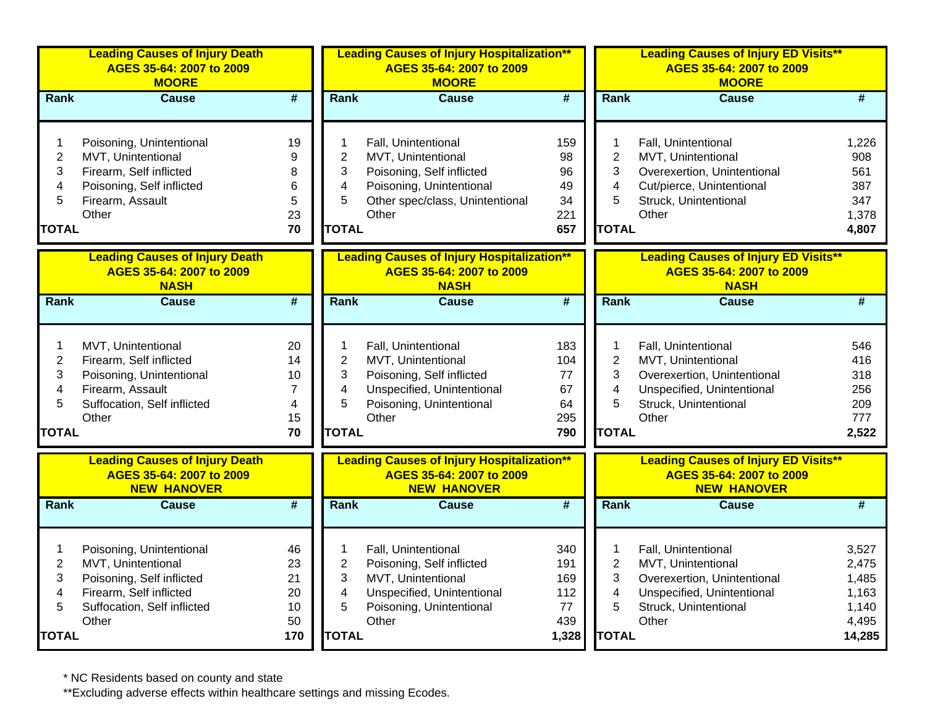|                                                               | <b>Leading Causes of Injury Death</b><br>AGES 35-64: 2007 to 2009<br><b>MOORE</b>                                                              |                                                   |                                                                          | <b>Leading Causes of Injury Hospitalization**</b><br>AGES 35-64: 2007 to 2009<br><b>MOORE</b>                                                  |                                                |                                                    | <b>Leading Causes of Injury ED Visits**</b><br>AGES 35-64: 2007 to 2009<br><b>MOORE</b>                                                  |                                                              |
|---------------------------------------------------------------|------------------------------------------------------------------------------------------------------------------------------------------------|---------------------------------------------------|--------------------------------------------------------------------------|------------------------------------------------------------------------------------------------------------------------------------------------|------------------------------------------------|----------------------------------------------------|------------------------------------------------------------------------------------------------------------------------------------------|--------------------------------------------------------------|
| Rank                                                          | <b>Cause</b>                                                                                                                                   | #                                                 | Rank                                                                     | <b>Cause</b>                                                                                                                                   | #                                              | Rank                                               | <b>Cause</b>                                                                                                                             | #                                                            |
| 1<br>$\overline{c}$<br>3<br>4<br>5<br><b>TOTAL</b>            | Poisoning, Unintentional<br>MVT, Unintentional<br>Firearm, Self inflicted<br>Poisoning, Self inflicted<br>Firearm, Assault<br>Other            | 19<br>9<br>8<br>6<br>5<br>23<br>70                | 1<br>$\overline{c}$<br>3<br>$\overline{\mathbf{4}}$<br>5<br><b>TOTAL</b> | Fall, Unintentional<br>MVT, Unintentional<br>Poisoning, Self inflicted<br>Poisoning, Unintentional<br>Other spec/class, Unintentional<br>Other | 159<br>98<br>96<br>49<br>34<br>221<br>657      | 1<br>$\overline{2}$<br>3<br>4<br>5<br><b>TOTAL</b> | Fall, Unintentional<br>MVT, Unintentional<br>Overexertion, Unintentional<br>Cut/pierce, Unintentional<br>Struck, Unintentional<br>Other  | 1,226<br>908<br>561<br>387<br>347<br>1,378<br>4,807          |
|                                                               | <b>Leading Causes of Injury Death</b><br>AGES 35-64: 2007 to 2009<br><b>NASH</b>                                                               |                                                   |                                                                          | <b>Leading Causes of Injury Hospitalization**</b><br>AGES 35-64: 2007 to 2009<br><b>NASH</b>                                                   |                                                |                                                    | <b>Leading Causes of Injury ED Visits**</b><br>AGES 35-64: 2007 to 2009<br><b>NASH</b>                                                   |                                                              |
| Rank                                                          | Cause                                                                                                                                          | $\overline{\#}$                                   | Rank                                                                     | <b>Cause</b>                                                                                                                                   | $\overline{\#}$                                | Rank                                               | Cause                                                                                                                                    | #                                                            |
| $\mathbf{1}$<br>$\overline{2}$<br>3<br>4<br>5<br><b>TOTAL</b> | MVT, Unintentional<br>Firearm, Self inflicted<br>Poisoning, Unintentional<br>Firearm, Assault<br>Suffocation, Self inflicted<br>Other          | 20<br>14<br>10<br>$\overline{7}$<br>4<br>15<br>70 | 1<br>$\overline{2}$<br>3<br>4<br>5<br><b>TOTAL</b>                       | Fall, Unintentional<br>MVT, Unintentional<br>Poisoning, Self inflicted<br>Unspecified, Unintentional<br>Poisoning, Unintentional<br>Other      | 183<br>104<br>77<br>67<br>64<br>295<br>790     | 1<br>$\overline{2}$<br>3<br>4<br>5<br><b>TOTAL</b> | Fall, Unintentional<br>MVT, Unintentional<br>Overexertion, Unintentional<br>Unspecified, Unintentional<br>Struck, Unintentional<br>Other | 546<br>416<br>318<br>256<br>209<br>777<br>2,522              |
|                                                               | <b>Leading Causes of Injury Death</b><br>AGES 35-64: 2007 to 2009<br><b>NEW HANOVER</b>                                                        |                                                   |                                                                          | <b>Leading Causes of Injury Hospitalization**</b><br>AGES 35-64: 2007 to 2009<br><b>NEW HANOVER</b>                                            |                                                |                                                    | <b>Leading Causes of Injury ED Visits**</b><br>AGES 35-64: 2007 to 2009<br><b>NEW HANOVER</b>                                            |                                                              |
| Rank                                                          | <b>Cause</b>                                                                                                                                   | $\overline{\boldsymbol{t}}$                       | Rank                                                                     | Cause                                                                                                                                          | #                                              | Rank                                               | <b>Cause</b>                                                                                                                             | $\overline{\#}$                                              |
| 1<br>$\overline{2}$<br>3<br>4<br>5<br><b>TOTAL</b>            | Poisoning, Unintentional<br>MVT, Unintentional<br>Poisoning, Self inflicted<br>Firearm, Self inflicted<br>Suffocation, Self inflicted<br>Other | 46<br>23<br>21<br>20<br>10<br>50<br>170           | 1<br>$\overline{2}$<br>3<br>4<br>5<br><b>TOTAL</b>                       | Fall, Unintentional<br>Poisoning, Self inflicted<br>MVT, Unintentional<br>Unspecified, Unintentional<br>Poisoning, Unintentional<br>Other      | 340<br>191<br>169<br>112<br>77<br>439<br>1,328 | 1<br>$\overline{2}$<br>3<br>4<br>5<br><b>TOTAL</b> | Fall, Unintentional<br>MVT, Unintentional<br>Overexertion, Unintentional<br>Unspecified, Unintentional<br>Struck, Unintentional<br>Other | 3,527<br>2,475<br>1,485<br>1,163<br>1,140<br>4,495<br>14,285 |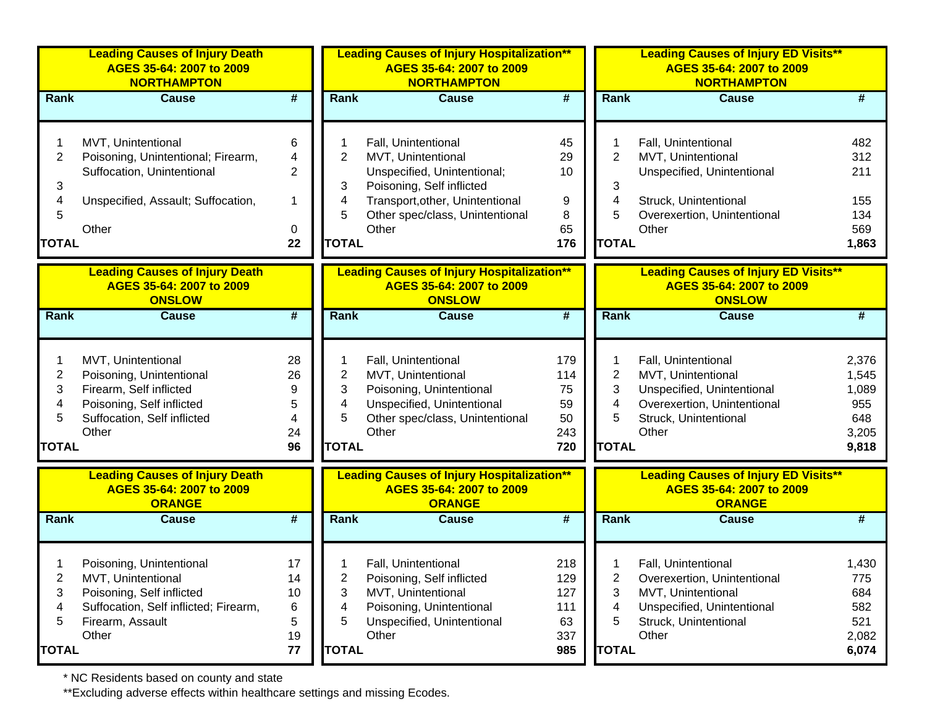|              | <b>Leading Causes of Injury Death</b><br>AGES 35-64: 2007 to 2009<br><b>NORTHAMPTON</b> |                             |                | <b>Leading Causes of Injury Hospitalization**</b><br>AGES 35-64: 2007 to 2009<br><b>NORTHAMPTON</b> |                             |                | <b>Leading Causes of Injury ED Visits**</b><br>AGES 35-64: 2007 to 2009<br><b>NORTHAMPTON</b> |       |
|--------------|-----------------------------------------------------------------------------------------|-----------------------------|----------------|-----------------------------------------------------------------------------------------------------|-----------------------------|----------------|-----------------------------------------------------------------------------------------------|-------|
| <b>Rank</b>  | <b>Cause</b>                                                                            | #                           | Rank           | <b>Cause</b>                                                                                        | $\overline{\boldsymbol{t}}$ | Rank           | <b>Cause</b>                                                                                  | #     |
|              | MVT, Unintentional                                                                      | 6                           |                | Fall, Unintentional                                                                                 | 45                          |                | Fall, Unintentional                                                                           | 482   |
| 2            | Poisoning, Unintentional; Firearm,                                                      | $\overline{4}$              | $\overline{2}$ | MVT, Unintentional                                                                                  | 29                          | $\overline{2}$ | MVT, Unintentional                                                                            | 312   |
|              | Suffocation, Unintentional                                                              | $\overline{2}$              |                | Unspecified, Unintentional;                                                                         | 10                          |                | Unspecified, Unintentional                                                                    | 211   |
| 3            |                                                                                         |                             | 3              | Poisoning, Self inflicted                                                                           |                             | 3              |                                                                                               |       |
| 4            | Unspecified, Assault; Suffocation,                                                      | $\mathbf 1$                 | 4              | Transport, other, Unintentional                                                                     | 9                           | 4              | Struck, Unintentional                                                                         | 155   |
| 5            |                                                                                         |                             | 5              | Other spec/class, Unintentional                                                                     | 8                           | 5              | Overexertion, Unintentional                                                                   | 134   |
|              | Other                                                                                   | 0                           |                | Other                                                                                               | 65                          |                | Other                                                                                         | 569   |
| <b>TOTAL</b> |                                                                                         | 22                          | <b>TOTAL</b>   |                                                                                                     | 176                         | <b>TOTAL</b>   |                                                                                               | 1,863 |
|              | <b>Leading Causes of Injury Death</b>                                                   |                             |                | <b>Leading Causes of Injury Hospitalization**</b>                                                   |                             |                | <b>Leading Causes of Injury ED Visits**</b>                                                   |       |
|              | AGES 35-64: 2007 to 2009<br><b>ONSLOW</b>                                               |                             |                | AGES 35-64: 2007 to 2009<br><b>ONSLOW</b>                                                           |                             |                | AGES 35-64: 2007 to 2009<br><b>ONSLOW</b>                                                     |       |
| Rank         | <b>Cause</b>                                                                            | $\overline{\boldsymbol{H}}$ | Rank           | <b>Cause</b>                                                                                        | $\overline{\boldsymbol{t}}$ | Rank           | <b>Cause</b>                                                                                  | #     |
| 1            | MVT, Unintentional                                                                      | 28                          |                | Fall, Unintentional                                                                                 | 179                         | 1              | Fall, Unintentional                                                                           | 2,376 |
| 2            | Poisoning, Unintentional                                                                | 26                          | $\overline{2}$ | MVT, Unintentional                                                                                  | 114                         | $\overline{2}$ | MVT, Unintentional                                                                            | 1,545 |
| 3            | Firearm, Self inflicted                                                                 | 9                           | 3              | Poisoning, Unintentional                                                                            | 75                          | 3              | Unspecified, Unintentional                                                                    | 1,089 |
| 4            | Poisoning, Self inflicted                                                               | 5                           | 4              | Unspecified, Unintentional                                                                          | 59                          | 4              | Overexertion, Unintentional                                                                   | 955   |
| 5            | Suffocation, Self inflicted                                                             | 4                           | 5              | Other spec/class, Unintentional                                                                     | 50                          | 5              | Struck, Unintentional                                                                         | 648   |
|              | Other                                                                                   | 24                          |                | Other                                                                                               | 243                         |                | Other                                                                                         | 3,205 |
| <b>TOTAL</b> |                                                                                         | 96                          | <b>TOTAL</b>   |                                                                                                     | 720                         | <b>TOTAL</b>   |                                                                                               | 9,818 |
|              | <b>Leading Causes of Injury Death</b><br>AGES 35-64: 2007 to 2009<br><b>ORANGE</b>      |                             |                | <b>Leading Causes of Injury Hospitalization**</b><br>AGES 35-64: 2007 to 2009<br><b>ORANGE</b>      |                             |                | <b>Leading Causes of Injury ED Visits**</b><br>AGES 35-64: 2007 to 2009<br><b>ORANGE</b>      |       |
| <b>Rank</b>  | <b>Cause</b>                                                                            | $\overline{\boldsymbol{H}}$ | Rank           | <b>Cause</b>                                                                                        | #                           | Rank           | <b>Cause</b>                                                                                  | #     |
|              |                                                                                         | 17                          |                | Fall, Unintentional                                                                                 | 218                         |                | Fall, Unintentional                                                                           | 1,430 |
| 2            | Poisoning, Unintentional<br>MVT, Unintentional                                          | 14                          | 2              | Poisoning, Self inflicted                                                                           | 129                         | 2              | Overexertion, Unintentional                                                                   | 775   |
| 3            | Poisoning, Self inflicted                                                               | 10                          | 3              | MVT, Unintentional                                                                                  | 127                         | 3              | MVT, Unintentional                                                                            | 684   |
| 4            | Suffocation, Self inflicted; Firearm,                                                   | 6                           | 4              | Poisoning, Unintentional                                                                            | 111                         | 4              | Unspecified, Unintentional                                                                    | 582   |
| 5            | Firearm, Assault                                                                        | 5                           | 5              | Unspecified, Unintentional                                                                          | 63                          | 5              | Struck, Unintentional                                                                         | 521   |
|              | Other                                                                                   | 19                          |                | Other                                                                                               | 337                         |                | Other                                                                                         | 2,082 |
| <b>TOTAL</b> |                                                                                         | 77                          | <b>TOTAL</b>   |                                                                                                     | 985                         | <b>TOTAL</b>   |                                                                                               | 6,074 |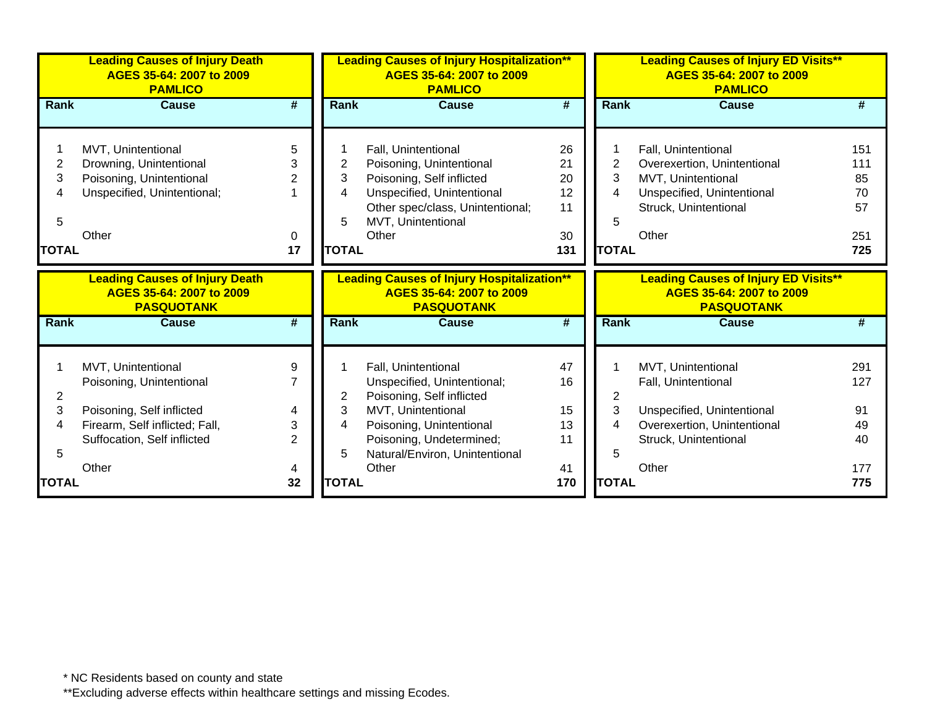|                | <b>Leading Causes of Injury Death</b><br>AGES 35-64: 2007 to 2009<br><b>PAMLICO</b> |                 |                | <b>Leading Causes of Injury Hospitalization**</b><br>AGES 35-64: 2007 to 2009<br><b>PAMLICO</b> |           |                | <b>Leading Causes of Injury ED Visits**</b><br>AGES 35-64: 2007 to 2009<br><b>PAMLICO</b> |            |  |
|----------------|-------------------------------------------------------------------------------------|-----------------|----------------|-------------------------------------------------------------------------------------------------|-----------|----------------|-------------------------------------------------------------------------------------------|------------|--|
| Rank           | <b>Cause</b>                                                                        | #               | Rank           | <b>Cause</b>                                                                                    | #         | Rank           | <b>Cause</b>                                                                              | #          |  |
|                |                                                                                     |                 |                |                                                                                                 |           |                |                                                                                           |            |  |
|                | MVT, Unintentional                                                                  | 5               |                | Fall, Unintentional                                                                             | 26        | 1              | Fall, Unintentional                                                                       | 151        |  |
| $\overline{2}$ | Drowning, Unintentional                                                             | 3               | $\overline{2}$ | Poisoning, Unintentional                                                                        | 21        | $\overline{2}$ | Overexertion, Unintentional                                                               | 111        |  |
| 3              | Poisoning, Unintentional                                                            | $\overline{2}$  | 3              | Poisoning, Self inflicted                                                                       | 20        | 3              | MVT, Unintentional                                                                        | 85         |  |
|                | Unspecified, Unintentional;                                                         |                 | 4              | Unspecified, Unintentional                                                                      | 12        | 4              | Unspecified, Unintentional                                                                | 70         |  |
|                |                                                                                     |                 |                | Other spec/class, Unintentional;                                                                | 11        |                | Struck, Unintentional                                                                     | 57         |  |
| 5              |                                                                                     |                 | 5              | MVT, Unintentional                                                                              |           | 5              |                                                                                           |            |  |
|                | Other                                                                               | 0               |                | Other                                                                                           | 30        |                | Other                                                                                     | 251        |  |
| <b>TOTAL</b>   |                                                                                     | 17              | <b>TOTAL</b>   |                                                                                                 | 131       | <b>TOTAL</b>   |                                                                                           | 725        |  |
|                |                                                                                     |                 |                |                                                                                                 |           |                |                                                                                           |            |  |
|                | <b>Leading Causes of Injury Death</b><br>AGES 35-64: 2007 to 2009                   |                 |                | <b>Leading Causes of Injury Hospitalization**</b><br>AGES 35-64: 2007 to 2009                   |           |                | <b>Leading Causes of Injury ED Visits**</b><br>AGES 35-64: 2007 to 2009                   |            |  |
|                | <b>PASQUOTANK</b>                                                                   |                 |                | <b>PASQUOTANK</b>                                                                               |           |                | <b>PASQUOTANK</b>                                                                         |            |  |
| <b>Rank</b>    | <b>Cause</b>                                                                        | $\overline{\#}$ | <b>Rank</b>    | <b>Cause</b>                                                                                    | #         | Rank           | <b>Cause</b>                                                                              | #          |  |
|                |                                                                                     |                 |                |                                                                                                 |           |                |                                                                                           |            |  |
|                | MVT, Unintentional                                                                  | 9               |                | Fall, Unintentional                                                                             | 47        | 1              | MVT, Unintentional                                                                        | 291        |  |
|                | Poisoning, Unintentional                                                            | $\overline{7}$  |                | Unspecified, Unintentional;                                                                     | 16        |                | Fall, Unintentional                                                                       | 127        |  |
| 2              |                                                                                     |                 | 2              | Poisoning, Self inflicted                                                                       |           | $\overline{2}$ |                                                                                           |            |  |
| 3              | Poisoning, Self inflicted                                                           | 4               | 3              | MVT, Unintentional                                                                              | 15        | 3              | Unspecified, Unintentional                                                                | 91         |  |
| 4              | Firearm, Self inflicted; Fall,                                                      | 3               | 4              | Poisoning, Unintentional                                                                        | 13        | 4              | Overexertion, Unintentional                                                               | 49         |  |
|                | Suffocation, Self inflicted                                                         | $\overline{2}$  |                | Poisoning, Undetermined;                                                                        | 11        |                | Struck, Unintentional                                                                     | 40         |  |
| 5              |                                                                                     |                 | 5              | Natural/Environ, Unintentional                                                                  |           | 5              |                                                                                           |            |  |
| <b>TOTAL</b>   | Other                                                                               | 4<br>32         | <b>TOTAL</b>   | Other                                                                                           | 41<br>170 | <b>TOTAL</b>   | Other                                                                                     | 177<br>775 |  |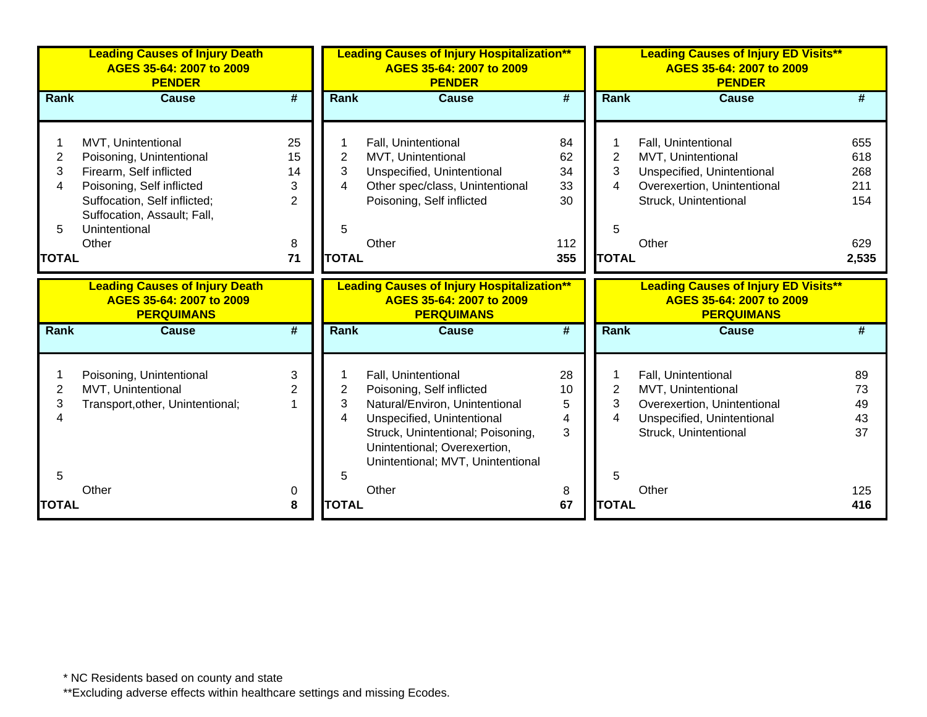|                | <b>Leading Causes of Injury Death</b><br>AGES 35-64: 2007 to 2009<br><b>PENDER</b>     |                             |              | <b>Leading Causes of Injury Hospitalization**</b><br>AGES 35-64: 2007 to 2009<br><b>PENDER</b>     |                             |                     | <b>Leading Causes of Injury ED Visits**</b><br>AGES 35-64: 2007 to 2009<br><b>PENDER</b>     |            |
|----------------|----------------------------------------------------------------------------------------|-----------------------------|--------------|----------------------------------------------------------------------------------------------------|-----------------------------|---------------------|----------------------------------------------------------------------------------------------|------------|
| Rank           | <b>Cause</b>                                                                           | #                           | Rank         | <b>Cause</b>                                                                                       | #                           | <b>Rank</b>         | <b>Cause</b>                                                                                 | #          |
|                |                                                                                        |                             |              |                                                                                                    |                             |                     |                                                                                              |            |
|                | MVT, Unintentional                                                                     | 25                          |              | Fall, Unintentional                                                                                | 84                          |                     | Fall, Unintentional                                                                          | 655        |
| $\overline{c}$ | Poisoning, Unintentional                                                               | 15                          | 2<br>3       | MVT, Unintentional                                                                                 | 62                          | $\overline{c}$<br>3 | MVT, Unintentional                                                                           | 618        |
| 3              | Firearm, Self inflicted                                                                | 14                          | 4            | Unspecified, Unintentional                                                                         | 34<br>33                    | 4                   | Unspecified, Unintentional                                                                   | 268<br>211 |
| 4              | Poisoning, Self inflicted                                                              | 3<br>$\overline{2}$         |              | Other spec/class, Unintentional                                                                    | 30                          |                     | Overexertion, Unintentional                                                                  | 154        |
|                | Suffocation, Self inflicted;<br>Suffocation, Assault; Fall,                            |                             |              | Poisoning, Self inflicted                                                                          |                             |                     | Struck, Unintentional                                                                        |            |
| 5              | Unintentional                                                                          |                             | 5            |                                                                                                    |                             | 5                   |                                                                                              |            |
|                | Other                                                                                  | 8                           |              | Other                                                                                              | 112                         |                     | Other                                                                                        | 629        |
| <b>TOTAL</b>   |                                                                                        | 71                          | <b>TOTAL</b> |                                                                                                    | 355                         | <b>TOTAL</b>        |                                                                                              | 2,535      |
|                |                                                                                        |                             |              |                                                                                                    |                             |                     |                                                                                              |            |
|                | <b>Leading Causes of Injury Death</b><br>AGES 35-64: 2007 to 2009<br><b>PERQUIMANS</b> |                             |              | <b>Leading Causes of Injury Hospitalization**</b><br>AGES 35-64: 2007 to 2009<br><b>PERQUIMANS</b> |                             |                     | <b>Leading Causes of Injury ED Visits**</b><br>AGES 35-64: 2007 to 2009<br><b>PERQUIMANS</b> |            |
| Rank           | <b>Cause</b>                                                                           | $\overline{\boldsymbol{t}}$ | <b>Rank</b>  | <b>Cause</b>                                                                                       | $\overline{\boldsymbol{H}}$ | <b>Rank</b>         | <b>Cause</b>                                                                                 |            |
|                | Poisoning, Unintentional                                                               | 3                           |              | Fall, Unintentional                                                                                | 28                          |                     | Fall, Unintentional                                                                          | 89         |
| 2              | MVT, Unintentional                                                                     | $\overline{2}$              | 2            | Poisoning, Self inflicted                                                                          | 10                          | $\overline{2}$      | MVT, Unintentional                                                                           | 73         |
| 3              | Transport, other, Unintentional;                                                       |                             | 3            | Natural/Environ, Unintentional                                                                     | 5                           | 3                   | Overexertion, Unintentional                                                                  | 49         |
| 4              |                                                                                        |                             | 4            | Unspecified, Unintentional                                                                         | 4                           | 4                   | Unspecified, Unintentional                                                                   | 43         |
|                |                                                                                        |                             |              | Struck, Unintentional; Poisoning,<br>Unintentional; Overexertion,                                  | 3                           |                     | Struck, Unintentional                                                                        | 37         |
|                |                                                                                        |                             |              | Unintentional; MVT, Unintentional                                                                  |                             |                     |                                                                                              |            |
| 5              |                                                                                        |                             | 5            |                                                                                                    |                             | 5                   |                                                                                              |            |
| <b>TOTAL</b>   | Other                                                                                  | 0<br>8                      | <b>TOTAL</b> | Other                                                                                              | 8<br>67                     | <b>TOTAL</b>        | Other                                                                                        | 125<br>416 |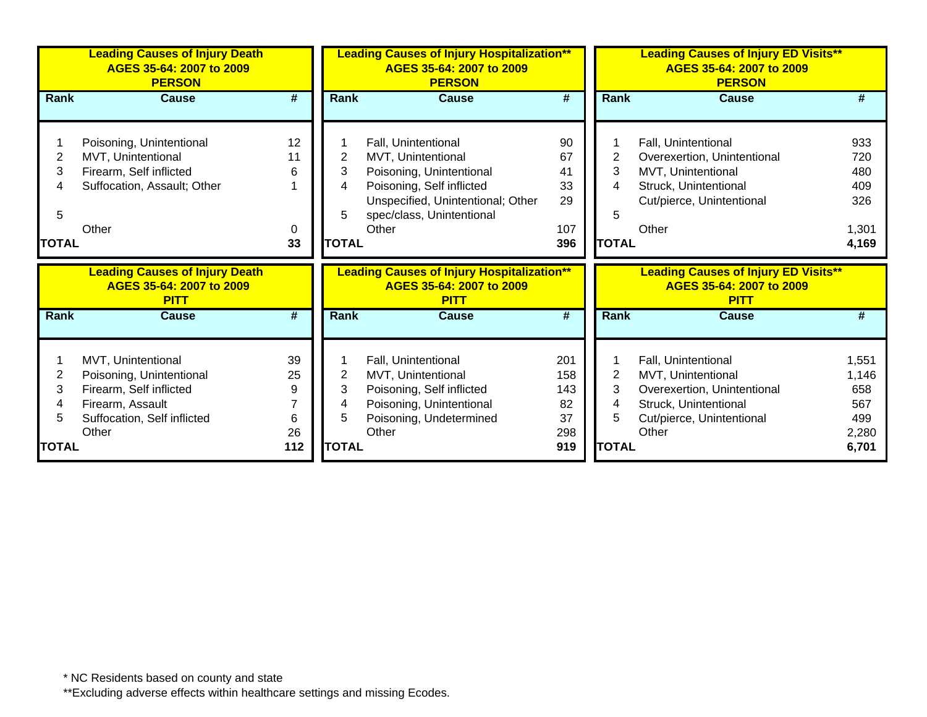|             | <b>Leading Causes of Injury Death</b><br>AGES 35-64: 2007 to 2009<br><b>PERSON</b> |                             | <b>Leading Causes of Injury Hospitalization**</b><br>AGES 35-64: 2007 to 2009<br><b>PERSON</b> |                                                                                              |                             | <b>Leading Causes of Injury ED Visits**</b><br>AGES 35-64: 2007 to 2009<br><b>PERSON</b> |                                                                                        |            |
|-------------|------------------------------------------------------------------------------------|-----------------------------|------------------------------------------------------------------------------------------------|----------------------------------------------------------------------------------------------|-----------------------------|------------------------------------------------------------------------------------------|----------------------------------------------------------------------------------------|------------|
| <b>Rank</b> | <b>Cause</b>                                                                       | $\overline{\boldsymbol{H}}$ | Rank                                                                                           | <b>Cause</b>                                                                                 | $\overline{\boldsymbol{H}}$ | Rank                                                                                     | <b>Cause</b>                                                                           |            |
|             |                                                                                    |                             |                                                                                                |                                                                                              |                             |                                                                                          |                                                                                        |            |
|             | Poisoning, Unintentional                                                           | 12                          |                                                                                                | Fall, Unintentional                                                                          | 90                          |                                                                                          | Fall, Unintentional                                                                    | 933        |
| 2           | MVT, Unintentional                                                                 | 11                          | 2                                                                                              | MVT, Unintentional                                                                           | 67                          | 2                                                                                        | Overexertion, Unintentional                                                            | 720        |
| 3           | Firearm, Self inflicted                                                            | 6                           | 3                                                                                              | Poisoning, Unintentional                                                                     | 41                          | 3                                                                                        | MVT, Unintentional                                                                     | 480        |
| 4           | Suffocation, Assault; Other                                                        |                             | 4                                                                                              | Poisoning, Self inflicted                                                                    | 33                          | 4                                                                                        | Struck, Unintentional                                                                  | 409        |
|             |                                                                                    |                             |                                                                                                | Unspecified, Unintentional; Other                                                            | 29                          |                                                                                          | Cut/pierce, Unintentional                                                              | 326        |
| 5           |                                                                                    |                             | 5                                                                                              | spec/class, Unintentional                                                                    |                             | 5                                                                                        |                                                                                        |            |
|             | Other                                                                              | 0                           |                                                                                                | Other                                                                                        | 107                         |                                                                                          | Other                                                                                  | 1,301      |
| TOTAL       |                                                                                    | 33                          | <b>TOTAL</b>                                                                                   |                                                                                              | 396                         | <b>TOTAL</b>                                                                             |                                                                                        | 4,169      |
|             |                                                                                    |                             |                                                                                                |                                                                                              |                             |                                                                                          |                                                                                        |            |
|             | <b>Leading Causes of Injury Death</b><br>AGES 35-64: 2007 to 2009<br><b>PITT</b>   |                             |                                                                                                | <b>Leading Causes of Injury Hospitalization**</b><br>AGES 35-64: 2007 to 2009<br><b>PITT</b> |                             |                                                                                          | <b>Leading Causes of Injury ED Visits**</b><br>AGES 35-64: 2007 to 2009<br><b>PITT</b> |            |
| <b>Rank</b> | <b>Cause</b>                                                                       | #                           | Rank                                                                                           | <b>Cause</b>                                                                                 | #                           | <b>Rank</b>                                                                              | <b>Cause</b>                                                                           | #          |
|             |                                                                                    |                             |                                                                                                |                                                                                              |                             |                                                                                          |                                                                                        |            |
|             | MVT, Unintentional                                                                 | 39                          |                                                                                                | Fall, Unintentional                                                                          | 201                         |                                                                                          | Fall, Unintentional                                                                    | 1,551      |
| 2           | Poisoning, Unintentional                                                           | 25                          | 2                                                                                              | MVT, Unintentional                                                                           | 158                         | 2                                                                                        | MVT, Unintentional                                                                     | 1,146      |
| 3<br>4      | Firearm, Self inflicted                                                            | 9                           | 3<br>4                                                                                         | Poisoning, Self inflicted                                                                    | 143                         | 3<br>4                                                                                   | Overexertion, Unintentional                                                            | 658        |
| 5           | Firearm, Assault                                                                   | 6                           | 5                                                                                              | Poisoning, Unintentional                                                                     | 82<br>37                    | 5                                                                                        | Struck, Unintentional                                                                  | 567<br>499 |
|             | Suffocation, Self inflicted<br>Other                                               | 26                          |                                                                                                | Poisoning, Undetermined<br>Other                                                             | 298                         |                                                                                          | Cut/pierce, Unintentional<br>Other                                                     | 2,280      |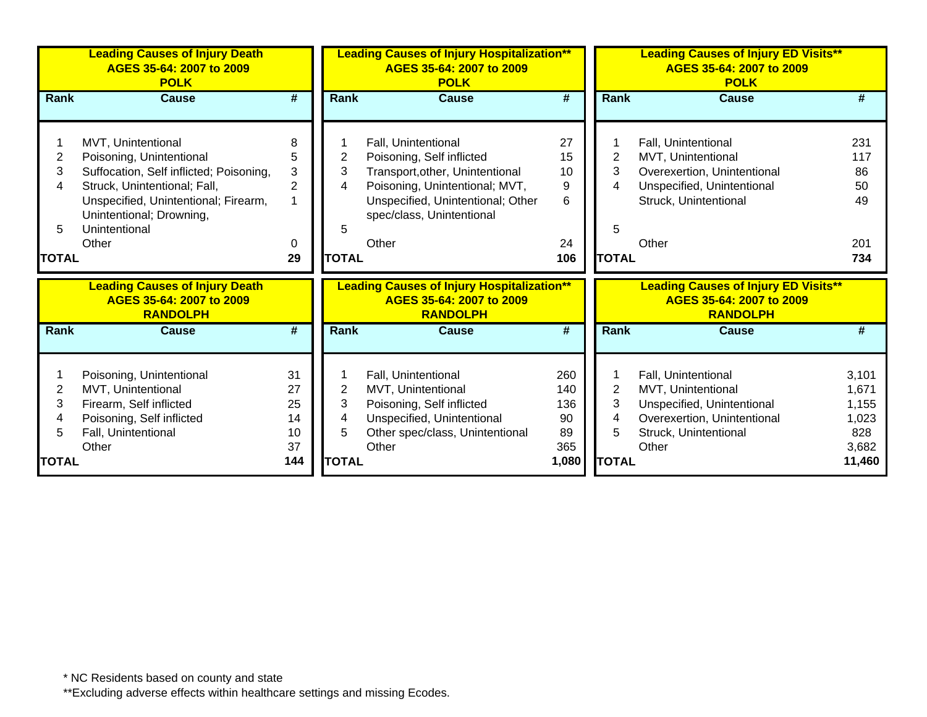|                                  | <b>Leading Causes of Injury Death</b><br>AGES 35-64: 2007 to 2009<br><b>POLK</b>                                                                                                                                        |                                          |                                               | AGES 35-64: 2007 to 2009<br><b>POLK</b>                                                                                                                                                          | <b>Leading Causes of Injury Hospitalization**</b> |                                               | <b>Leading Causes of Injury ED Visits**</b><br>AGES 35-64: 2007 to 2009<br><b>POLK</b>                                                   |                                                            |  |
|----------------------------------|-------------------------------------------------------------------------------------------------------------------------------------------------------------------------------------------------------------------------|------------------------------------------|-----------------------------------------------|--------------------------------------------------------------------------------------------------------------------------------------------------------------------------------------------------|---------------------------------------------------|-----------------------------------------------|------------------------------------------------------------------------------------------------------------------------------------------|------------------------------------------------------------|--|
| <b>Rank</b>                      | <b>Cause</b>                                                                                                                                                                                                            | #                                        | <b>Rank</b>                                   | <b>Cause</b>                                                                                                                                                                                     | #                                                 | <b>Rank</b>                                   | Cause                                                                                                                                    |                                                            |  |
| 2<br>3<br>4<br>5<br><b>TOTAL</b> | MVT, Unintentional<br>Poisoning, Unintentional<br>Suffocation, Self inflicted; Poisoning,<br>Struck, Unintentional; Fall,<br>Unspecified, Unintentional; Firearm,<br>Unintentional; Drowning,<br>Unintentional<br>Other | 8<br>5<br>3<br>$\overline{2}$<br>0<br>29 | $\overline{2}$<br>3<br>4<br>5<br><b>TOTAL</b> | Fall, Unintentional<br>Poisoning, Self inflicted<br>Transport, other, Unintentional<br>Poisoning, Unintentional; MVT,<br>Unspecified, Unintentional; Other<br>spec/class, Unintentional<br>Other | 27<br>15<br>10<br>9<br>6<br>24<br>106             | $\overline{2}$<br>3<br>4<br>5<br><b>TOTAL</b> | Fall, Unintentional<br>MVT, Unintentional<br>Overexertion, Unintentional<br>Unspecified, Unintentional<br>Struck, Unintentional<br>Other | 231<br>117<br>86<br>50<br>49<br>201<br>734                 |  |
|                                  | <b>Leading Causes of Injury Death</b><br>AGES 35-64: 2007 to 2009<br><b>RANDOLPH</b>                                                                                                                                    |                                          |                                               | <b>Leading Causes of Injury Hospitalization**</b><br>AGES 35-64: 2007 to 2009<br><b>RANDOLPH</b>                                                                                                 |                                                   |                                               | <b>Leading Causes of Injury ED Visits**</b><br>AGES 35-64: 2007 to 2009<br><b>RANDOLPH</b>                                               |                                                            |  |
| Rank                             | Cause                                                                                                                                                                                                                   | #                                        | Rank                                          | <b>Cause</b>                                                                                                                                                                                     | #                                                 | <b>Rank</b>                                   | Cause                                                                                                                                    | #                                                          |  |
| 2<br>3<br>4<br>5<br>TOTAL        | Poisoning, Unintentional<br>MVT, Unintentional<br>Firearm, Self inflicted<br>Poisoning, Self inflicted<br>Fall, Unintentional<br>Other                                                                                  | 31<br>27<br>25<br>14<br>10<br>37<br>144  | 2<br>3<br>4<br>5<br><b>TOTAL</b>              | Fall, Unintentional<br>MVT, Unintentional<br>Poisoning, Self inflicted<br>Unspecified, Unintentional<br>Other spec/class, Unintentional<br>Other                                                 | 260<br>140<br>136<br>90<br>89<br>365<br>1,080     | $\overline{2}$<br>3<br>4<br>5<br><b>TOTAL</b> | Fall, Unintentional<br>MVT, Unintentional<br>Unspecified, Unintentional<br>Overexertion, Unintentional<br>Struck, Unintentional<br>Other | 3,101<br>1,671<br>1,155<br>1,023<br>828<br>3,682<br>11,460 |  |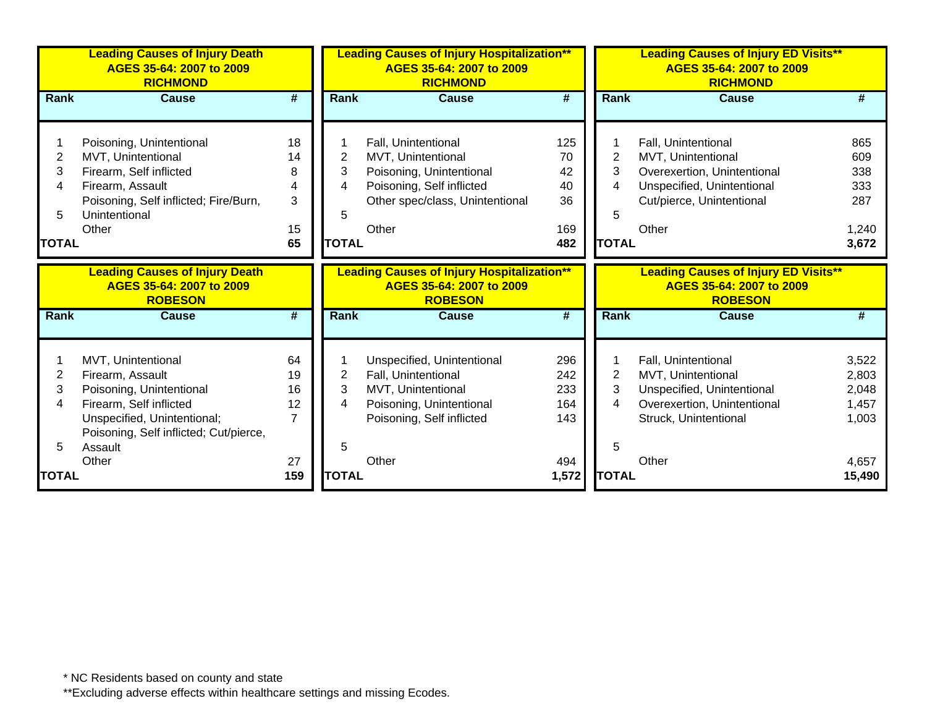|              | <b>Leading Causes of Injury Death</b><br>AGES 35-64: 2007 to 2009<br><b>RICHMOND</b> |                |                | <b>Leading Causes of Injury Hospitalization**</b><br>AGES 35-64: 2007 to 2009<br><b>RICHMOND</b> |       |              | <b>Leading Causes of Injury ED Visits**</b><br>AGES 35-64: 2007 to 2009<br><b>RICHMOND</b> |        |
|--------------|--------------------------------------------------------------------------------------|----------------|----------------|--------------------------------------------------------------------------------------------------|-------|--------------|--------------------------------------------------------------------------------------------|--------|
| Rank         | Cause                                                                                | #              | <b>Rank</b>    | Cause                                                                                            | #     | <b>Rank</b>  | Cause                                                                                      | #      |
|              |                                                                                      |                |                |                                                                                                  |       |              |                                                                                            |        |
|              | Poisoning, Unintentional                                                             | 18             |                | Fall, Unintentional                                                                              | 125   |              | Fall, Unintentional                                                                        | 865    |
| 2            | MVT, Unintentional                                                                   | 14             | 2              | MVT, Unintentional                                                                               | 70    | 2            | MVT, Unintentional                                                                         | 609    |
| 3            | Firearm, Self inflicted                                                              | 8              | 3              | Poisoning, Unintentional                                                                         | 42    | 3            | Overexertion, Unintentional                                                                | 338    |
| 4            | Firearm, Assault                                                                     | 4              | 4              | Poisoning, Self inflicted                                                                        | 40    | 4            | Unspecified, Unintentional                                                                 | 333    |
|              | Poisoning, Self inflicted; Fire/Burn,                                                | 3              |                | Other spec/class, Unintentional                                                                  | 36    |              | Cut/pierce, Unintentional                                                                  | 287    |
| 5            | Unintentional                                                                        |                | 5              |                                                                                                  |       | 5            |                                                                                            |        |
|              | Other                                                                                | 15             |                | Other                                                                                            | 169   |              | Other                                                                                      | 1,240  |
| <b>TOTAL</b> |                                                                                      | 65             | <b>TOTAL</b>   |                                                                                                  | 482   | <b>TOTAL</b> |                                                                                            | 3,672  |
|              | <b>Leading Causes of Injury Death</b>                                                |                |                | <b>Leading Causes of Injury Hospitalization**</b>                                                |       |              | <b>Leading Causes of Injury ED Visits**</b>                                                |        |
|              | AGES 35-64: 2007 to 2009                                                             |                |                | AGES 35-64: 2007 to 2009                                                                         |       |              | AGES 35-64: 2007 to 2009                                                                   |        |
|              | <b>ROBESON</b>                                                                       |                |                | <b>ROBESON</b>                                                                                   |       |              | <b>ROBESON</b>                                                                             |        |
| Rank         | <b>Cause</b>                                                                         | #              | Rank           | <b>Cause</b>                                                                                     | #     | Rank         | <b>Cause</b>                                                                               | #      |
|              |                                                                                      |                |                |                                                                                                  |       |              |                                                                                            |        |
|              | MVT, Unintentional                                                                   | 64             |                | Unspecified, Unintentional                                                                       | 296   |              | Fall, Unintentional                                                                        | 3,522  |
| 2            | Firearm, Assault                                                                     | 19             | $\overline{2}$ | Fall, Unintentional                                                                              | 242   | 2            | MVT, Unintentional                                                                         | 2,803  |
| 3            | Poisoning, Unintentional                                                             | 16             | 3              | MVT, Unintentional                                                                               | 233   | 3            | Unspecified, Unintentional                                                                 | 2,048  |
| 4            | Firearm, Self inflicted                                                              | 12             | 4              | Poisoning, Unintentional                                                                         | 164   | 4            | Overexertion, Unintentional                                                                | 1,457  |
|              | Unspecified, Unintentional;                                                          | $\overline{7}$ |                | Poisoning, Self inflicted                                                                        | 143   |              | Struck, Unintentional                                                                      | 1,003  |
|              | Poisoning, Self inflicted; Cut/pierce,                                               |                |                |                                                                                                  |       |              |                                                                                            |        |
| 5            | Assault                                                                              |                | 5              |                                                                                                  |       | 5            |                                                                                            |        |
|              | Other                                                                                | 27             |                | Other                                                                                            | 494   |              | Other                                                                                      | 4,657  |
| <b>TOTAL</b> |                                                                                      | 159            | <b>TOTAL</b>   |                                                                                                  | 1,572 | <b>TOTAL</b> |                                                                                            | 15,490 |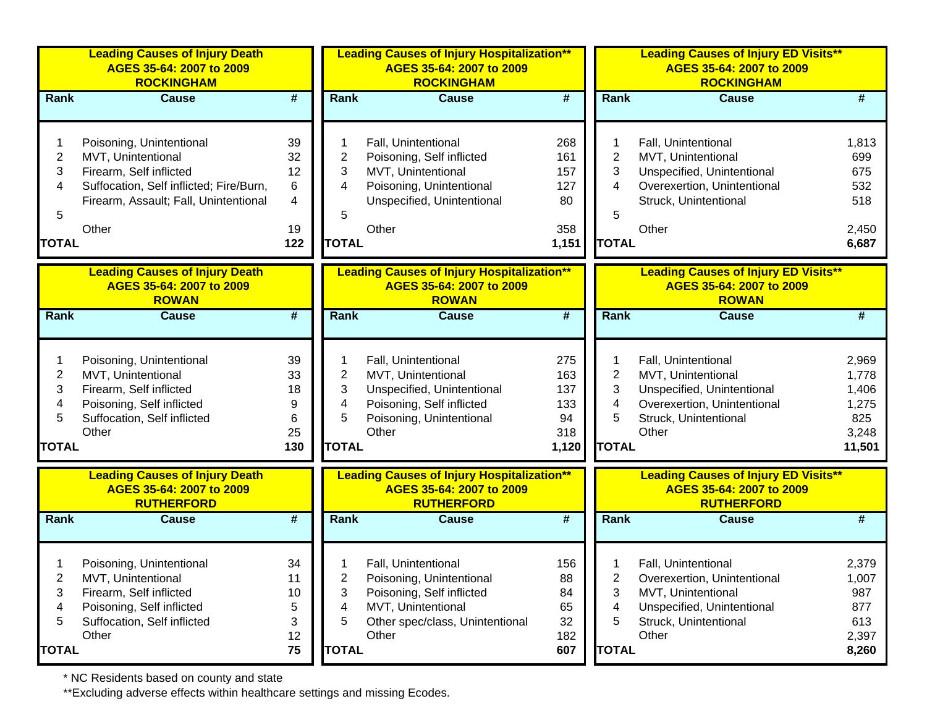|                | <b>Leading Causes of Injury Death</b><br>AGES 35-64: 2007 to 2009<br><b>ROCKINGHAM</b> |                             |                | <b>Leading Causes of Injury Hospitalization**</b><br>AGES 35-64: 2007 to 2009<br><b>ROCKINGHAM</b> |                             |                | <b>Leading Causes of Injury ED Visits**</b><br>AGES 35-64: 2007 to 2009<br><b>ROCKINGHAM</b> |        |
|----------------|----------------------------------------------------------------------------------------|-----------------------------|----------------|----------------------------------------------------------------------------------------------------|-----------------------------|----------------|----------------------------------------------------------------------------------------------|--------|
| Rank           | <b>Cause</b>                                                                           | $\overline{\boldsymbol{r}}$ | Rank           | <b>Cause</b>                                                                                       | $\overline{\boldsymbol{H}}$ | <b>Rank</b>    | <b>Cause</b>                                                                                 | #      |
|                | Poisoning, Unintentional                                                               | 39                          |                | Fall, Unintentional                                                                                | 268                         |                | Fall, Unintentional                                                                          | 1,813  |
| $\overline{c}$ | MVT, Unintentional                                                                     | 32                          | 2              | Poisoning, Self inflicted                                                                          | 161                         | $\overline{2}$ | MVT, Unintentional                                                                           | 699    |
| 3              | Firearm, Self inflicted                                                                | 12                          | 3              | MVT, Unintentional                                                                                 | 157                         | 3              | Unspecified, Unintentional                                                                   | 675    |
| 4              | Suffocation, Self inflicted; Fire/Burn,                                                | 6                           | 4              | Poisoning, Unintentional                                                                           | 127                         | 4              | Overexertion, Unintentional                                                                  | 532    |
|                | Firearm, Assault; Fall, Unintentional                                                  | $\overline{4}$              |                | Unspecified, Unintentional                                                                         | 80                          |                | Struck, Unintentional                                                                        | 518    |
| 5              |                                                                                        |                             | 5              |                                                                                                    |                             | 5              |                                                                                              |        |
|                | Other                                                                                  | 19                          |                | Other                                                                                              | 358                         |                | Other                                                                                        | 2,450  |
| <b>TOTAL</b>   |                                                                                        | 122                         | <b>TOTAL</b>   |                                                                                                    | 1,151                       | <b>TOTAL</b>   |                                                                                              | 6,687  |
|                | <b>Leading Causes of Injury Death</b><br>AGES 35-64: 2007 to 2009<br><b>ROWAN</b>      |                             |                | <b>Leading Causes of Injury Hospitalization**</b><br>AGES 35-64: 2007 to 2009<br><b>ROWAN</b>      |                             |                | <b>Leading Causes of Injury ED Visits**</b><br>AGES 35-64: 2007 to 2009<br><b>ROWAN</b>      |        |
| Rank           | <b>Cause</b>                                                                           | $\overline{\boldsymbol{t}}$ | <b>Rank</b>    | <b>Cause</b>                                                                                       | $\overline{\boldsymbol{t}}$ | <b>Rank</b>    | <b>Cause</b>                                                                                 | #      |
|                |                                                                                        |                             |                |                                                                                                    |                             |                |                                                                                              |        |
|                | Poisoning, Unintentional                                                               | 39                          |                | Fall, Unintentional                                                                                | 275                         | 1              | Fall, Unintentional                                                                          | 2,969  |
| $\overline{2}$ | MVT, Unintentional                                                                     | 33                          | 2              | MVT, Unintentional                                                                                 | 163                         | $\overline{2}$ | MVT, Unintentional                                                                           | 1,778  |
| 3              | Firearm, Self inflicted                                                                | 18                          | 3              | Unspecified, Unintentional                                                                         | 137                         | 3              | Unspecified, Unintentional                                                                   | 1,406  |
| 4              | Poisoning, Self inflicted                                                              | 9                           | 4              | Poisoning, Self inflicted                                                                          | 133                         | 4              | Overexertion, Unintentional                                                                  | 1,275  |
| 5              | Suffocation, Self inflicted                                                            | 6                           | 5              | Poisoning, Unintentional                                                                           | 94                          | 5              | Struck, Unintentional                                                                        | 825    |
|                | Other                                                                                  | 25                          |                | Other                                                                                              | 318                         |                | Other                                                                                        | 3,248  |
| <b>TOTAL</b>   |                                                                                        | 130                         | <b>TOTAL</b>   |                                                                                                    | 1,120                       | <b>TOTAL</b>   |                                                                                              | 11,501 |
|                | <b>Leading Causes of Injury Death</b><br>AGES 35-64: 2007 to 2009<br><b>RUTHERFORD</b> |                             |                | <b>Leading Causes of Injury Hospitalization**</b><br>AGES 35-64: 2007 to 2009<br><b>RUTHERFORD</b> |                             |                | <b>Leading Causes of Injury ED Visits**</b><br>AGES 35-64: 2007 to 2009<br><b>RUTHERFORD</b> |        |
| Rank           | <b>Cause</b>                                                                           | #                           | Rank           | <b>Cause</b>                                                                                       | #                           | <b>Rank</b>    | <b>Cause</b>                                                                                 | #      |
|                |                                                                                        |                             |                |                                                                                                    |                             |                |                                                                                              |        |
|                | Poisoning, Unintentional                                                               | 34                          |                | Fall, Unintentional                                                                                | 156                         |                | Fall, Unintentional                                                                          | 2,379  |
| 2              | MVT, Unintentional                                                                     | 11                          | $\overline{2}$ | Poisoning, Unintentional                                                                           | 88                          | 2              | Overexertion, Unintentional                                                                  | 1,007  |
| 3              | Firearm, Self inflicted                                                                | 10                          | 3              | Poisoning, Self inflicted                                                                          | 84                          | 3              | MVT, Unintentional                                                                           | 987    |
| 4              | Poisoning, Self inflicted                                                              | 5                           | 4              | MVT, Unintentional                                                                                 | 65                          | 4              | Unspecified, Unintentional                                                                   | 877    |
| 5              | Suffocation, Self inflicted                                                            | 3                           | 5              | Other spec/class, Unintentional                                                                    | 32                          | 5              | Struck, Unintentional                                                                        | 613    |
|                | Other                                                                                  | 12                          |                | Other                                                                                              | 182                         |                | Other                                                                                        | 2,397  |
| <b>TOTAL</b>   |                                                                                        | 75                          | <b>TOTAL</b>   |                                                                                                    | 607                         | <b>TOTAL</b>   |                                                                                              | 8,260  |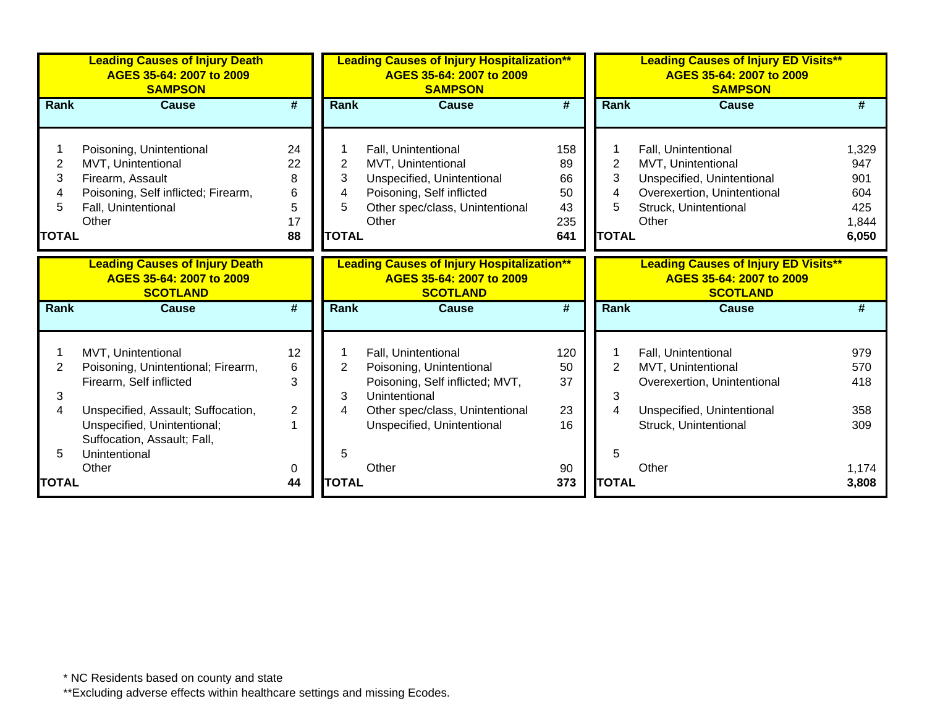|              | <b>Leading Causes of Injury Death</b><br>AGES 35-64: 2007 to 2009<br><b>SAMPSON</b>  |                             |                | <b>Leading Causes of Injury Hospitalization**</b><br>AGES 35-64: 2007 to 2009<br><b>SAMPSON</b>  |                 |                | <b>Leading Causes of Injury ED Visits**</b><br>AGES 35-64: 2007 to 2009<br><b>SAMPSON</b>  |       |
|--------------|--------------------------------------------------------------------------------------|-----------------------------|----------------|--------------------------------------------------------------------------------------------------|-----------------|----------------|--------------------------------------------------------------------------------------------|-------|
| Rank         | <b>Cause</b>                                                                         | #                           | <b>Rank</b>    | Cause                                                                                            | #               | Rank           | <b>Cause</b>                                                                               | #     |
|              |                                                                                      |                             |                |                                                                                                  |                 |                |                                                                                            |       |
|              | Poisoning, Unintentional                                                             | 24                          |                | Fall, Unintentional                                                                              | 158             |                | Fall, Unintentional                                                                        | 1,329 |
| 2            | MVT, Unintentional                                                                   | 22                          | $\overline{2}$ | MVT, Unintentional                                                                               | 89              | $\overline{2}$ | MVT, Unintentional                                                                         | 947   |
| 3            | Firearm, Assault                                                                     | 8                           | 3              | Unspecified, Unintentional                                                                       | 66              | 3              | Unspecified, Unintentional                                                                 | 901   |
|              | Poisoning, Self inflicted; Firearm,                                                  | 6                           | 4              | Poisoning, Self inflicted                                                                        | 50              | $\overline{4}$ | Overexertion, Unintentional                                                                | 604   |
|              | Fall, Unintentional                                                                  | 5                           | 5              | Other spec/class, Unintentional                                                                  | 43              | 5              | Struck, Unintentional                                                                      | 425   |
|              | Other                                                                                | 17                          |                | Other                                                                                            | 235             |                | Other                                                                                      | 1,844 |
| <b>TOTAL</b> |                                                                                      | 88                          | <b>TOTAL</b>   |                                                                                                  | 641             | <b>TOTAL</b>   |                                                                                            | 6,050 |
|              | <b>Leading Causes of Injury Death</b><br>AGES 35-64: 2007 to 2009<br><b>SCOTLAND</b> |                             |                | <b>Leading Causes of Injury Hospitalization**</b><br>AGES 35-64: 2007 to 2009<br><b>SCOTLAND</b> |                 |                | <b>Leading Causes of Injury ED Visits**</b><br>AGES 35-64: 2007 to 2009<br><b>SCOTLAND</b> |       |
| <b>Rank</b>  | <b>Cause</b>                                                                         | $\overline{\boldsymbol{t}}$ | Rank           | <b>Cause</b>                                                                                     | $\overline{\#}$ | Rank           | <b>Cause</b>                                                                               | #     |
|              | MVT, Unintentional                                                                   | 12                          |                | Fall, Unintentional                                                                              | 120             |                | Fall, Unintentional                                                                        | 979   |
| 2            | Poisoning, Unintentional; Firearm,                                                   | 6                           | $\overline{2}$ | Poisoning, Unintentional                                                                         | 50              | $\overline{2}$ | MVT, Unintentional                                                                         | 570   |
|              | Firearm, Self inflicted                                                              | 3                           |                | Poisoning, Self inflicted; MVT,                                                                  | 37              |                | Overexertion, Unintentional                                                                | 418   |
| 3            |                                                                                      |                             | 3              | Unintentional                                                                                    |                 | 3              |                                                                                            |       |
|              | Unspecified, Assault; Suffocation,                                                   | $\overline{2}$              | 4              | Other spec/class, Unintentional                                                                  | 23              | $\overline{4}$ | Unspecified, Unintentional                                                                 | 358   |
|              | Unspecified, Unintentional;                                                          |                             |                | Unspecified, Unintentional                                                                       | 16              |                | Struck, Unintentional                                                                      | 309   |
|              | Suffocation, Assault; Fall,                                                          |                             |                |                                                                                                  |                 |                |                                                                                            |       |
|              | Unintentional                                                                        |                             | 5              |                                                                                                  |                 | 5              |                                                                                            |       |
|              | Other                                                                                | 0                           |                | Other                                                                                            | 90              |                | Other                                                                                      | 1,174 |
| <b>TOTAL</b> |                                                                                      | 44                          | <b>TOTAL</b>   |                                                                                                  | 373             | <b>TOTAL</b>   |                                                                                            | 3,808 |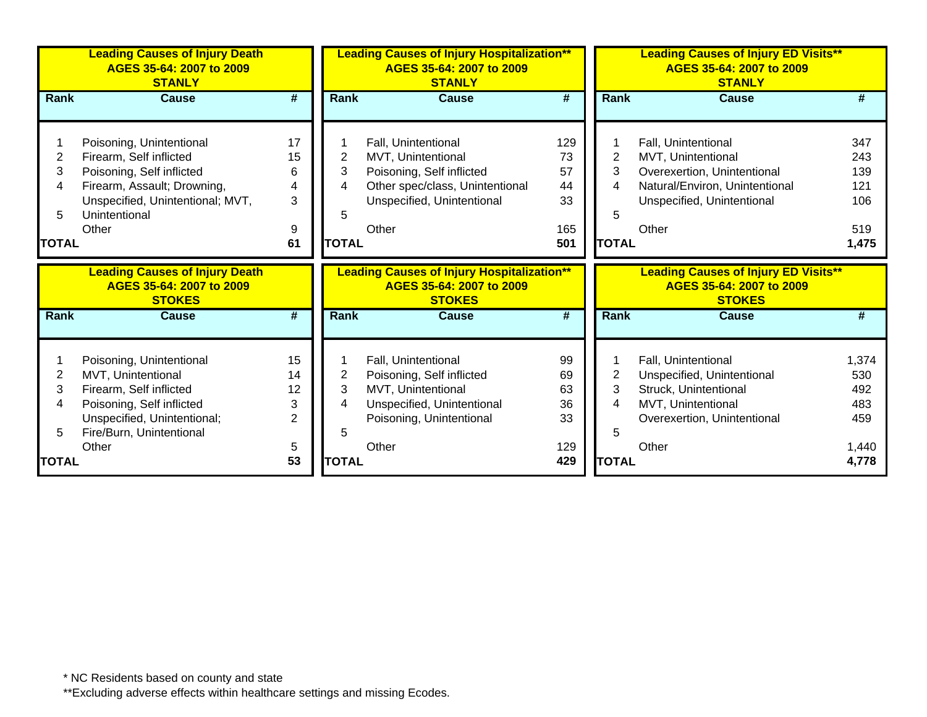|                | <b>Leading Causes of Injury Death</b><br>AGES 35-64: 2007 to 2009<br><b>STANLY</b> |                             |              | <b>Leading Causes of Injury Hospitalization**</b><br>AGES 35-64: 2007 to 2009<br><b>STANLY</b> |                             |              | <b>Leading Causes of Injury ED Visits**</b><br>AGES 35-64: 2007 to 2009<br><b>STANLY</b> |       |
|----------------|------------------------------------------------------------------------------------|-----------------------------|--------------|------------------------------------------------------------------------------------------------|-----------------------------|--------------|------------------------------------------------------------------------------------------|-------|
| Rank           | <b>Cause</b>                                                                       | #                           | Rank         | <b>Cause</b>                                                                                   | #                           | Rank         | <b>Cause</b>                                                                             |       |
|                |                                                                                    |                             |              |                                                                                                |                             |              |                                                                                          |       |
|                | Poisoning, Unintentional                                                           | 17                          |              | Fall, Unintentional                                                                            | 129                         |              | Fall, Unintentional                                                                      | 347   |
| $\overline{2}$ | Firearm, Self inflicted                                                            | 15                          | 2            | MVT, Unintentional                                                                             | 73                          | 2            | MVT, Unintentional                                                                       | 243   |
| 3              | Poisoning, Self inflicted                                                          | 6                           | 3            | Poisoning, Self inflicted                                                                      | 57                          | 3            | Overexertion, Unintentional                                                              | 139   |
| 4              | Firearm, Assault; Drowning,                                                        | 4                           | 4            | Other spec/class, Unintentional                                                                | 44                          | 4            | Natural/Environ, Unintentional                                                           | 121   |
|                | Unspecified, Unintentional; MVT,                                                   | 3                           |              | Unspecified, Unintentional                                                                     | 33                          |              | Unspecified, Unintentional                                                               | 106   |
| 5              | Unintentional                                                                      |                             | 5            |                                                                                                |                             | 5            |                                                                                          |       |
|                | Other                                                                              | 9                           |              | Other                                                                                          | 165                         |              | Other                                                                                    | 519   |
| <b>TOTAL</b>   |                                                                                    | 61                          | <b>TOTAL</b> |                                                                                                | 501                         | <b>TOTAL</b> |                                                                                          | 1,475 |
|                |                                                                                    |                             |              |                                                                                                |                             |              |                                                                                          |       |
|                | <b>Leading Causes of Injury Death</b><br>AGES 35-64: 2007 to 2009<br><b>STOKES</b> |                             |              | <b>Leading Causes of Injury Hospitalization**</b><br>AGES 35-64: 2007 to 2009<br><b>STOKES</b> |                             |              | <b>Leading Causes of Injury ED Visits**</b><br>AGES 35-64: 2007 to 2009<br><b>STOKES</b> |       |
| Rank           | <b>Cause</b>                                                                       | $\overline{\boldsymbol{t}}$ | Rank         | <b>Cause</b>                                                                                   | $\overline{\boldsymbol{t}}$ | <b>Rank</b>  | <b>Cause</b>                                                                             |       |
|                |                                                                                    |                             |              |                                                                                                |                             |              |                                                                                          |       |
|                |                                                                                    | 15                          |              | Fall, Unintentional                                                                            | 99                          |              | Fall, Unintentional                                                                      | 1,374 |
| 2              | Poisoning, Unintentional<br>MVT, Unintentional                                     | 14                          | 2            | Poisoning, Self inflicted                                                                      | 69                          | 2            | Unspecified, Unintentional                                                               | 530   |
| 3              | Firearm, Self inflicted                                                            | 12                          | 3            | MVT, Unintentional                                                                             | 63                          | 3            | Struck, Unintentional                                                                    | 492   |
| 4              | Poisoning, Self inflicted                                                          | 3                           | 4            | Unspecified, Unintentional                                                                     | 36                          | 4            | MVT, Unintentional                                                                       | 483   |
|                | Unspecified, Unintentional;                                                        | $\overline{2}$              |              | Poisoning, Unintentional                                                                       | 33                          |              | Overexertion, Unintentional                                                              | 459   |
| 5.             | Fire/Burn, Unintentional                                                           |                             | 5            |                                                                                                |                             | 5            |                                                                                          |       |
| <b>TOTAL</b>   | Other                                                                              | 5<br>53                     | <b>TOTAL</b> | Other                                                                                          | 129<br>429                  | <b>TOTAL</b> | Other                                                                                    | 1,440 |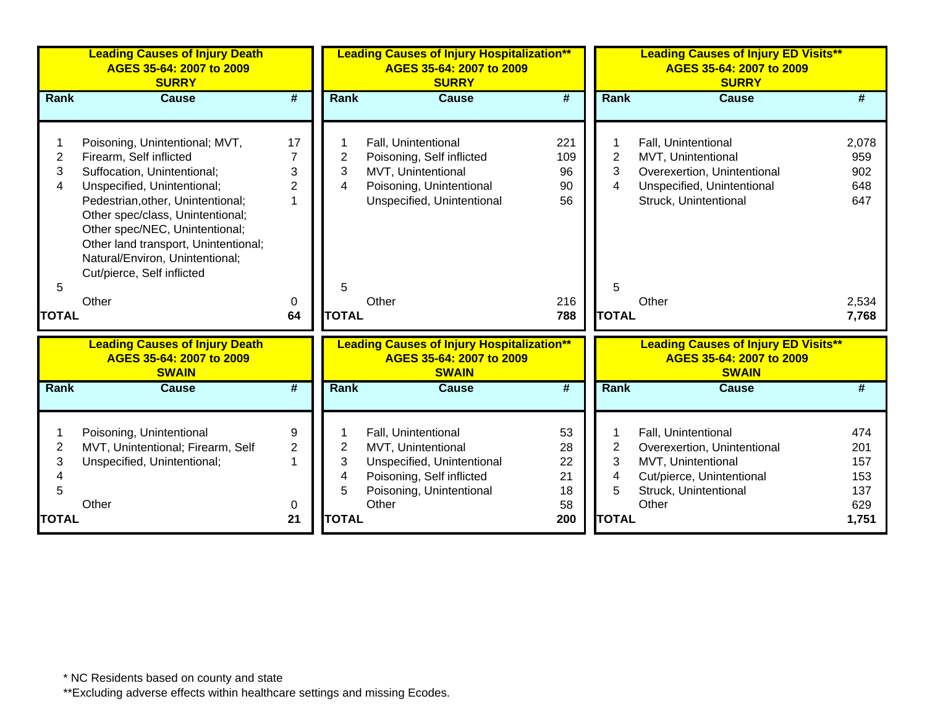|                               | <b>Leading Causes of Injury Death</b><br>AGES 35-64: 2007 to 2009<br><b>SURRY</b>                                                                                                                                                                                                                                                           |                           | <b>Leading Causes of Injury Hospitalization**</b><br>AGES 35-64: 2007 to 2009<br><b>SURRY</b> |                                                                                                                                           |                                  | <b>Leading Causes of Injury ED Visits**</b><br>AGES 35-64: 2007 to 2009<br><b>SURRY</b> |                                                                                                                                         |                                        |
|-------------------------------|---------------------------------------------------------------------------------------------------------------------------------------------------------------------------------------------------------------------------------------------------------------------------------------------------------------------------------------------|---------------------------|-----------------------------------------------------------------------------------------------|-------------------------------------------------------------------------------------------------------------------------------------------|----------------------------------|-----------------------------------------------------------------------------------------|-----------------------------------------------------------------------------------------------------------------------------------------|----------------------------------------|
| Rank                          | <b>Cause</b>                                                                                                                                                                                                                                                                                                                                | #                         | <b>Rank</b>                                                                                   | <b>Cause</b>                                                                                                                              | #                                | Rank                                                                                    | <b>Cause</b>                                                                                                                            | #                                      |
| $\overline{2}$<br>3<br>4<br>5 | Poisoning, Unintentional; MVT,<br>Firearm, Self inflicted<br>Suffocation, Unintentional;<br>Unspecified, Unintentional;<br>Pedestrian, other, Unintentional;<br>Other spec/class, Unintentional;<br>Other spec/NEC, Unintentional;<br>Other land transport, Unintentional;<br>Natural/Environ, Unintentional;<br>Cut/pierce, Self inflicted | 17<br>3<br>$\overline{2}$ | $\overline{2}$<br>3<br>$\overline{4}$<br>5                                                    | Fall, Unintentional<br>Poisoning, Self inflicted<br>MVT, Unintentional<br>Poisoning, Unintentional<br>Unspecified, Unintentional          | 221<br>109<br>96<br>90<br>56     | -1<br>$\overline{2}$<br>3<br>$\overline{4}$<br>5                                        | Fall, Unintentional<br>MVT, Unintentional<br>Overexertion, Unintentional<br>Unspecified, Unintentional<br>Struck, Unintentional         | 2,078<br>959<br>902<br>648<br>647      |
|                               | Other                                                                                                                                                                                                                                                                                                                                       | 0                         |                                                                                               | Other                                                                                                                                     | 216                              |                                                                                         | Other                                                                                                                                   | 2,534                                  |
| <b>TOTAL</b>                  |                                                                                                                                                                                                                                                                                                                                             | 64                        | <b>TOTAL</b>                                                                                  |                                                                                                                                           | 788                              | <b>TOTAL</b>                                                                            |                                                                                                                                         | 7,768                                  |
|                               | <b>Leading Causes of Injury Death</b><br>AGES 35-64: 2007 to 2009<br><b>SWAIN</b>                                                                                                                                                                                                                                                           |                           |                                                                                               | <b>Leading Causes of Injury Hospitalization**</b><br>AGES 35-64: 2007 to 2009<br><b>SWAIN</b>                                             |                                  |                                                                                         | <b>Leading Causes of Injury ED Visits**</b><br>AGES 35-64: 2007 to 2009<br><b>SWAIN</b>                                                 |                                        |
| Rank                          | <b>Cause</b>                                                                                                                                                                                                                                                                                                                                | #                         | Rank                                                                                          | <b>Cause</b>                                                                                                                              | $\overline{\#}$                  | Rank                                                                                    | <b>Cause</b>                                                                                                                            | #                                      |
| $\overline{2}$<br>3<br>5      | Poisoning, Unintentional<br>MVT, Unintentional; Firearm, Self<br>Unspecified, Unintentional;<br>Other                                                                                                                                                                                                                                       | 9<br>$\overline{2}$<br>0  | $\overline{2}$<br>3<br>$\overline{4}$<br>5                                                    | Fall, Unintentional<br>MVT, Unintentional<br>Unspecified, Unintentional<br>Poisoning, Self inflicted<br>Poisoning, Unintentional<br>Other | 53<br>28<br>22<br>21<br>18<br>58 | $\overline{2}$<br>3<br>4<br>5                                                           | Fall, Unintentional<br>Overexertion, Unintentional<br>MVT, Unintentional<br>Cut/pierce, Unintentional<br>Struck, Unintentional<br>Other | 474<br>201<br>157<br>153<br>137<br>629 |
| <b>TOTAL</b>                  |                                                                                                                                                                                                                                                                                                                                             | 21                        | <b>TOTAL</b>                                                                                  |                                                                                                                                           | 200                              | <b>TOTAL</b>                                                                            |                                                                                                                                         | 1,751                                  |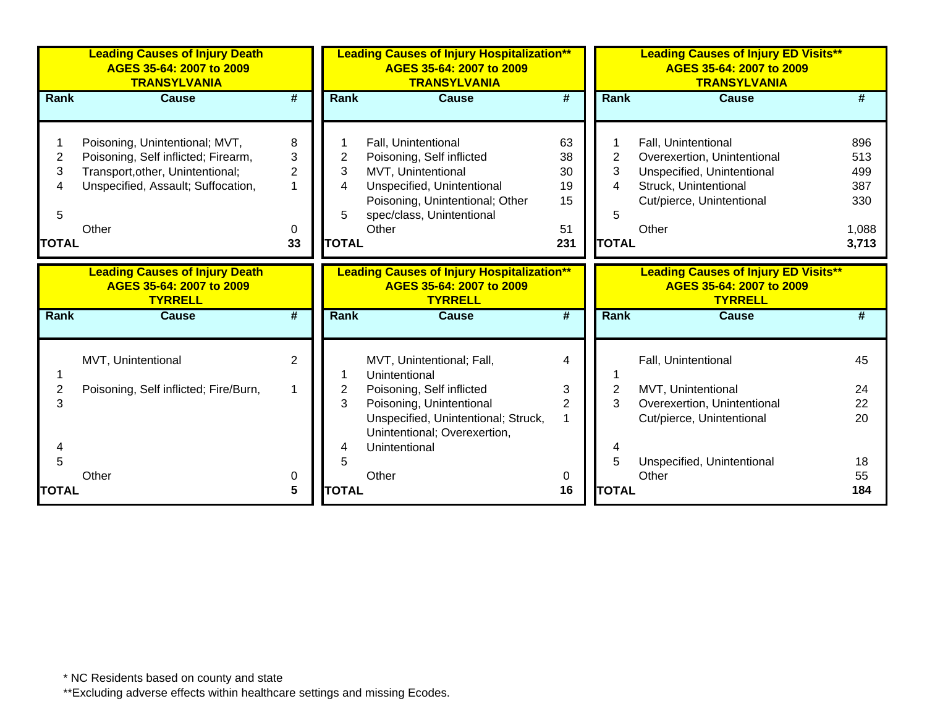|                                  | <b>Leading Causes of Injury Death</b><br>AGES 35-64: 2007 to 2009<br><b>TRANSYLVANIA</b>                                                                 |                                          |                                               | <b>Leading Causes of Injury Hospitalization**</b><br>AGES 35-64: 2007 to 2009<br><b>TRANSYLVANIA</b>                                                                          |                                         |                                               | <b>Leading Causes of Injury ED Visits**</b><br>AGES 35-64: 2007 to 2009<br><b>TRANSYLVANIA</b>                                                  |                                                   |
|----------------------------------|----------------------------------------------------------------------------------------------------------------------------------------------------------|------------------------------------------|-----------------------------------------------|-------------------------------------------------------------------------------------------------------------------------------------------------------------------------------|-----------------------------------------|-----------------------------------------------|-------------------------------------------------------------------------------------------------------------------------------------------------|---------------------------------------------------|
| Rank                             | <b>Cause</b>                                                                                                                                             | $\overline{\boldsymbol{t}}$              | <b>Rank</b>                                   | <b>Cause</b>                                                                                                                                                                  | $\overline{\boldsymbol{t}}$             | Rank                                          | <b>Cause</b>                                                                                                                                    | #                                                 |
| 2<br>3<br>4<br>5<br><b>TOTAL</b> | Poisoning, Unintentional; MVT,<br>Poisoning, Self inflicted; Firearm,<br>Transport, other, Unintentional;<br>Unspecified, Assault; Suffocation,<br>Other | 8<br>3<br>$\overline{2}$<br>1<br>0<br>33 | $\overline{2}$<br>3<br>4<br>5<br><b>TOTAL</b> | Fall, Unintentional<br>Poisoning, Self inflicted<br>MVT, Unintentional<br>Unspecified, Unintentional<br>Poisoning, Unintentional; Other<br>spec/class, Unintentional<br>Other | 63<br>38<br>30<br>19<br>15<br>51<br>231 | $\overline{2}$<br>3<br>4<br>5<br><b>TOTAL</b> | Fall, Unintentional<br>Overexertion, Unintentional<br>Unspecified, Unintentional<br>Struck, Unintentional<br>Cut/pierce, Unintentional<br>Other | 896<br>513<br>499<br>387<br>330<br>1,088<br>3,713 |
|                                  | <b>Leading Causes of Injury Death</b><br>AGES 35-64: 2007 to 2009<br><b>TYRRELL</b>                                                                      |                                          |                                               | <b>Leading Causes of Injury Hospitalization**</b><br>AGES 35-64: 2007 to 2009<br><b>TYRRELL</b>                                                                               |                                         |                                               | <b>Leading Causes of Injury ED Visits**</b><br>AGES 35-64: 2007 to 2009<br><b>TYRRELL</b>                                                       |                                                   |
| <b>Rank</b>                      | Cause                                                                                                                                                    | #                                        | <b>Rank</b>                                   | <b>Cause</b>                                                                                                                                                                  | #                                       | Rank                                          | Cause                                                                                                                                           | #                                                 |
|                                  | MVT, Unintentional                                                                                                                                       | $\overline{2}$                           |                                               | MVT, Unintentional; Fall,<br>Unintentional                                                                                                                                    | 4                                       |                                               | Fall, Unintentional                                                                                                                             | 45                                                |
| 3                                | Poisoning, Self inflicted; Fire/Burn,                                                                                                                    | $\mathbf 1$                              | 2<br>3                                        | Poisoning, Self inflicted<br>Poisoning, Unintentional<br>Unspecified, Unintentional; Struck,<br>Unintentional; Overexertion,                                                  | 3<br>$\overline{2}$                     | $\overline{2}$<br>3                           | MVT, Unintentional<br>Overexertion, Unintentional<br>Cut/pierce, Unintentional                                                                  | 24<br>22<br>20                                    |
| 4<br>5<br><b>TOTAL</b>           | Other                                                                                                                                                    | 0<br>5                                   | 4<br><b>TOTAL</b>                             | Unintentional<br>Other                                                                                                                                                        | 0<br>16                                 | 5<br><b>TOTAL</b>                             | Unspecified, Unintentional<br>Other                                                                                                             | 18<br>55<br>184                                   |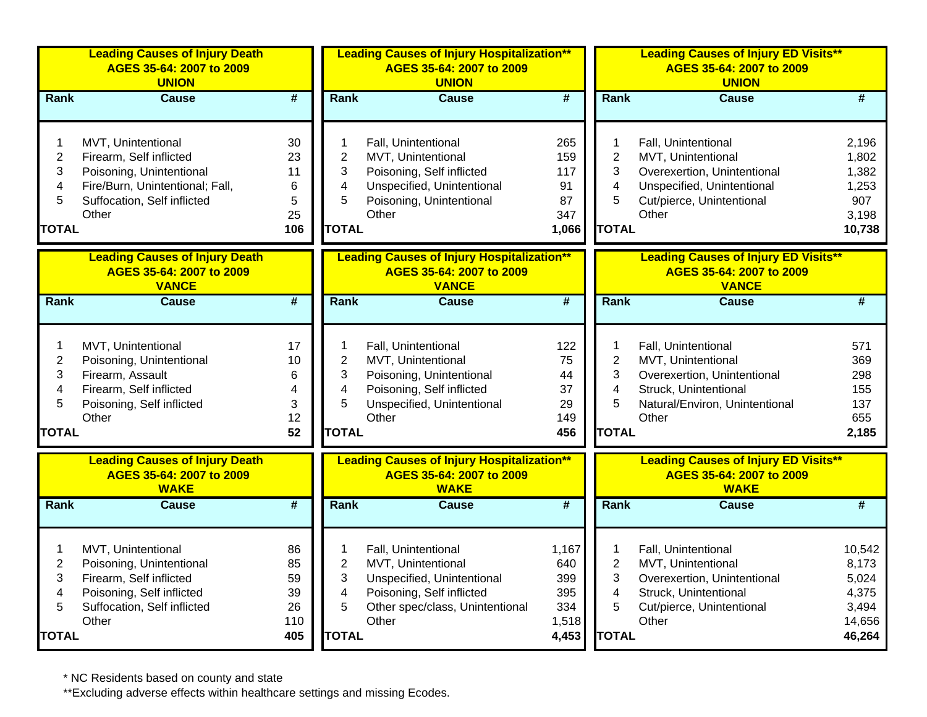|                                                                 | <b>Leading Causes of Injury Death</b><br>AGES 35-64: 2007 to 2009<br><b>UNION</b>                                                                    |                                          |                                                                          | <b>Leading Causes of Injury Hospitalization**</b><br>AGES 35-64: 2007 to 2009<br><b>UNION</b>                                                    |                                                     |                                                    | <b>Leading Causes of Injury ED Visits**</b><br>AGES 35-64: 2007 to 2009<br><b>UNION</b>                                                      |                                                                |
|-----------------------------------------------------------------|------------------------------------------------------------------------------------------------------------------------------------------------------|------------------------------------------|--------------------------------------------------------------------------|--------------------------------------------------------------------------------------------------------------------------------------------------|-----------------------------------------------------|----------------------------------------------------|----------------------------------------------------------------------------------------------------------------------------------------------|----------------------------------------------------------------|
| Rank                                                            | <b>Cause</b>                                                                                                                                         | #                                        | Rank                                                                     | <b>Cause</b>                                                                                                                                     | $\overline{\boldsymbol{r}}$                         | Rank                                               | <b>Cause</b>                                                                                                                                 | #                                                              |
| 1<br>$\overline{c}$<br>3<br>4<br>5<br><b>TOTAL</b>              | MVT, Unintentional<br>Firearm, Self inflicted<br>Poisoning, Unintentional<br>Fire/Burn, Unintentional; Fall,<br>Suffocation, Self inflicted<br>Other | 30<br>23<br>11<br>6<br>5<br>25<br>106    | 1<br>$\overline{c}$<br>3<br>$\overline{\mathbf{4}}$<br>5<br><b>TOTAL</b> | Fall, Unintentional<br>MVT, Unintentional<br>Poisoning, Self inflicted<br>Unspecified, Unintentional<br>Poisoning, Unintentional<br>Other        | 265<br>159<br>117<br>91<br>87<br>347<br>1,066       | 1<br>$\overline{2}$<br>3<br>4<br>5<br><b>TOTAL</b> | Fall, Unintentional<br>MVT, Unintentional<br>Overexertion, Unintentional<br>Unspecified, Unintentional<br>Cut/pierce, Unintentional<br>Other | 2,196<br>1,802<br>1,382<br>1,253<br>907<br>3,198<br>10,738     |
|                                                                 | <b>Leading Causes of Injury Death</b><br>AGES 35-64: 2007 to 2009<br><b>VANCE</b>                                                                    |                                          |                                                                          | <b>Leading Causes of Injury Hospitalization**</b><br>AGES 35-64: 2007 to 2009<br><b>VANCE</b>                                                    |                                                     |                                                    | <b>Leading Causes of Injury ED Visits**</b><br>AGES 35-64: 2007 to 2009<br><b>VANCE</b>                                                      |                                                                |
| Rank                                                            | Cause                                                                                                                                                | $\overline{\#}$                          | Rank                                                                     | <b>Cause</b>                                                                                                                                     | $\overline{\#}$                                     | Rank                                               | Cause                                                                                                                                        | $\overline{\#}$                                                |
| $\mathbf{1}$<br>$\boldsymbol{2}$<br>3<br>4<br>5<br><b>TOTAL</b> | MVT, Unintentional<br>Poisoning, Unintentional<br>Firearm, Assault<br>Firearm, Self inflicted<br>Poisoning, Self inflicted<br>Other                  | 17<br>10<br>6<br>4<br>3<br>12<br>52      | 1<br>$\overline{2}$<br>3<br>4<br>5<br><b>TOTAL</b>                       | Fall, Unintentional<br>MVT, Unintentional<br>Poisoning, Unintentional<br>Poisoning, Self inflicted<br>Unspecified, Unintentional<br>Other        | 122<br>75<br>44<br>37<br>29<br>149<br>456           | 1<br>$\overline{2}$<br>3<br>4<br>5<br><b>TOTAL</b> | Fall, Unintentional<br>MVT, Unintentional<br>Overexertion, Unintentional<br>Struck, Unintentional<br>Natural/Environ, Unintentional<br>Other | 571<br>369<br>298<br>155<br>137<br>655<br>2,185                |
|                                                                 | <b>Leading Causes of Injury Death</b><br>AGES 35-64: 2007 to 2009<br><b>WAKE</b>                                                                     |                                          |                                                                          | <b>Leading Causes of Injury Hospitalization**</b><br>AGES 35-64: 2007 to 2009<br><b>WAKE</b>                                                     |                                                     |                                                    | <b>Leading Causes of Injury ED Visits**</b><br>AGES 35-64: 2007 to 2009<br><b>WAKE</b>                                                       |                                                                |
| Rank                                                            | <b>Cause</b>                                                                                                                                         | $\overline{\boldsymbol{t}}$              | <b>Rank</b>                                                              | <b>Cause</b>                                                                                                                                     | #                                                   | <b>Rank</b>                                        | <b>Cause</b>                                                                                                                                 | $\overline{\#}$                                                |
| 1<br>$\overline{2}$<br>3<br>4<br>5<br><b>TOTAL</b>              | MVT, Unintentional<br>Poisoning, Unintentional<br>Firearm, Self inflicted<br>Poisoning, Self inflicted<br>Suffocation, Self inflicted<br>Other       | 86<br>85<br>59<br>39<br>26<br>110<br>405 | 1<br>$\overline{2}$<br>3<br>4<br>5<br><b>TOTAL</b>                       | Fall, Unintentional<br>MVT, Unintentional<br>Unspecified, Unintentional<br>Poisoning, Self inflicted<br>Other spec/class, Unintentional<br>Other | 1,167<br>640<br>399<br>395<br>334<br>1,518<br>4,453 | 1<br>$\overline{2}$<br>3<br>4<br>5<br><b>TOTAL</b> | Fall, Unintentional<br>MVT, Unintentional<br>Overexertion, Unintentional<br>Struck, Unintentional<br>Cut/pierce, Unintentional<br>Other      | 10,542<br>8,173<br>5,024<br>4,375<br>3,494<br>14,656<br>46,264 |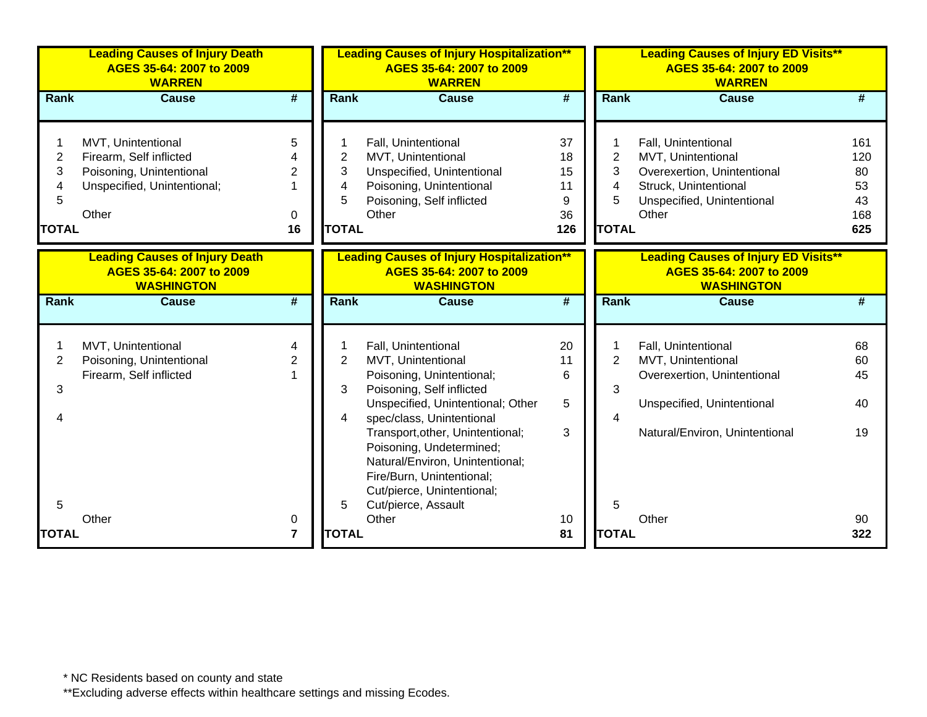|                                               | <b>Leading Causes of Injury Death</b><br>AGES 35-64: 2007 to 2009<br><b>WARREN</b>                                |                                |                                               | <b>Leading Causes of Injury Hospitalization**</b><br>AGES 35-64: 2007 to 2009<br><b>WARREN</b>                                                             |                                        |                                                    | <b>Leading Causes of Injury ED Visits**</b><br>AGES 35-64: 2007 to 2009<br><b>WARREN</b>                                                 |                                            |
|-----------------------------------------------|-------------------------------------------------------------------------------------------------------------------|--------------------------------|-----------------------------------------------|------------------------------------------------------------------------------------------------------------------------------------------------------------|----------------------------------------|----------------------------------------------------|------------------------------------------------------------------------------------------------------------------------------------------|--------------------------------------------|
| Rank                                          | <b>Cause</b>                                                                                                      | $\overline{\boldsymbol{r}}$    | <b>Rank</b>                                   | <b>Cause</b>                                                                                                                                               | #                                      | Rank                                               | <b>Cause</b>                                                                                                                             | #                                          |
| $\overline{c}$<br>3<br>4<br>5<br><b>TOTAL</b> | MVT, Unintentional<br>Firearm, Self inflicted<br>Poisoning, Unintentional<br>Unspecified, Unintentional;<br>Other | 5<br>$\overline{2}$<br>0<br>16 | $\overline{2}$<br>3<br>4<br>5<br><b>TOTAL</b> | Fall, Unintentional<br>MVT, Unintentional<br>Unspecified, Unintentional<br>Poisoning, Unintentional<br>Poisoning, Self inflicted<br>Other                  | 37<br>18<br>15<br>11<br>9<br>36<br>126 | 1<br>$\overline{2}$<br>3<br>4<br>5<br><b>TOTAL</b> | Fall, Unintentional<br>MVT, Unintentional<br>Overexertion, Unintentional<br>Struck, Unintentional<br>Unspecified, Unintentional<br>Other | 161<br>120<br>80<br>53<br>43<br>168<br>625 |
|                                               | <b>Leading Causes of Injury Death</b><br>AGES 35-64: 2007 to 2009<br><b>WASHINGTON</b>                            |                                |                                               | <b>Leading Causes of Injury Hospitalization**</b><br>AGES 35-64: 2007 to 2009<br><b>WASHINGTON</b>                                                         |                                        |                                                    | <b>Leading Causes of Injury ED Visits**</b><br>AGES 35-64: 2007 to 2009<br><b>WASHINGTON</b>                                             |                                            |
| Rank                                          | <b>Cause</b>                                                                                                      | $\overline{\boldsymbol{t}}$    | Rank                                          | <b>Cause</b>                                                                                                                                               | #                                      | Rank                                               | <b>Cause</b>                                                                                                                             | #                                          |
|                                               |                                                                                                                   |                                |                                               |                                                                                                                                                            |                                        |                                                    |                                                                                                                                          |                                            |
| 2                                             | MVT, Unintentional<br>Poisoning, Unintentional                                                                    | 4<br>$\overline{2}$            | $\overline{2}$                                | Fall, Unintentional<br>MVT, Unintentional                                                                                                                  | 20<br>11                               | 1<br>$\overline{2}$                                | Fall, Unintentional<br>MVT, Unintentional                                                                                                | 68<br>60                                   |
| 3                                             | Firearm, Self inflicted                                                                                           |                                | 3                                             | Poisoning, Unintentional;<br>Poisoning, Self inflicted                                                                                                     | 6                                      | 3                                                  | Overexertion, Unintentional                                                                                                              | 45                                         |
| Δ                                             |                                                                                                                   |                                | 4                                             | Unspecified, Unintentional; Other<br>spec/class, Unintentional                                                                                             | 5                                      | $\overline{4}$                                     | Unspecified, Unintentional                                                                                                               | 40                                         |
|                                               |                                                                                                                   |                                |                                               | Transport, other, Unintentional;<br>Poisoning, Undetermined;<br>Natural/Environ, Unintentional;<br>Fire/Burn, Unintentional;<br>Cut/pierce, Unintentional; | 3                                      |                                                    | Natural/Environ, Unintentional                                                                                                           | 19                                         |
| 5                                             |                                                                                                                   |                                | 5                                             | Cut/pierce, Assault                                                                                                                                        |                                        | 5                                                  |                                                                                                                                          |                                            |
| <b>TOTAL</b>                                  | Other                                                                                                             | 0<br>$\overline{7}$            | <b>TOTAL</b>                                  | Other                                                                                                                                                      | 10<br>81                               | <b>TOTAL</b>                                       | Other                                                                                                                                    | 90<br>322                                  |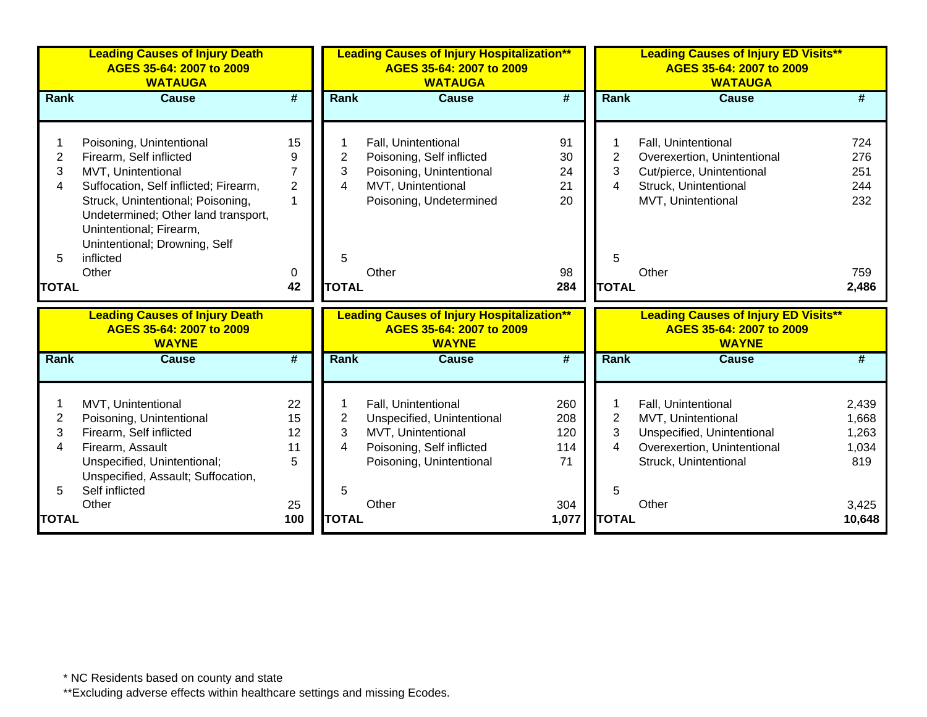|                                  | <b>Leading Causes of Injury Death</b><br>AGES 35-64: 2007 to 2009<br><b>WATAUGA</b>                                                                                                                                                                                              |                                                |                                  | <b>Leading Causes of Injury Hospitalization**</b><br>AGES 35-64: 2007 to 2009<br><b>WATAUGA</b>                                           |                                         |                                               | <b>Leading Causes of Injury ED Visits**</b><br>AGES 35-64: 2007 to 2009<br><b>WATAUGA</b>                                                |                                                  |
|----------------------------------|----------------------------------------------------------------------------------------------------------------------------------------------------------------------------------------------------------------------------------------------------------------------------------|------------------------------------------------|----------------------------------|-------------------------------------------------------------------------------------------------------------------------------------------|-----------------------------------------|-----------------------------------------------|------------------------------------------------------------------------------------------------------------------------------------------|--------------------------------------------------|
| Rank                             | <b>Cause</b>                                                                                                                                                                                                                                                                     | $\overline{\boldsymbol{t}}$                    | Rank                             | <b>Cause</b>                                                                                                                              | $\overline{\boldsymbol{t}}$             | Rank                                          | <b>Cause</b>                                                                                                                             | #                                                |
| 2<br>3<br>4<br>5<br><b>TOTAL</b> | Poisoning, Unintentional<br>Firearm, Self inflicted<br>MVT, Unintentional<br>Suffocation, Self inflicted; Firearm,<br>Struck, Unintentional; Poisoning,<br>Undetermined; Other land transport,<br>Unintentional; Firearm,<br>Unintentional; Drowning, Self<br>inflicted<br>Other | 15<br>9<br>7<br>$\overline{2}$<br>1<br>0<br>42 | 2<br>3<br>4<br>5<br><b>TOTAL</b> | Fall, Unintentional<br>Poisoning, Self inflicted<br>Poisoning, Unintentional<br>MVT, Unintentional<br>Poisoning, Undetermined<br>Other    | 91<br>30<br>24<br>21<br>20<br>98<br>284 | $\overline{2}$<br>3<br>4<br>5<br><b>TOTAL</b> | Fall, Unintentional<br>Overexertion, Unintentional<br>Cut/pierce, Unintentional<br>Struck, Unintentional<br>MVT, Unintentional<br>Other  | 724<br>276<br>251<br>244<br>232<br>759<br>2,486  |
|                                  | <b>Leading Causes of Injury Death</b><br>AGES 35-64: 2007 to 2009<br><b>WAYNE</b>                                                                                                                                                                                                |                                                |                                  | <b>Leading Causes of Injury Hospitalization**</b><br>AGES 35-64: 2007 to 2009<br><b>WAYNE</b>                                             |                                         |                                               | <b>Leading Causes of Injury ED Visits**</b><br>AGES 35-64: 2007 to 2009<br><b>WAYNE</b>                                                  |                                                  |
| Rank                             | <b>Cause</b>                                                                                                                                                                                                                                                                     | $\overline{\boldsymbol{t}}$                    | Rank                             | <b>Cause</b>                                                                                                                              | $\overline{\boldsymbol{H}}$             | Rank                                          | <b>Cause</b>                                                                                                                             | #                                                |
| 2<br>3<br>4<br>5                 | MVT, Unintentional<br>Poisoning, Unintentional<br>Firearm, Self inflicted<br>Firearm, Assault<br>Unspecified, Unintentional;<br>Unspecified, Assault; Suffocation,<br>Self inflicted<br>Other                                                                                    | 22<br>15<br>12<br>11<br>5<br>25                | 2<br>3<br>4<br>5                 | Fall, Unintentional<br>Unspecified, Unintentional<br>MVT, Unintentional<br>Poisoning, Self inflicted<br>Poisoning, Unintentional<br>Other | 260<br>208<br>120<br>114<br>71<br>304   | 2<br>3<br>4<br>5                              | Fall, Unintentional<br>MVT, Unintentional<br>Unspecified, Unintentional<br>Overexertion, Unintentional<br>Struck, Unintentional<br>Other | 2,439<br>1,668<br>1,263<br>1,034<br>819<br>3,425 |
| <b>TOTAL</b>                     |                                                                                                                                                                                                                                                                                  | 100                                            | <b>TOTAL</b>                     |                                                                                                                                           | 1,077                                   | <b>TOTAL</b>                                  |                                                                                                                                          | 10,648                                           |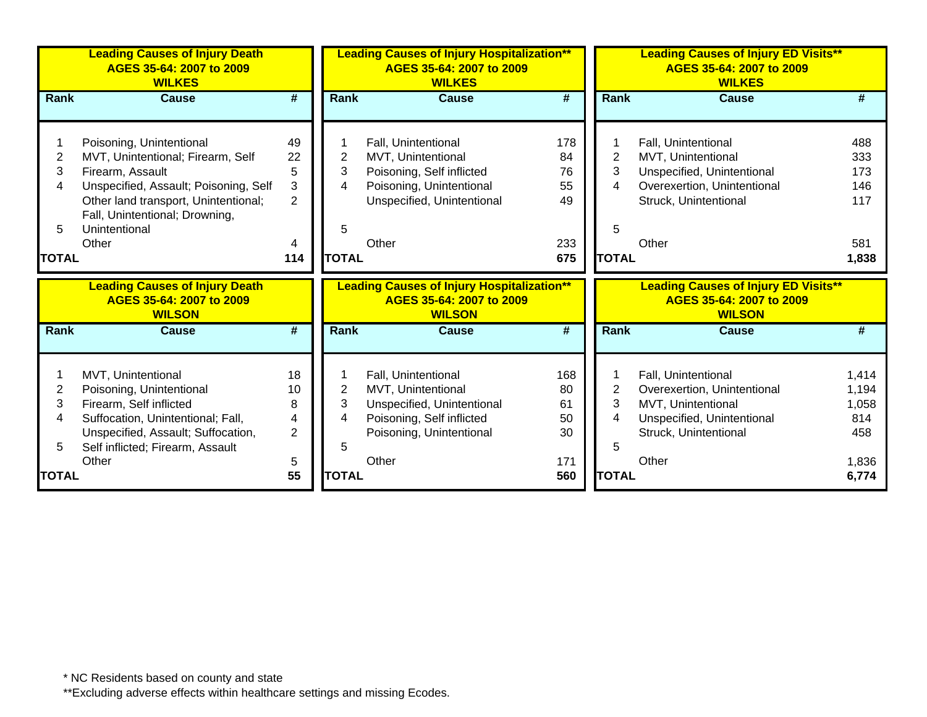|              | <b>Leading Causes of Injury Death</b><br>AGES 35-64: 2007 to 2009<br><b>WILKES</b> |                |                | <b>Leading Causes of Injury Hospitalization**</b><br>AGES 35-64: 2007 to 2009<br><b>WILKES</b> |     |                | <b>Leading Causes of Injury ED Visits**</b><br>AGES 35-64: 2007 to 2009<br><b>WILKES</b> |       |
|--------------|------------------------------------------------------------------------------------|----------------|----------------|------------------------------------------------------------------------------------------------|-----|----------------|------------------------------------------------------------------------------------------|-------|
| <b>Rank</b>  | Cause                                                                              | #              | <b>Rank</b>    | <b>Cause</b>                                                                                   | #   | <b>Rank</b>    | Cause                                                                                    |       |
|              |                                                                                    |                |                |                                                                                                |     |                |                                                                                          |       |
|              | Poisoning, Unintentional                                                           | 49             |                | Fall, Unintentional                                                                            | 178 |                | Fall, Unintentional                                                                      | 488   |
| 2            | MVT, Unintentional; Firearm, Self                                                  | 22             | 2              | MVT, Unintentional                                                                             | 84  | $\overline{2}$ | MVT, Unintentional                                                                       | 333   |
| 3            | Firearm, Assault                                                                   | 5              | 3              | Poisoning, Self inflicted                                                                      | 76  | 3              | Unspecified, Unintentional                                                               | 173   |
| 4            | Unspecified, Assault; Poisoning, Self                                              | 3              | 4              | Poisoning, Unintentional                                                                       | 55  | 4              | Overexertion, Unintentional                                                              | 146   |
|              | Other land transport, Unintentional;                                               | $\overline{2}$ |                | Unspecified, Unintentional                                                                     | 49  |                | Struck, Unintentional                                                                    | 117   |
|              | Fall, Unintentional; Drowning,                                                     |                |                |                                                                                                |     |                |                                                                                          |       |
| 5            | Unintentional                                                                      |                | 5              |                                                                                                |     | 5              |                                                                                          |       |
|              | Other                                                                              | 4              |                | Other                                                                                          | 233 |                | Other                                                                                    | 581   |
| <b>TOTAL</b> |                                                                                    | 114            | <b>TOTAL</b>   |                                                                                                | 675 | <b>TOTAL</b>   |                                                                                          | 1,838 |
|              |                                                                                    |                |                |                                                                                                |     |                |                                                                                          |       |
|              | <b>Leading Causes of Injury Death</b>                                              |                |                | <b>Leading Causes of Injury Hospitalization**</b>                                              |     |                | <b>Leading Causes of Injury ED Visits**</b>                                              |       |
|              | AGES 35-64: 2007 to 2009<br><b>WILSON</b>                                          |                |                | AGES 35-64: 2007 to 2009<br><b>WILSON</b>                                                      |     |                | AGES 35-64: 2007 to 2009<br><b>WILSON</b>                                                |       |
| <b>Rank</b>  | <b>Cause</b>                                                                       | #              | <b>Rank</b>    | <b>Cause</b>                                                                                   | #   | <b>Rank</b>    | Cause                                                                                    | #     |
|              |                                                                                    |                |                |                                                                                                |     |                |                                                                                          |       |
|              | MVT, Unintentional                                                                 | 18             |                | Fall, Unintentional                                                                            | 168 |                | Fall, Unintentional                                                                      | 1,414 |
| 2            | Poisoning, Unintentional                                                           | 10             | $\overline{2}$ | MVT, Unintentional                                                                             | 80  | $\overline{2}$ | Overexertion, Unintentional                                                              | 1,194 |
| 3            | Firearm, Self inflicted                                                            | 8              | 3              | Unspecified, Unintentional                                                                     | 61  | 3              | MVT, Unintentional                                                                       | 1,058 |
| 4            | Suffocation, Unintentional; Fall,                                                  | 4              | 4              | Poisoning, Self inflicted                                                                      | 50  | 4              |                                                                                          | 814   |
|              | Unspecified, Assault; Suffocation,                                                 | $\overline{2}$ |                | Poisoning, Unintentional                                                                       | 30  |                | Unspecified, Unintentional<br>Struck, Unintentional                                      | 458   |
| 5            | Self inflicted; Firearm, Assault                                                   |                | 5              |                                                                                                |     | 5              |                                                                                          |       |
|              | Other                                                                              | 5<br>55        | <b>TOTAL</b>   | Other                                                                                          | 171 | <b>TOTAL</b>   | Other                                                                                    | 1,836 |